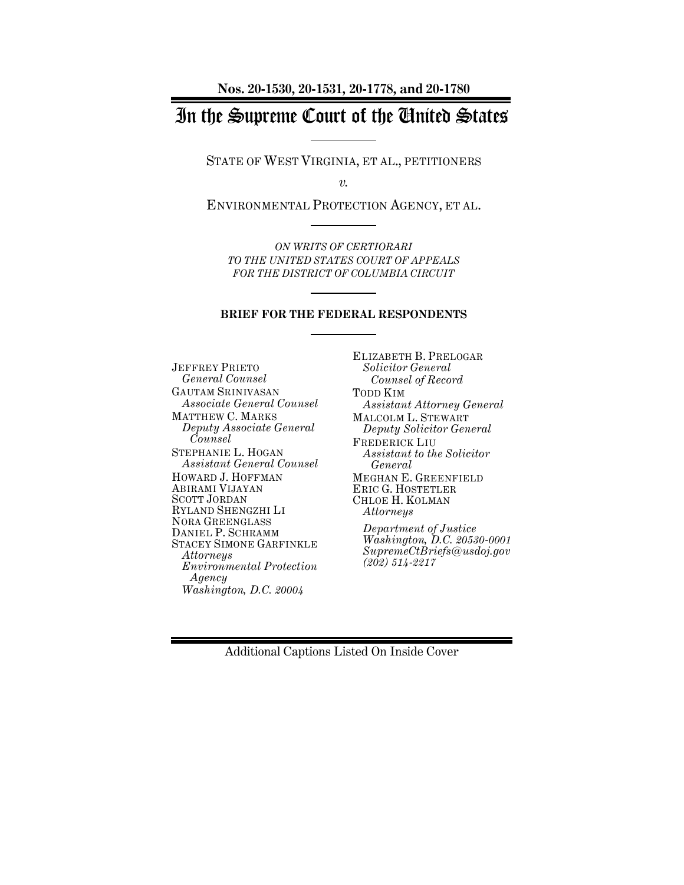# In the Supreme Court of the United States

STATE OF WEST VIRGINIA, ET AL., PETITIONERS

*v.*

ENVIRONMENTAL PROTECTION AGENCY, ET AL.

*ON WRITS OF CERTIORARI TO THE UNITED STATES COURT OF APPEALS FOR THE DISTRICT OF COLUMBIA CIRCUIT*

#### **BRIEF FOR THE FEDERAL RESPONDENTS**

JEFFREY PRIETO *General Counsel* GAUTAM SRINIVASAN *Associate General Counsel* MATTHEW C. MARKS *Deputy Associate General Counsel* STEPHANIE L. HOGAN *Assistant General Counsel* HOWARD J. HOFFMAN ABIRAMI VIJAYAN SCOTT JORDAN RYLAND SHENGZHI LI NORA GREENGLASS DANIEL P. SCHRAMM STACEY SIMONE GARFINKLE *Attorneys Environmental Protection Agency Washington, D.C. 20004*

ELIZABETH B. PRELOGAR *Solicitor General Counsel of Record* TODD KIM *Assistant Attorney General* MALCOLM L. STEWART *Deputy Solicitor General* FREDERICK LIU *Assistant to the Solicitor General* MEGHAN E. GREENFIELD ERIC G. HOSTETLER CHLOE H. KOLMAN *Attorneys Department of Justice Washington, D.C. 20530-0001 SupremeCtBriefs@usdoj.gov (202) 514-2217*

Additional Captions Listed On Inside Cover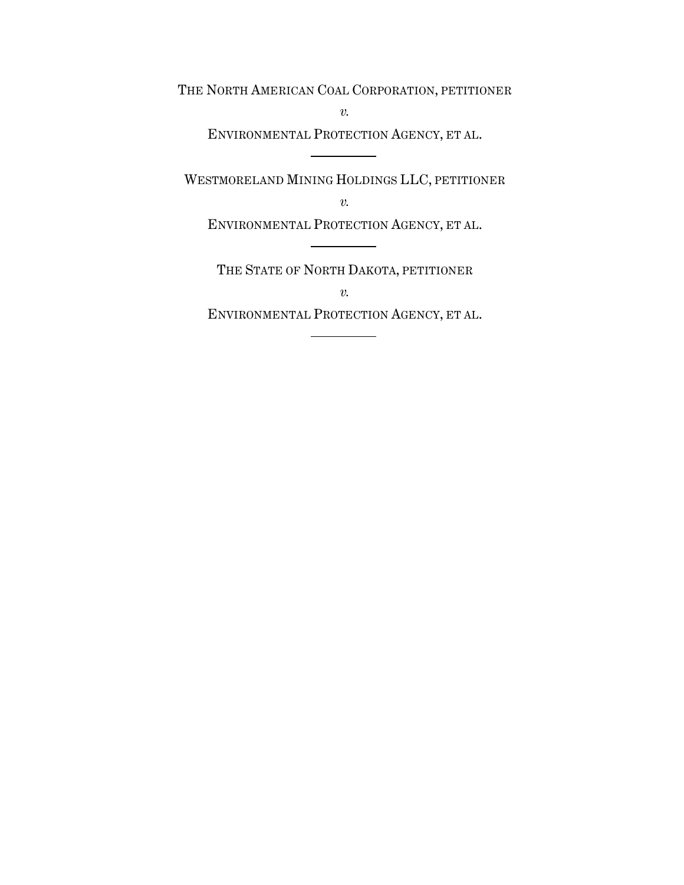THE NORTH AMERICAN COAL CORPORATION, PETITIONER

*v.*

ENVIRONMENTAL PROTECTION AGENCY, ET AL.

WESTMORELAND MINING HOLDINGS LLC, PETITIONER

*v.*

ENVIRONMENTAL PROTECTION AGENCY, ET AL.

THE STATE OF NORTH DAKOTA, PETITIONER *v.*

ENVIRONMENTAL PROTECTION AGENCY, ET AL.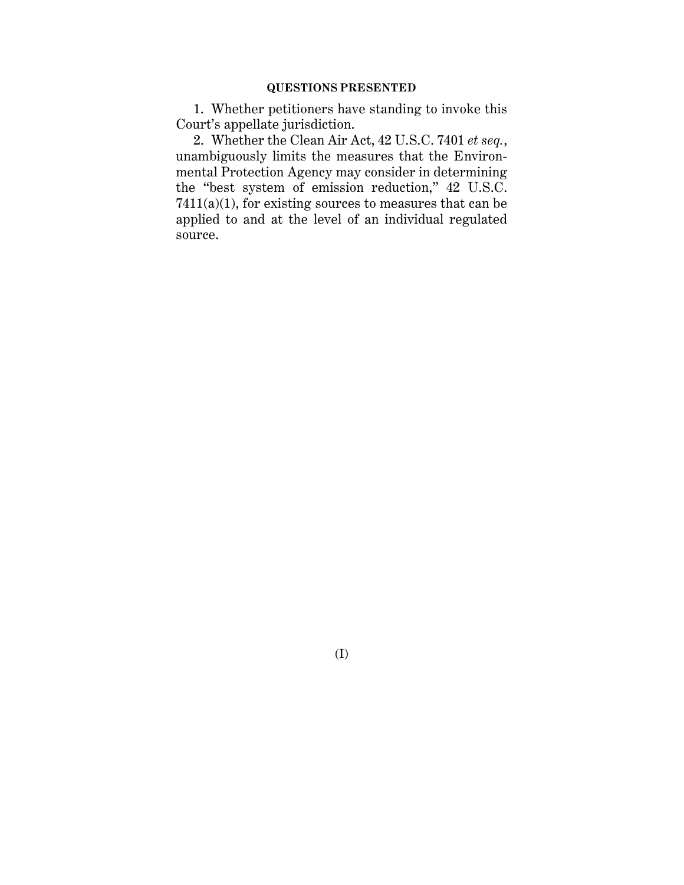1. Whether petitioners have standing to invoke this Court's appellate jurisdiction.

2. Whether the Clean Air Act, 42 U.S.C. 7401 *et seq.*, unambiguously limits the measures that the Environmental Protection Agency may consider in determining the "best system of emission reduction," 42 U.S.C.  $7411(a)(1)$ , for existing sources to measures that can be applied to and at the level of an individual regulated source.

(I)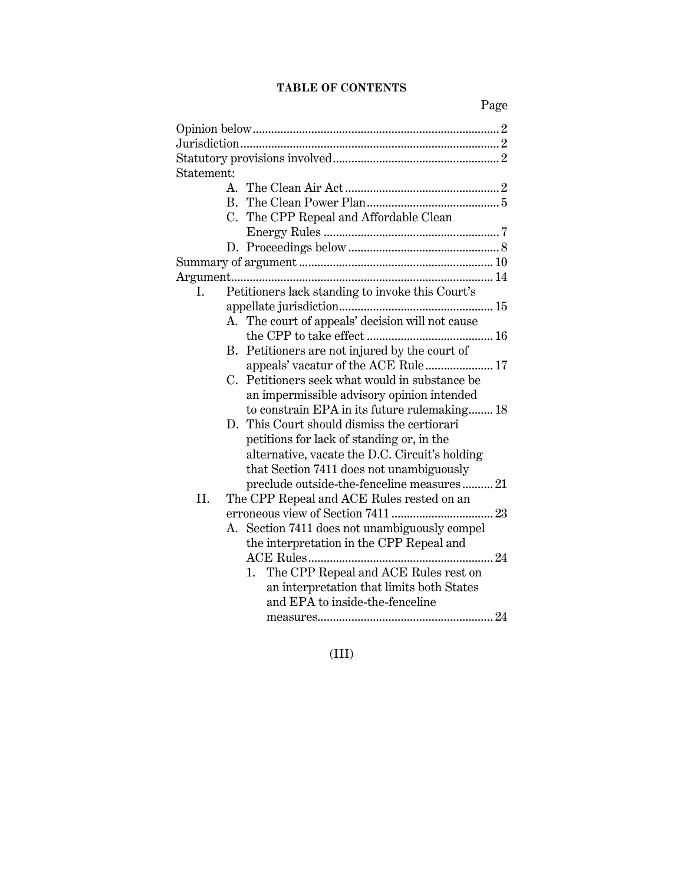# **TABLE OF CONTENTS**

| Statement: |              |                                                  |
|------------|--------------|--------------------------------------------------|
|            |              |                                                  |
|            | $A_{\cdot}$  |                                                  |
|            | $\mathbf{R}$ |                                                  |
|            | C.           | The CPP Repeal and Affordable Clean              |
|            |              |                                                  |
|            |              |                                                  |
|            |              |                                                  |
|            |              |                                                  |
| L.         |              | Petitioners lack standing to invoke this Court's |
|            |              |                                                  |
|            |              | A. The court of appeals' decision will not cause |
|            |              |                                                  |
|            | В.           | Petitioners are not injured by the court of      |
|            |              | appeals' vacatur of the ACE Rule 17              |
|            | C.           | Petitioners seek what would in substance be      |
|            |              | an impermissible advisory opinion intended       |
|            |              | to constrain EPA in its future rulemaking 18     |
|            | $D_{\rm g}$  | This Court should dismiss the certiorari         |
|            |              | petitions for lack of standing or, in the        |
|            |              | alternative, vacate the D.C. Circuit's holding   |
|            |              | that Section 7411 does not unambiguously         |
|            |              |                                                  |
|            |              | preclude outside-the-fenceline measures 21       |
| II.        |              | The CPP Repeal and ACE Rules rested on an        |
|            |              |                                                  |
|            | А.           | Section 7411 does not unambiguously compel       |
|            |              | the interpretation in the CPP Repeal and         |
|            |              |                                                  |
|            |              | The CPP Repeal and ACE Rules rest on<br>1.       |
|            |              | an interpretation that limits both States        |
|            |              | and EPA to inside-the-fenceline                  |
|            |              |                                                  |

(III)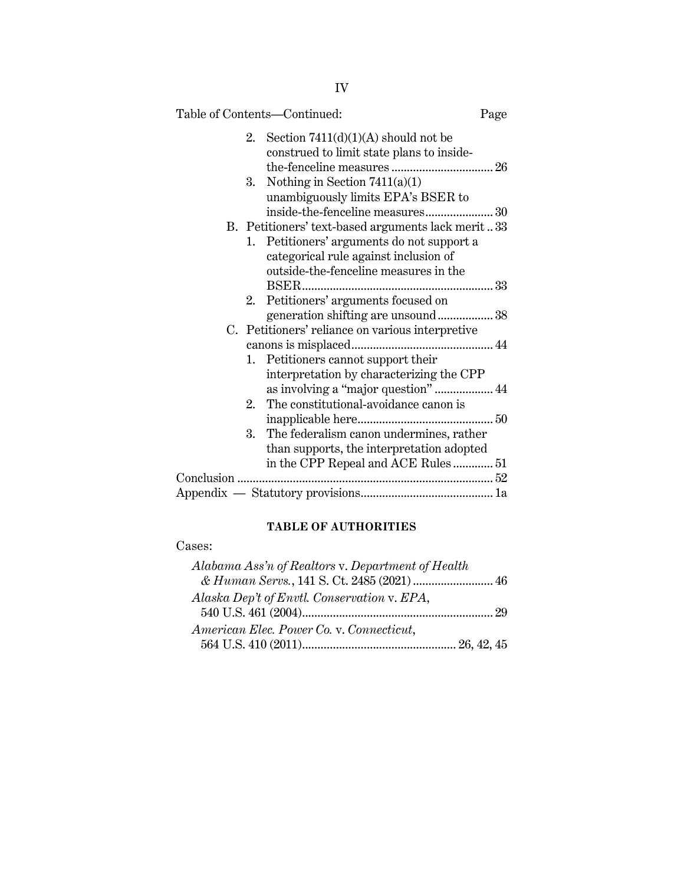|    | Table of Contents—Continued:                       | Page |
|----|----------------------------------------------------|------|
| 2. | Section $7411(d)(1)(A)$ should not be              |      |
|    | construed to limit state plans to inside-          |      |
|    |                                                    |      |
| 3. | Nothing in Section $7411(a)(1)$                    |      |
|    | unambiguously limits EPA's BSER to                 |      |
|    | inside-the-fenceline measures30                    |      |
|    | B. Petitioners' text-based arguments lack merit 33 |      |
|    | 1. Petitioners' arguments do not support a         |      |
|    | categorical rule against inclusion of              |      |
|    | outside-the-fenceline measures in the              |      |
|    |                                                    |      |
| 2. | Petitioners' arguments focused on                  |      |
|    | generation shifting are unsound 38                 |      |
|    | C. Petitioners' reliance on various interpretive   |      |
|    |                                                    |      |
|    | 1. Petitioners cannot support their                |      |
|    | interpretation by characterizing the CPP           |      |
|    | as involving a "major question"  44                |      |
| 2. | The constitutional-avoidance canon is              |      |
|    |                                                    |      |
| 3. | The federalism canon undermines, rather            |      |
|    | than supports, the interpretation adopted          |      |
|    | in the CPP Repeal and ACE Rules 51                 |      |
|    |                                                    |      |
|    |                                                    |      |

## **TABLE OF AUTHORITIES**

# Cases:

| Alabama Ass'n of Realtors v. Department of Health |  |
|---------------------------------------------------|--|
|                                                   |  |
| Alaska Dep't of Envtl. Conservation v. EPA,       |  |
|                                                   |  |
| American Elec. Power Co. v. Connecticut,          |  |
|                                                   |  |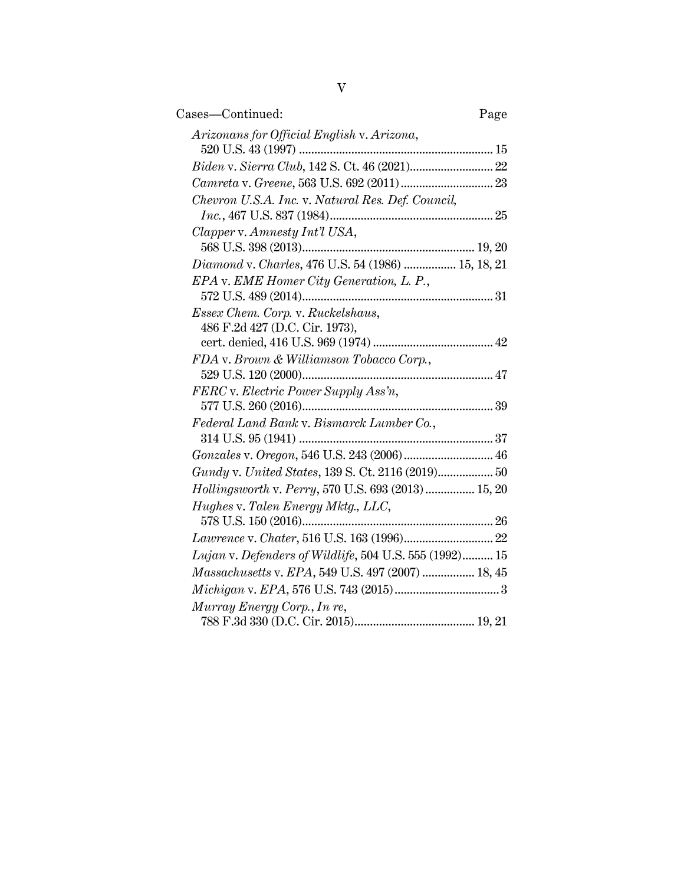| Cases—Continued:                                       | Page |
|--------------------------------------------------------|------|
| Arizonans for Official English v. Arizona,             |      |
|                                                        |      |
|                                                        |      |
| Chevron U.S.A. Inc. v. Natural Res. Def. Council,      |      |
| Clapper v. Amnesty Int'l USA,                          |      |
|                                                        |      |
| Diamond v. Charles, 476 U.S. 54 (1986)  15, 18, 21     |      |
| EPA v. EME Homer City Generation, L. P.,               |      |
|                                                        |      |
| Essex Chem. Corp. v. Ruckelshaus,                      |      |
| 486 F.2d 427 (D.C. Cir. 1973),                         |      |
|                                                        |      |
| FDA v. Brown & Williamson Tobacco Corp.,               |      |
|                                                        |      |
| FERC v. Electric Power Supply Ass'n,                   |      |
|                                                        |      |
| Federal Land Bank v. Bismarck Lumber Co.,              |      |
|                                                        |      |
| Gonzales v. Oregon, 546 U.S. 243 (2006) 46             |      |
|                                                        |      |
| Hollingsworth v. Perry, 570 U.S. 693 (2013)  15, 20    |      |
| Hughes v. Talen Energy Mktg., LLC,                     |      |
|                                                        |      |
| Lujan v. Defenders of Wildlife, 504 U.S. 555 (1992) 15 |      |
| Massachusetts v. EPA, 549 U.S. 497 (2007)  18, 45      |      |
|                                                        |      |
| Murray Energy Corp., In re,                            |      |
|                                                        |      |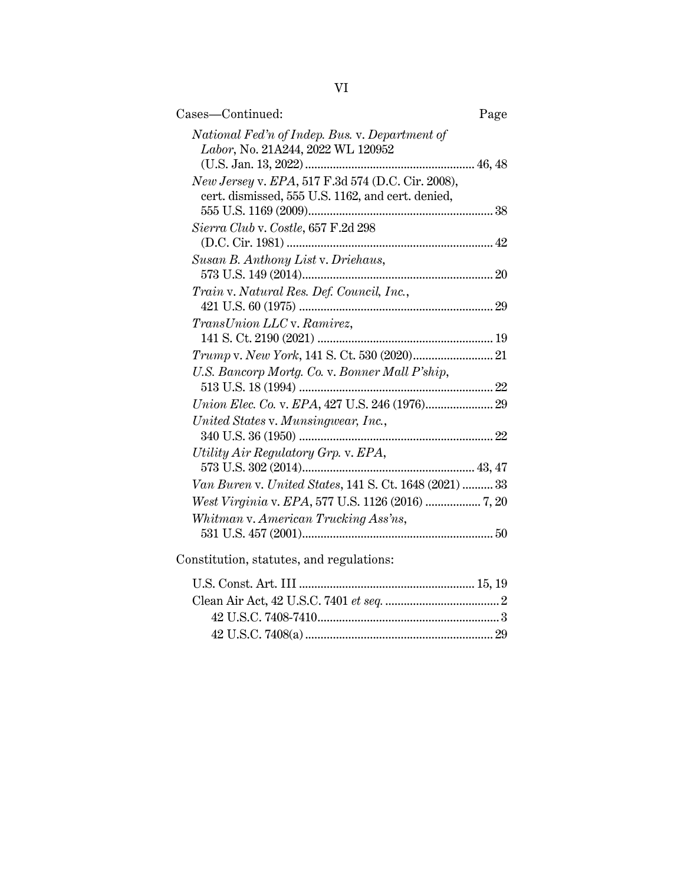| Cases—Continued:                                                                                       | Page |
|--------------------------------------------------------------------------------------------------------|------|
| National Fed'n of Indep. Bus. v. Department of<br>Labor, No. 21A244, 2022 WL 120952                    |      |
|                                                                                                        |      |
| New Jersey v. EPA, 517 F.3d 574 (D.C. Cir. 2008),<br>cert. dismissed, 555 U.S. 1162, and cert. denied, |      |
| Sierra Club v. Costle, 657 F.2d 298                                                                    |      |
| Susan B. Anthony List v. Driehaus,                                                                     |      |
| Train v. Natural Res. Def. Council, Inc.,                                                              |      |
| TransUnion LLC v. Ramirez,                                                                             |      |
| Trump v. New York, 141 S. Ct. 530 (2020) 21                                                            |      |
| U.S. Bancorp Mortg. Co. v. Bonner Mall P'ship,                                                         |      |
|                                                                                                        |      |
| United States v. Munsingwear, Inc.,                                                                    |      |
| Utility Air Regulatory Grp. v. EPA,                                                                    |      |
| Van Buren v. United States, 141 S. Ct. 1648 (2021)  33                                                 |      |
|                                                                                                        |      |
| Whitman v. American Trucking Ass'ns,                                                                   |      |
| Constitution, statutes, and regulations:                                                               |      |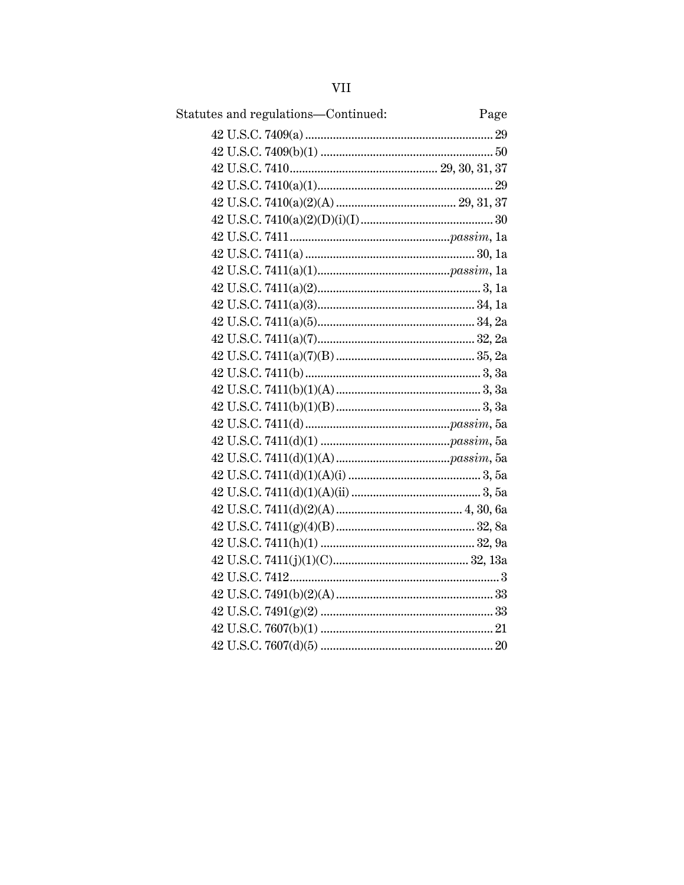| VH                                  |      |
|-------------------------------------|------|
| Statutes and regulations-Continued: | Page |
|                                     |      |
|                                     |      |
|                                     |      |
|                                     |      |
|                                     |      |
|                                     |      |
|                                     |      |
|                                     |      |
|                                     |      |
|                                     |      |
|                                     |      |
|                                     |      |
|                                     |      |
|                                     |      |
|                                     |      |
|                                     |      |
|                                     |      |
|                                     |      |
|                                     |      |
|                                     |      |
|                                     |      |
|                                     |      |
|                                     |      |
|                                     |      |
|                                     |      |
|                                     |      |
|                                     |      |
|                                     |      |
|                                     |      |
|                                     |      |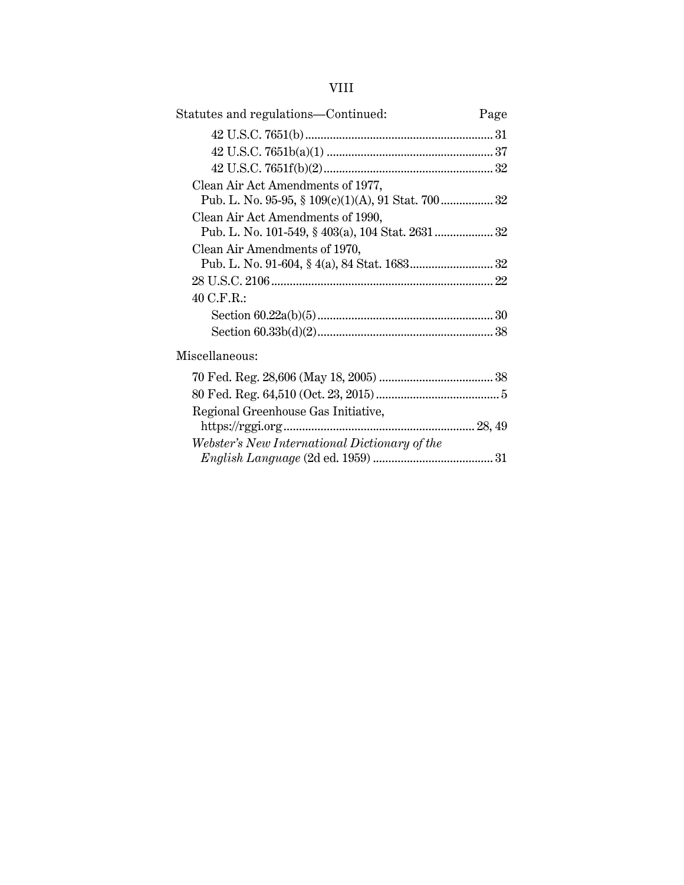# VIII

| Statutes and regulations-Continued:           | Page |
|-----------------------------------------------|------|
|                                               |      |
|                                               |      |
|                                               |      |
| Clean Air Act Amendments of 1977,             |      |
| Clean Air Act Amendments of 1990,             |      |
|                                               |      |
| Clean Air Amendments of 1970,                 |      |
|                                               |      |
|                                               |      |
| 40 C.F.R.:                                    |      |
|                                               |      |
|                                               |      |
| Miscellaneous:                                |      |
|                                               |      |
|                                               |      |
| Regional Greenhouse Gas Initiative,           |      |
|                                               |      |
| Webster's New International Dictionary of the |      |
|                                               |      |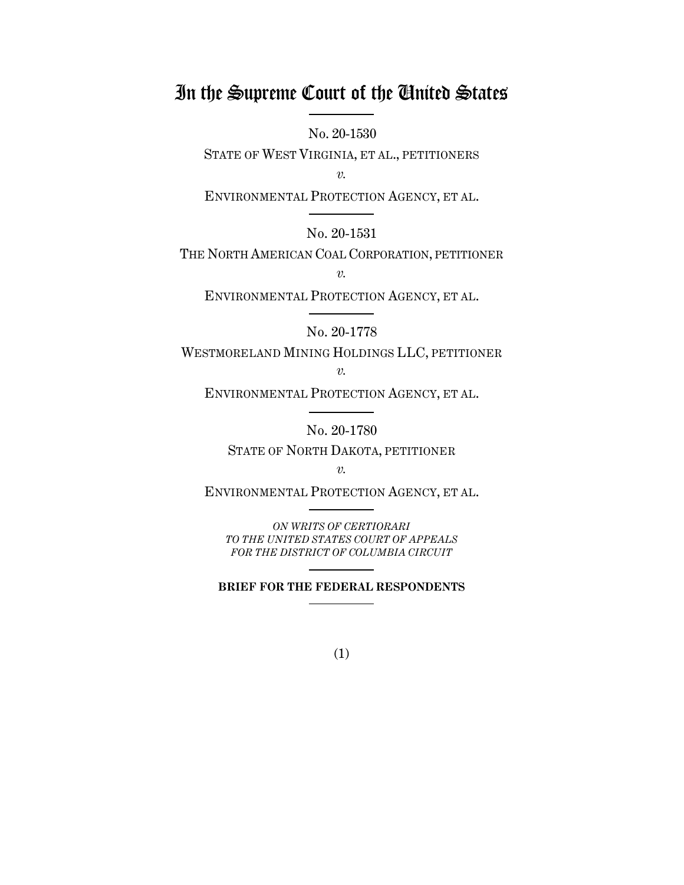# In the Supreme Court of the United States

No. 20-1530

STATE OF WEST VIRGINIA, ET AL., PETITIONERS

*v.*

ENVIRONMENTAL PROTECTION AGENCY, ET AL.

No. 20-1531

THE NORTH AMERICAN COAL CORPORATION, PETITIONER

*v.*

ENVIRONMENTAL PROTECTION AGENCY, ET AL.

No. 20-1778

WESTMORELAND MINING HOLDINGS LLC, PETITIONER *v.*

ENVIRONMENTAL PROTECTION AGENCY, ET AL.

No. 20-1780

STATE OF NORTH DAKOTA, PETITIONER

*v.*

ENVIRONMENTAL PROTECTION AGENCY, ET AL.

*ON WRITS OF CERTIORARI TO THE UNITED STATES COURT OF APPEALS FOR THE DISTRICT OF COLUMBIA CIRCUIT*

**BRIEF FOR THE FEDERAL RESPONDENTS**

(1)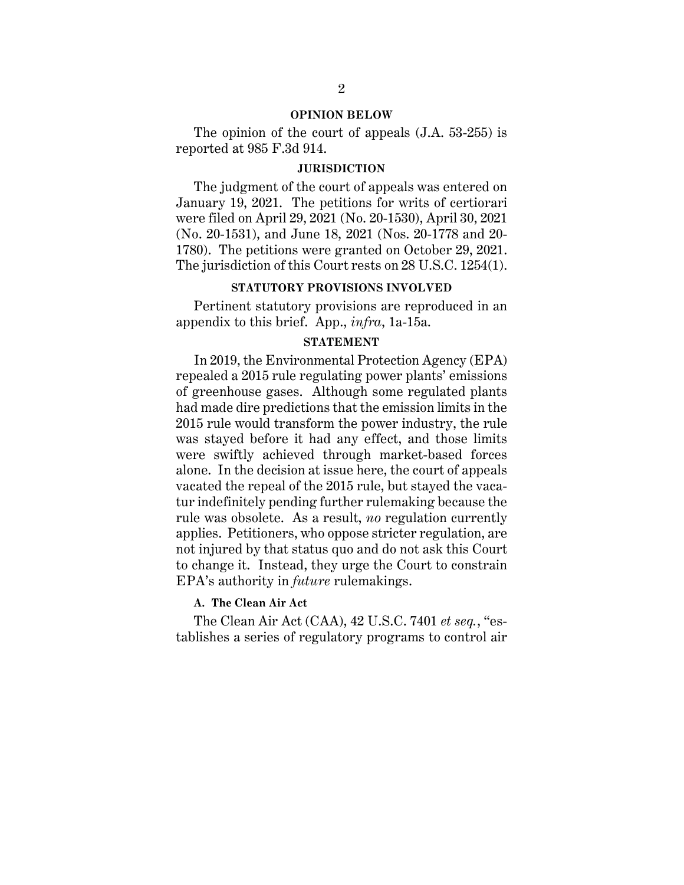#### **OPINION BELOW**

The opinion of the court of appeals (J.A. 53-255) is reported at 985 F.3d 914.

#### **JURISDICTION**

The judgment of the court of appeals was entered on January 19, 2021. The petitions for writs of certiorari were filed on April 29, 2021 (No. 20-1530), April 30, 2021 (No. 20-1531), and June 18, 2021 (Nos. 20-1778 and 20- 1780). The petitions were granted on October 29, 2021. The jurisdiction of this Court rests on 28 U.S.C. 1254(1).

#### **STATUTORY PROVISIONS INVOLVED**

Pertinent statutory provisions are reproduced in an appendix to this brief. App., *infra*, 1a-15a.

#### **STATEMENT**

In 2019, the Environmental Protection Agency (EPA) repealed a 2015 rule regulating power plants' emissions of greenhouse gases. Although some regulated plants had made dire predictions that the emission limits in the 2015 rule would transform the power industry, the rule was stayed before it had any effect, and those limits were swiftly achieved through market-based forces alone. In the decision at issue here, the court of appeals vacated the repeal of the 2015 rule, but stayed the vacatur indefinitely pending further rulemaking because the rule was obsolete. As a result, *no* regulation currently applies. Petitioners, who oppose stricter regulation, are not injured by that status quo and do not ask this Court to change it. Instead, they urge the Court to constrain EPA's authority in *future* rulemakings.

#### **A. The Clean Air Act**

The Clean Air Act (CAA), 42 U.S.C. 7401 *et seq.*, "establishes a series of regulatory programs to control air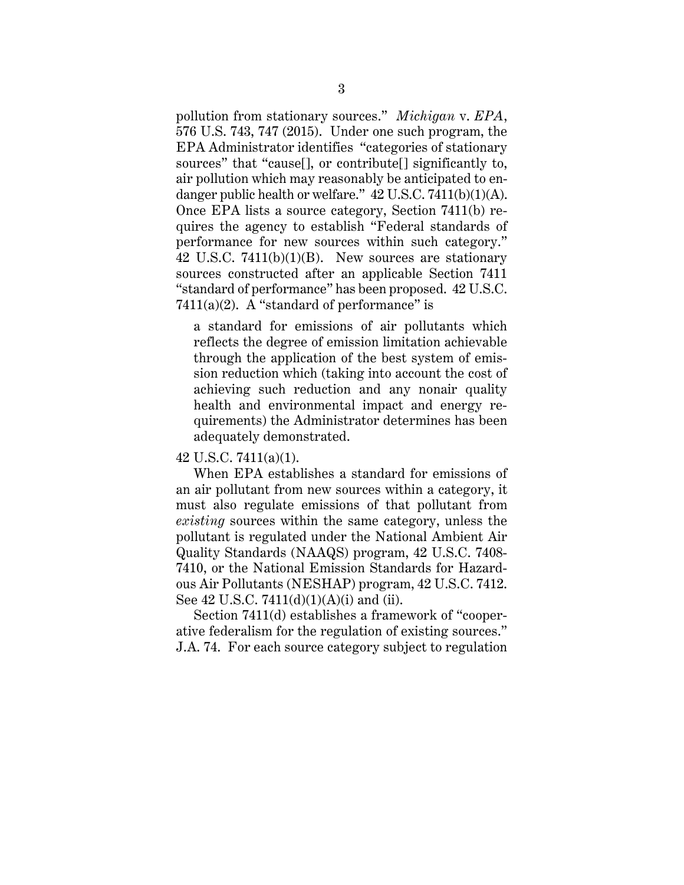pollution from stationary sources." *Michigan* v. *EPA*, 576 U.S. 743, 747 (2015). Under one such program, the EPA Administrator identifies "categories of stationary sources" that "cause[], or contribute[] significantly to, air pollution which may reasonably be anticipated to endanger public health or welfare." 42 U.S.C. 7411(b)(1)(A). Once EPA lists a source category, Section 7411(b) requires the agency to establish "Federal standards of performance for new sources within such category." 42 U.S.C.  $7411(b)(1)(B)$ . New sources are stationary sources constructed after an applicable Section 7411 "standard of performance" has been proposed. 42 U.S.C. 7411(a)(2). A "standard of performance" is

a standard for emissions of air pollutants which reflects the degree of emission limitation achievable through the application of the best system of emission reduction which (taking into account the cost of achieving such reduction and any nonair quality health and environmental impact and energy requirements) the Administrator determines has been adequately demonstrated.

42 U.S.C. 7411(a)(1).

When EPA establishes a standard for emissions of an air pollutant from new sources within a category, it must also regulate emissions of that pollutant from *existing* sources within the same category, unless the pollutant is regulated under the National Ambient Air Quality Standards (NAAQS) program, 42 U.S.C. 7408- 7410, or the National Emission Standards for Hazardous Air Pollutants (NESHAP) program, 42 U.S.C. 7412. See 42 U.S.C. 7411(d)(1)(A)(i) and (ii).

Section 7411(d) establishes a framework of "cooperative federalism for the regulation of existing sources." J.A. 74. For each source category subject to regulation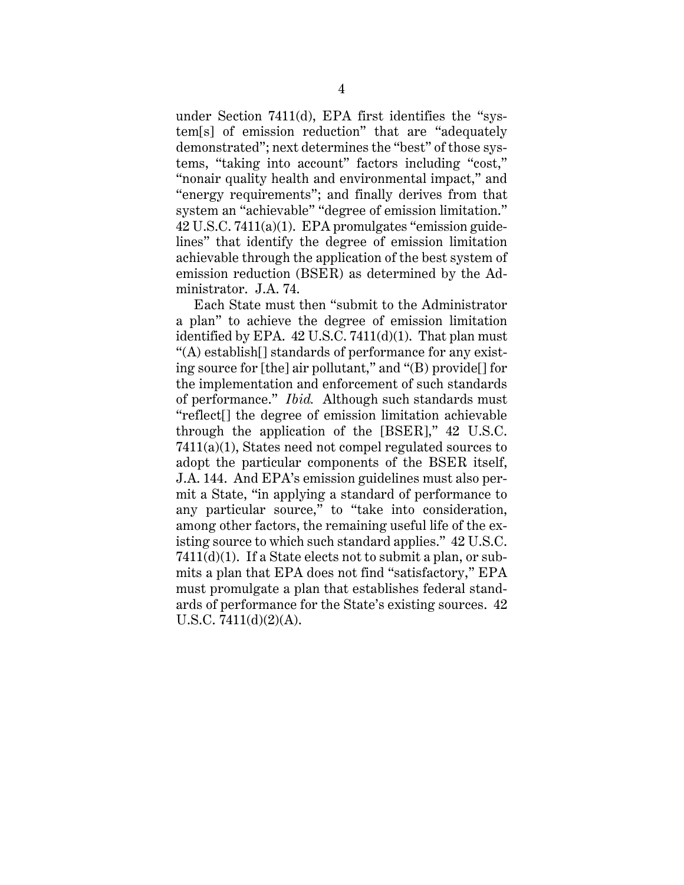under Section 7411(d), EPA first identifies the "system[s] of emission reduction" that are "adequately demonstrated"; next determines the "best" of those systems, "taking into account" factors including "cost," "nonair quality health and environmental impact," and "energy requirements"; and finally derives from that system an "achievable" "degree of emission limitation." 42 U.S.C. 7411(a)(1). EPA promulgates "emission guidelines" that identify the degree of emission limitation achievable through the application of the best system of emission reduction (BSER) as determined by the Administrator. J.A. 74.

Each State must then "submit to the Administrator a plan" to achieve the degree of emission limitation identified by EPA.  $42$  U.S.C.  $7411(d)(1)$ . That plan must "(A) establish[] standards of performance for any existing source for [the] air pollutant," and "(B) provide[] for the implementation and enforcement of such standards of performance." *Ibid.* Although such standards must "reflect[] the degree of emission limitation achievable through the application of the [BSER]," 42 U.S.C. 7411(a)(1), States need not compel regulated sources to adopt the particular components of the BSER itself, J.A. 144. And EPA's emission guidelines must also permit a State, "in applying a standard of performance to any particular source," to "take into consideration, among other factors, the remaining useful life of the existing source to which such standard applies." 42 U.S.C. 7411(d)(1). If a State elects not to submit a plan, or submits a plan that EPA does not find "satisfactory," EPA must promulgate a plan that establishes federal standards of performance for the State's existing sources. 42 U.S.C. 7411(d)(2)(A).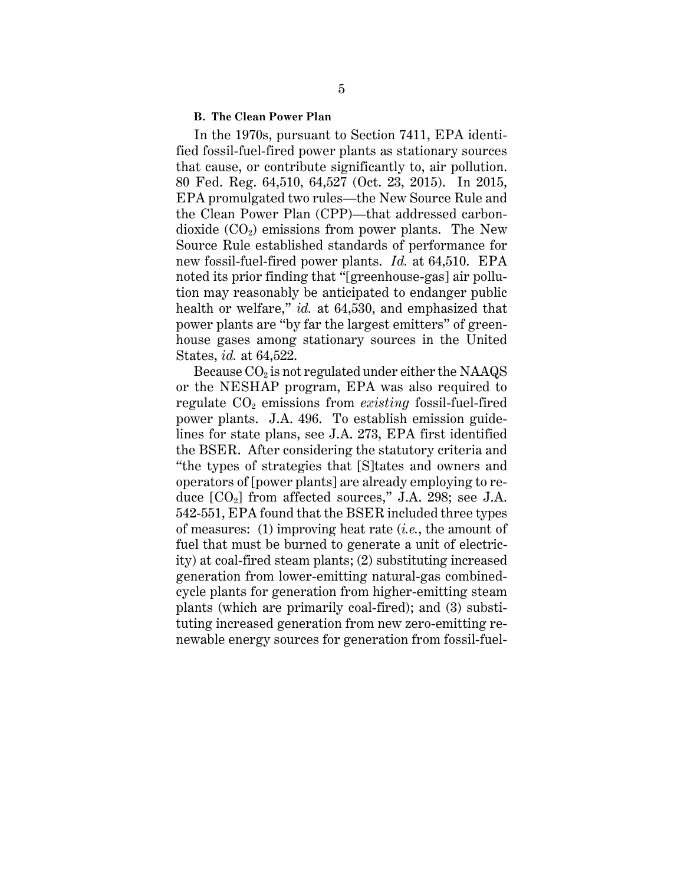#### **B. The Clean Power Plan**

In the 1970s, pursuant to Section 7411, EPA identified fossil-fuel-fired power plants as stationary sources that cause, or contribute significantly to, air pollution. 80 Fed. Reg. 64,510, 64,527 (Oct. 23, 2015). In 2015, EPA promulgated two rules—the New Source Rule and the Clean Power Plan (CPP)—that addressed carbondioxide  $(CO_2)$  emissions from power plants. The New Source Rule established standards of performance for new fossil-fuel-fired power plants. *Id.* at 64,510. EPA noted its prior finding that "[greenhouse-gas] air pollution may reasonably be anticipated to endanger public health or welfare," *id.* at 64,530, and emphasized that power plants are "by far the largest emitters" of greenhouse gases among stationary sources in the United States, *id.* at 64,522.

Because  $CO<sub>2</sub>$  is not regulated under either the NAAQS or the NESHAP program, EPA was also required to regulate  $CO<sub>2</sub>$  emissions from *existing* fossil-fuel-fired power plants. J.A. 496. To establish emission guidelines for state plans, see J.A. 273, EPA first identified the BSER. After considering the statutory criteria and "the types of strategies that [S]tates and owners and operators of [power plants] are already employing to reduce  $[CO_2]$  from affected sources," J.A. 298; see J.A. 542-551, EPA found that the BSER included three types of measures: (1) improving heat rate (*i.e.*, the amount of fuel that must be burned to generate a unit of electricity) at coal-fired steam plants; (2) substituting increased generation from lower-emitting natural-gas combinedcycle plants for generation from higher-emitting steam plants (which are primarily coal-fired); and (3) substituting increased generation from new zero-emitting renewable energy sources for generation from fossil-fuel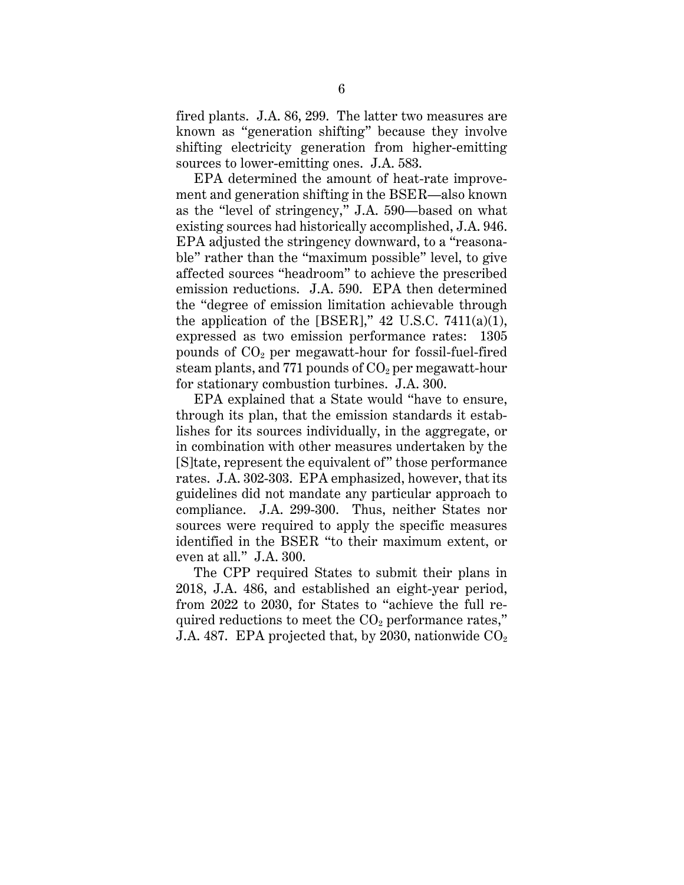fired plants. J.A. 86, 299. The latter two measures are known as "generation shifting" because they involve shifting electricity generation from higher-emitting sources to lower-emitting ones. J.A. 583.

EPA determined the amount of heat-rate improvement and generation shifting in the BSER—also known as the "level of stringency," J.A. 590—based on what existing sources had historically accomplished, J.A. 946. EPA adjusted the stringency downward, to a "reasonable" rather than the "maximum possible" level, to give affected sources "headroom" to achieve the prescribed emission reductions. J.A. 590. EPA then determined the "degree of emission limitation achievable through the application of the [BSER],"  $42$  U.S.C. 7411(a)(1), expressed as two emission performance rates: 1305 pounds of  $CO<sub>2</sub>$  per megawatt-hour for fossil-fuel-fired steam plants, and 771 pounds of  $CO<sub>2</sub>$  per megawatt-hour for stationary combustion turbines. J.A. 300.

EPA explained that a State would "have to ensure, through its plan, that the emission standards it establishes for its sources individually, in the aggregate, or in combination with other measures undertaken by the [S]tate, represent the equivalent of" those performance rates. J.A. 302-303. EPA emphasized, however, that its guidelines did not mandate any particular approach to compliance. J.A. 299-300. Thus, neither States nor sources were required to apply the specific measures identified in the BSER "to their maximum extent, or even at all." J.A. 300.

The CPP required States to submit their plans in 2018, J.A. 486, and established an eight-year period, from 2022 to 2030, for States to "achieve the full required reductions to meet the  $CO<sub>2</sub>$  performance rates," J.A. 487. EPA projected that, by 2030, nationwide  $CO<sub>2</sub>$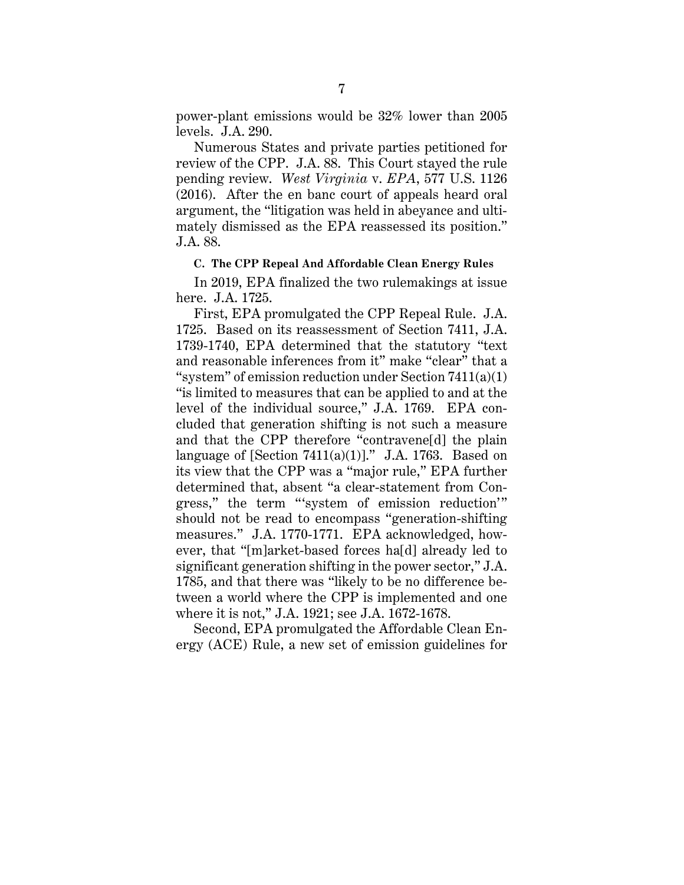power-plant emissions would be 32% lower than 2005 levels. J.A. 290.

Numerous States and private parties petitioned for review of the CPP. J.A. 88. This Court stayed the rule pending review. *West Virginia* v. *EPA*, 577 U.S. 1126 (2016). After the en banc court of appeals heard oral argument, the "litigation was held in abeyance and ultimately dismissed as the EPA reassessed its position." J.A. 88.

#### **C. The CPP Repeal And Affordable Clean Energy Rules**

In 2019, EPA finalized the two rulemakings at issue here. J.A. 1725.

First, EPA promulgated the CPP Repeal Rule. J.A. 1725. Based on its reassessment of Section 7411, J.A. 1739-1740, EPA determined that the statutory "text and reasonable inferences from it" make "clear" that a "system" of emission reduction under Section 7411(a)(1) "is limited to measures that can be applied to and at the level of the individual source," J.A. 1769. EPA concluded that generation shifting is not such a measure and that the CPP therefore "contravene[d] the plain language of [Section  $7411(a)(1)$ ]." J.A. 1763. Based on its view that the CPP was a "major rule," EPA further determined that, absent "a clear-statement from Congress," the term "'system of emission reduction'" should not be read to encompass "generation-shifting measures." J.A. 1770-1771. EPA acknowledged, however, that "[m]arket-based forces ha[d] already led to significant generation shifting in the power sector," J.A. 1785, and that there was "likely to be no difference between a world where the CPP is implemented and one where it is not," J.A. 1921; see J.A. 1672-1678.

Second, EPA promulgated the Affordable Clean Energy (ACE) Rule, a new set of emission guidelines for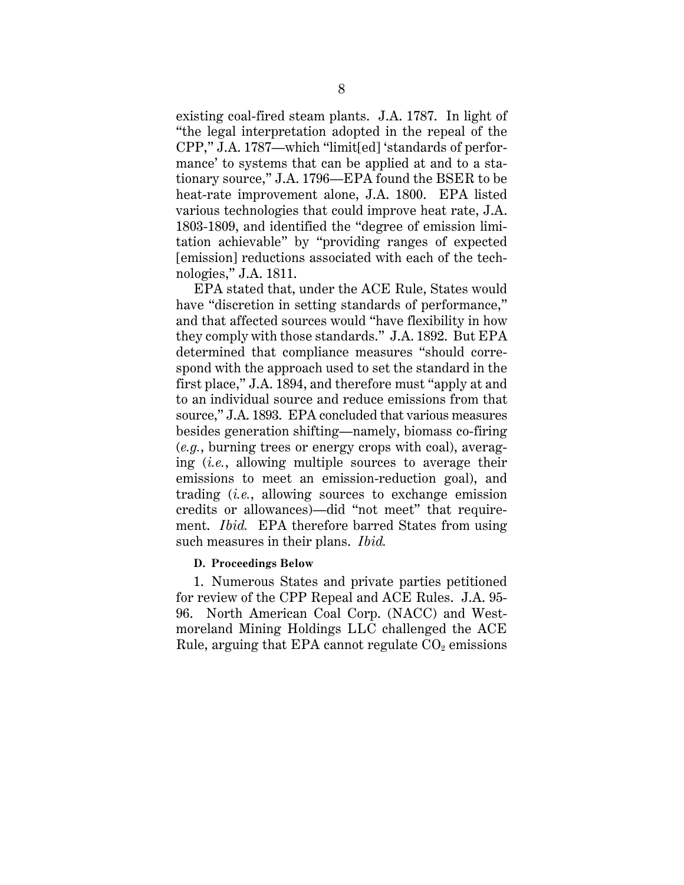existing coal-fired steam plants. J.A. 1787. In light of "the legal interpretation adopted in the repeal of the CPP," J.A. 1787—which "limit[ed] 'standards of performance' to systems that can be applied at and to a stationary source," J.A. 1796—EPA found the BSER to be heat-rate improvement alone, J.A. 1800. EPA listed various technologies that could improve heat rate, J.A. 1803-1809, and identified the "degree of emission limitation achievable" by "providing ranges of expected [emission] reductions associated with each of the technologies," J.A. 1811.

EPA stated that, under the ACE Rule, States would have "discretion in setting standards of performance," and that affected sources would "have flexibility in how they comply with those standards." J.A. 1892. But EPA determined that compliance measures "should correspond with the approach used to set the standard in the first place," J.A. 1894, and therefore must "apply at and to an individual source and reduce emissions from that source," J.A. 1893. EPA concluded that various measures besides generation shifting—namely, biomass co-firing (*e.g.*, burning trees or energy crops with coal), averaging (*i.e.*, allowing multiple sources to average their emissions to meet an emission-reduction goal), and trading (*i.e.*, allowing sources to exchange emission credits or allowances)—did "not meet" that requirement. *Ibid.* EPA therefore barred States from using such measures in their plans. *Ibid.*

### **D. Proceedings Below**

1. Numerous States and private parties petitioned for review of the CPP Repeal and ACE Rules. J.A. 95- 96. North American Coal Corp. (NACC) and Westmoreland Mining Holdings LLC challenged the ACE Rule, arguing that EPA cannot regulate  $CO<sub>2</sub>$  emissions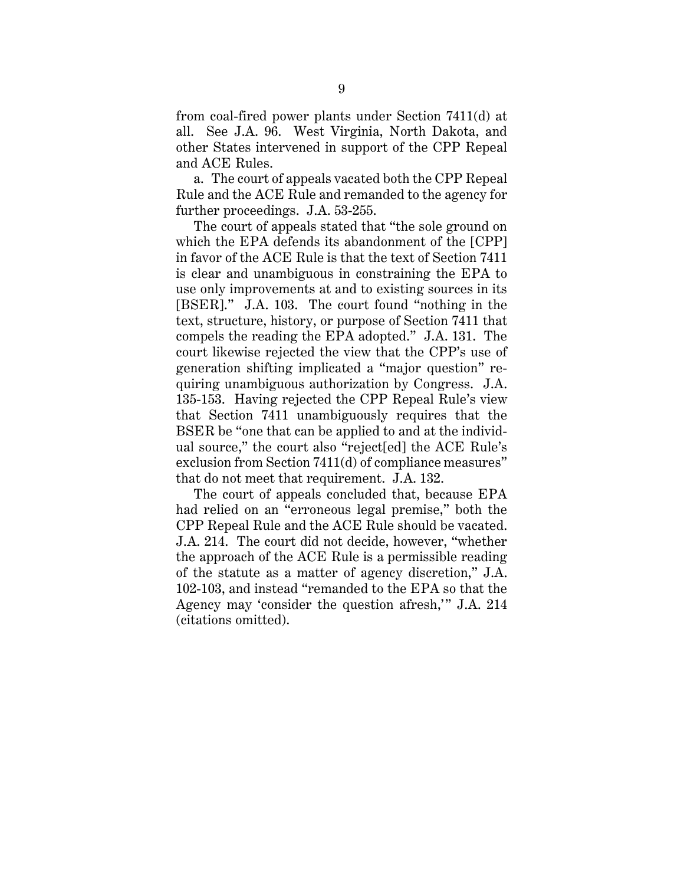from coal-fired power plants under Section 7411(d) at all. See J.A. 96. West Virginia, North Dakota, and other States intervened in support of the CPP Repeal and ACE Rules.

a. The court of appeals vacated both the CPP Repeal Rule and the ACE Rule and remanded to the agency for further proceedings. J.A. 53-255.

The court of appeals stated that "the sole ground on which the EPA defends its abandonment of the [CPP] in favor of the ACE Rule is that the text of Section 7411 is clear and unambiguous in constraining the EPA to use only improvements at and to existing sources in its [BSER]." J.A. 103. The court found "nothing in the text, structure, history, or purpose of Section 7411 that compels the reading the EPA adopted." J.A. 131. The court likewise rejected the view that the CPP's use of generation shifting implicated a "major question" requiring unambiguous authorization by Congress. J.A. 135-153. Having rejected the CPP Repeal Rule's view that Section 7411 unambiguously requires that the BSER be "one that can be applied to and at the individual source," the court also "reject[ed] the ACE Rule's exclusion from Section 7411(d) of compliance measures" that do not meet that requirement. J.A. 132.

The court of appeals concluded that, because EPA had relied on an "erroneous legal premise," both the CPP Repeal Rule and the ACE Rule should be vacated. J.A. 214. The court did not decide, however, "whether the approach of the ACE Rule is a permissible reading of the statute as a matter of agency discretion," J.A. 102-103, and instead "remanded to the EPA so that the Agency may 'consider the question afresh,'" J.A. 214 (citations omitted).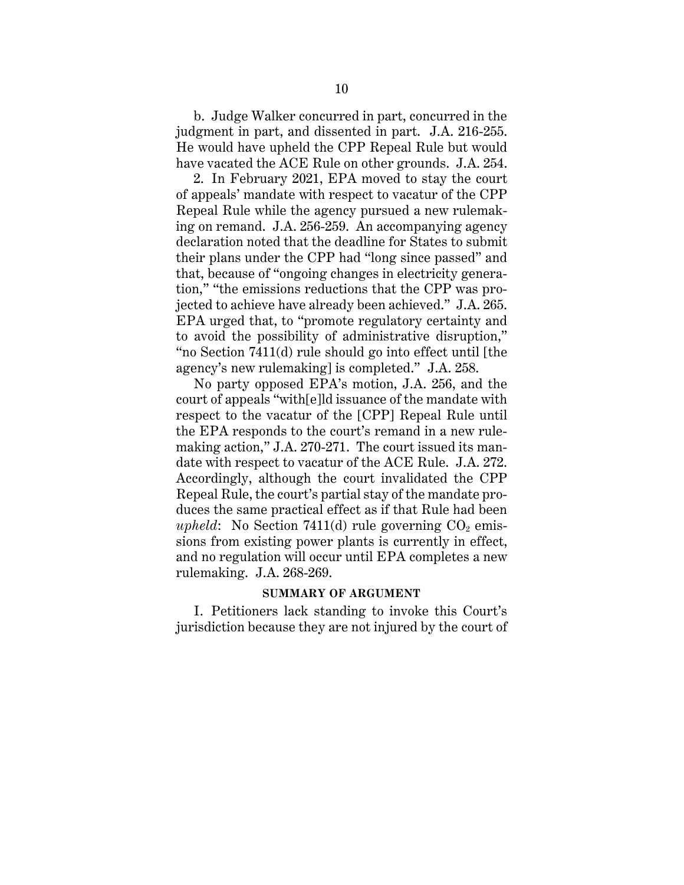b. Judge Walker concurred in part, concurred in the judgment in part, and dissented in part. J.A. 216-255. He would have upheld the CPP Repeal Rule but would have vacated the ACE Rule on other grounds. J.A. 254.

2. In February 2021, EPA moved to stay the court of appeals' mandate with respect to vacatur of the CPP Repeal Rule while the agency pursued a new rulemaking on remand. J.A. 256-259. An accompanying agency declaration noted that the deadline for States to submit their plans under the CPP had "long since passed" and that, because of "ongoing changes in electricity generation," "the emissions reductions that the CPP was projected to achieve have already been achieved." J.A. 265. EPA urged that, to "promote regulatory certainty and to avoid the possibility of administrative disruption," "no Section 7411(d) rule should go into effect until [the agency's new rulemaking] is completed." J.A. 258.

No party opposed EPA's motion, J.A. 256, and the court of appeals "with[e]ld issuance of the mandate with respect to the vacatur of the [CPP] Repeal Rule until the EPA responds to the court's remand in a new rulemaking action," J.A. 270-271. The court issued its mandate with respect to vacatur of the ACE Rule. J.A. 272. Accordingly, although the court invalidated the CPP Repeal Rule, the court's partial stay of the mandate produces the same practical effect as if that Rule had been *upheld*: No Section 7411(d) rule governing  $CO<sub>2</sub>$  emissions from existing power plants is currently in effect, and no regulation will occur until EPA completes a new rulemaking. J.A. 268-269.

#### **SUMMARY OF ARGUMENT**

I. Petitioners lack standing to invoke this Court's jurisdiction because they are not injured by the court of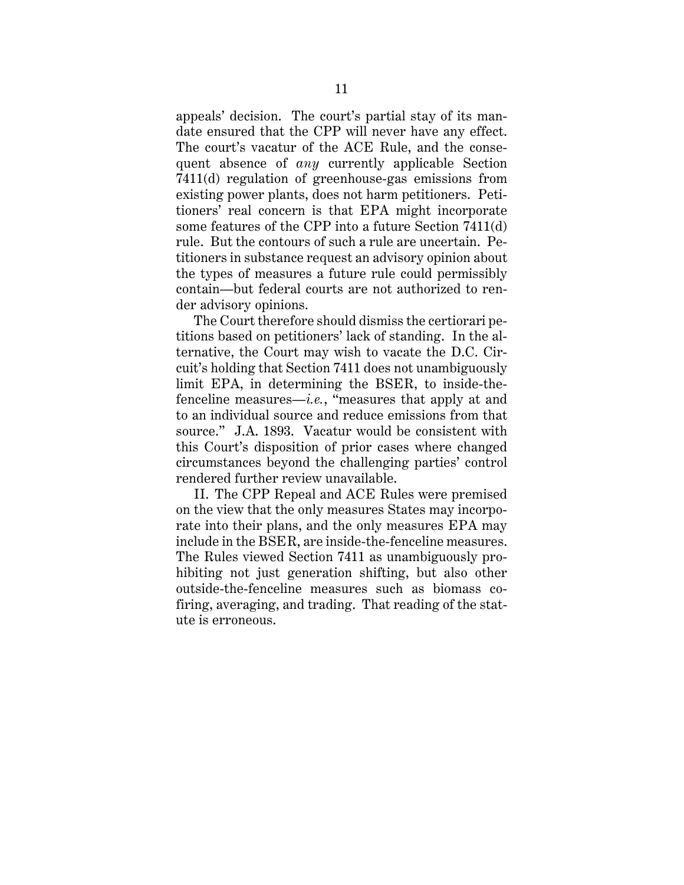appeals' decision. The court's partial stay of its mandate ensured that the CPP will never have any effect. The court's vacatur of the ACE Rule, and the consequent absence of *any* currently applicable Section 7411(d) regulation of greenhouse-gas emissions from existing power plants, does not harm petitioners. Petitioners' real concern is that EPA might incorporate some features of the CPP into a future Section 7411(d) rule. But the contours of such a rule are uncertain. Petitioners in substance request an advisory opinion about the types of measures a future rule could permissibly contain—but federal courts are not authorized to render advisory opinions.

The Court therefore should dismiss the certiorari petitions based on petitioners' lack of standing. In the alternative, the Court may wish to vacate the D.C. Circuit's holding that Section 7411 does not unambiguously limit EPA, in determining the BSER, to inside-thefenceline measures—*i.e.*, "measures that apply at and to an individual source and reduce emissions from that source." J.A. 1893. Vacatur would be consistent with this Court's disposition of prior cases where changed circumstances beyond the challenging parties' control rendered further review unavailable.

II. The CPP Repeal and ACE Rules were premised on the view that the only measures States may incorporate into their plans, and the only measures EPA may include in the BSER, are inside-the-fenceline measures. The Rules viewed Section 7411 as unambiguously prohibiting not just generation shifting, but also other outside-the-fenceline measures such as biomass cofiring, averaging, and trading. That reading of the statute is erroneous.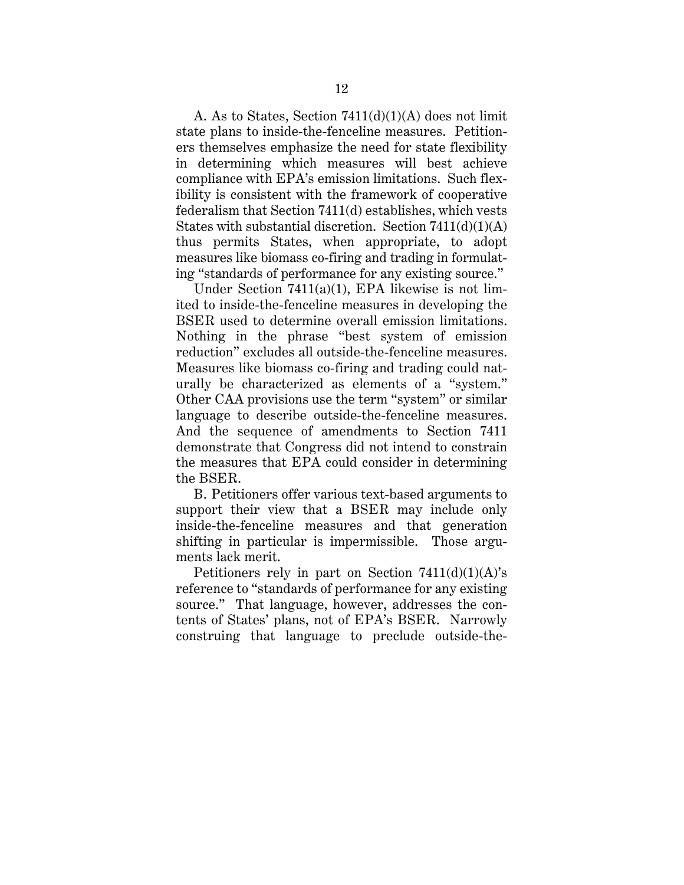A. As to States, Section 7411(d)(1)(A) does not limit state plans to inside-the-fenceline measures. Petitioners themselves emphasize the need for state flexibility in determining which measures will best achieve compliance with EPA's emission limitations. Such flexibility is consistent with the framework of cooperative federalism that Section 7411(d) establishes, which vests States with substantial discretion. Section  $7411(d)(1)(A)$ thus permits States, when appropriate, to adopt measures like biomass co-firing and trading in formulating "standards of performance for any existing source."

Under Section 7411(a)(1), EPA likewise is not limited to inside-the-fenceline measures in developing the BSER used to determine overall emission limitations. Nothing in the phrase "best system of emission reduction" excludes all outside-the-fenceline measures. Measures like biomass co-firing and trading could naturally be characterized as elements of a "system." Other CAA provisions use the term "system" or similar language to describe outside-the-fenceline measures. And the sequence of amendments to Section 7411 demonstrate that Congress did not intend to constrain the measures that EPA could consider in determining the BSER.

B. Petitioners offer various text-based arguments to support their view that a BSER may include only inside-the-fenceline measures and that generation shifting in particular is impermissible. Those arguments lack merit.

Petitioners rely in part on Section  $7411(d)(1)(A)$ 's reference to "standards of performance for any existing source." That language, however, addresses the contents of States' plans, not of EPA's BSER. Narrowly construing that language to preclude outside-the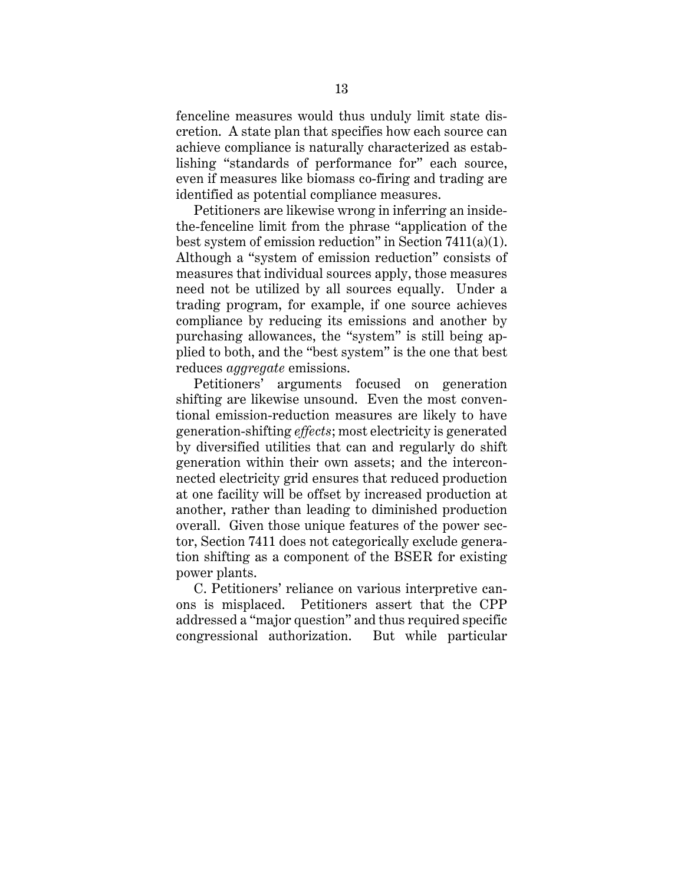fenceline measures would thus unduly limit state discretion. A state plan that specifies how each source can achieve compliance is naturally characterized as establishing "standards of performance for" each source, even if measures like biomass co-firing and trading are identified as potential compliance measures.

Petitioners are likewise wrong in inferring an insidethe-fenceline limit from the phrase "application of the best system of emission reduction" in Section 7411(a)(1). Although a "system of emission reduction" consists of measures that individual sources apply, those measures need not be utilized by all sources equally. Under a trading program, for example, if one source achieves compliance by reducing its emissions and another by purchasing allowances, the "system" is still being applied to both, and the "best system" is the one that best reduces *aggregate* emissions.

Petitioners' arguments focused on generation shifting are likewise unsound. Even the most conventional emission-reduction measures are likely to have generation-shifting *effects*; most electricity is generated by diversified utilities that can and regularly do shift generation within their own assets; and the interconnected electricity grid ensures that reduced production at one facility will be offset by increased production at another, rather than leading to diminished production overall. Given those unique features of the power sector, Section 7411 does not categorically exclude generation shifting as a component of the BSER for existing power plants.

C. Petitioners' reliance on various interpretive canons is misplaced. Petitioners assert that the CPP addressed a "major question" and thus required specific congressional authorization. But while particular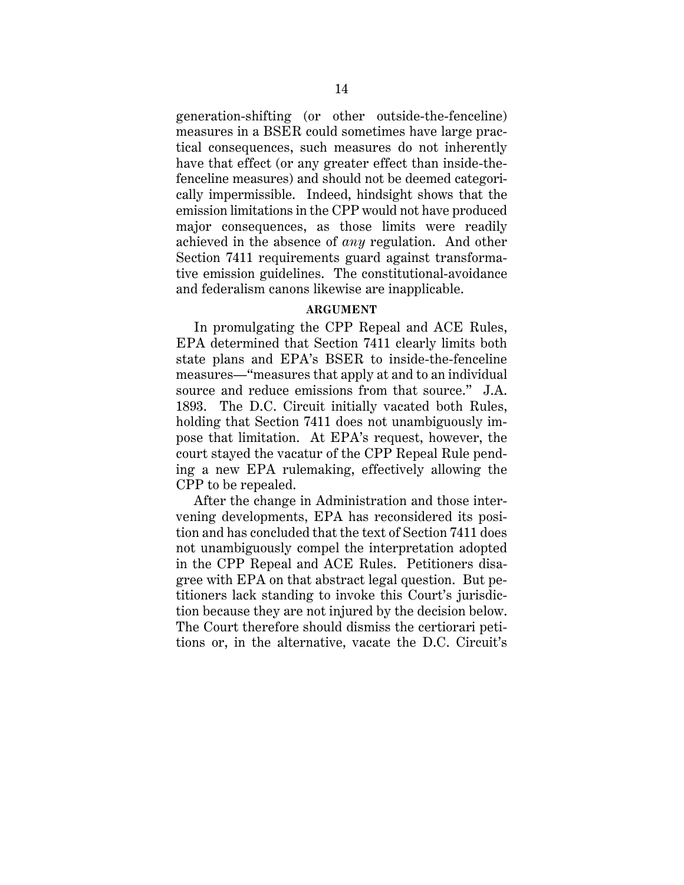generation-shifting (or other outside-the-fenceline) measures in a BSER could sometimes have large practical consequences, such measures do not inherently have that effect (or any greater effect than inside-thefenceline measures) and should not be deemed categorically impermissible. Indeed, hindsight shows that the emission limitations in the CPP would not have produced major consequences, as those limits were readily achieved in the absence of *any* regulation. And other Section 7411 requirements guard against transformative emission guidelines. The constitutional-avoidance and federalism canons likewise are inapplicable.

### **ARGUMENT**

In promulgating the CPP Repeal and ACE Rules, EPA determined that Section 7411 clearly limits both state plans and EPA's BSER to inside-the-fenceline measures—"measures that apply at and to an individual source and reduce emissions from that source." J.A. 1893. The D.C. Circuit initially vacated both Rules, holding that Section 7411 does not unambiguously impose that limitation. At EPA's request, however, the court stayed the vacatur of the CPP Repeal Rule pending a new EPA rulemaking, effectively allowing the CPP to be repealed.

After the change in Administration and those intervening developments, EPA has reconsidered its position and has concluded that the text of Section 7411 does not unambiguously compel the interpretation adopted in the CPP Repeal and ACE Rules. Petitioners disagree with EPA on that abstract legal question. But petitioners lack standing to invoke this Court's jurisdiction because they are not injured by the decision below. The Court therefore should dismiss the certiorari petitions or, in the alternative, vacate the D.C. Circuit's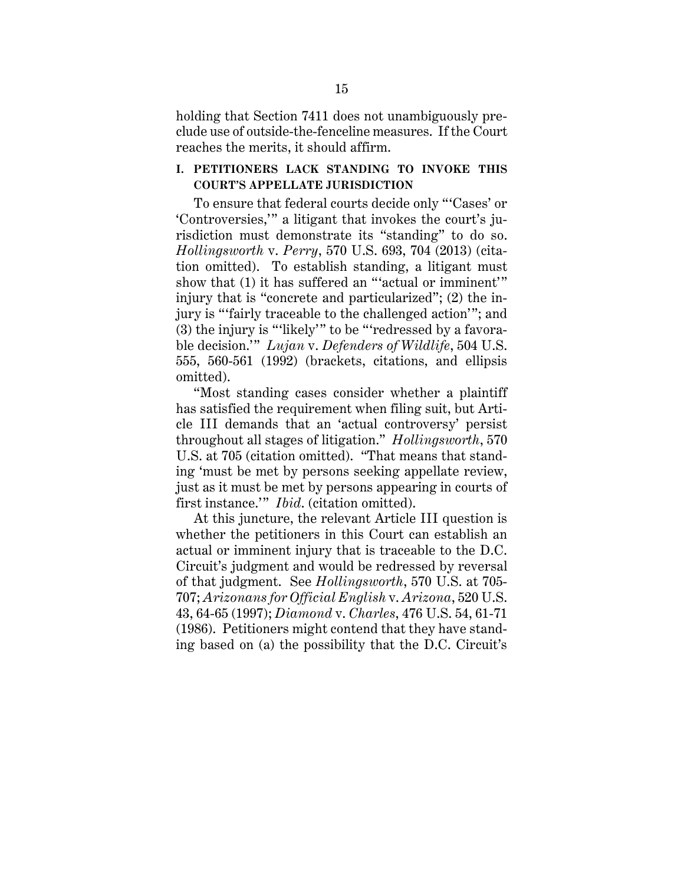holding that Section 7411 does not unambiguously preclude use of outside-the-fenceline measures. If the Court reaches the merits, it should affirm.

# **I. PETITIONERS LACK STANDING TO INVOKE THIS COURT'S APPELLATE JURISDICTION**

To ensure that federal courts decide only "'Cases' or 'Controversies,'" a litigant that invokes the court's jurisdiction must demonstrate its "standing" to do so. *Hollingsworth* v. *Perry*, 570 U.S. 693, 704 (2013) (citation omitted). To establish standing, a litigant must show that (1) it has suffered an "'actual or imminent'" injury that is "concrete and particularized"; (2) the injury is "'fairly traceable to the challenged action'"; and (3) the injury is "'likely'" to be "'redressed by a favorable decision.'" *Lujan* v. *Defenders of Wildlife*, 504 U.S. 555, 560-561 (1992) (brackets, citations, and ellipsis omitted).

"Most standing cases consider whether a plaintiff has satisfied the requirement when filing suit, but Article III demands that an 'actual controversy' persist throughout all stages of litigation." *Hollingsworth*, 570 U.S. at 705 (citation omitted). "That means that standing 'must be met by persons seeking appellate review, just as it must be met by persons appearing in courts of first instance.'" *Ibid*. (citation omitted).

At this juncture, the relevant Article III question is whether the petitioners in this Court can establish an actual or imminent injury that is traceable to the D.C. Circuit's judgment and would be redressed by reversal of that judgment. See *Hollingsworth*, 570 U.S. at 705- 707; *Arizonans for Official English* v. *Arizona*, 520 U.S. 43, 64-65 (1997); *Diamond* v. *Charles*, 476 U.S. 54, 61-71 (1986). Petitioners might contend that they have standing based on (a) the possibility that the D.C. Circuit's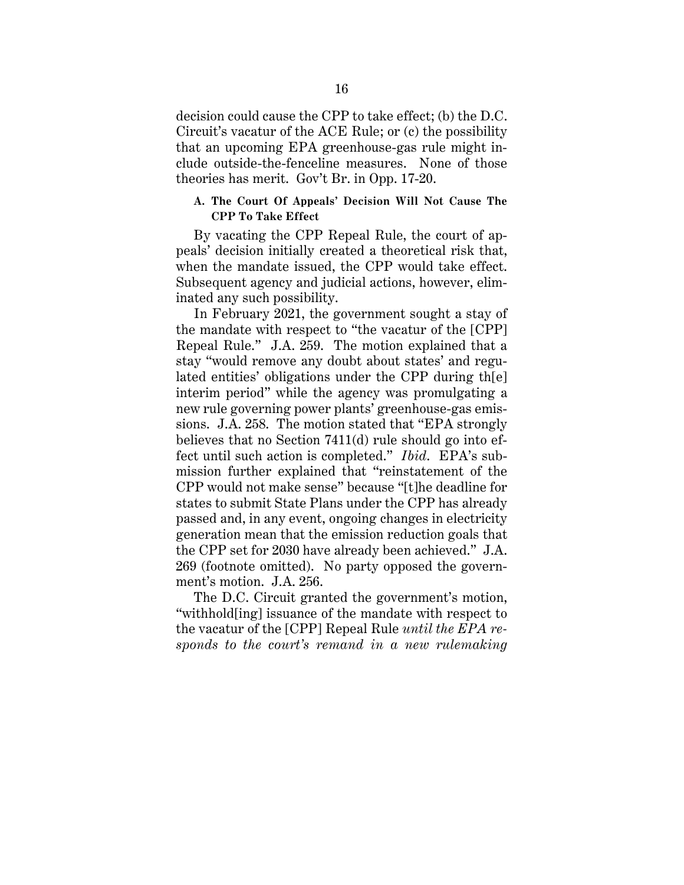decision could cause the CPP to take effect; (b) the D.C. Circuit's vacatur of the ACE Rule; or (c) the possibility that an upcoming EPA greenhouse-gas rule might include outside-the-fenceline measures. None of those theories has merit. Gov't Br. in Opp. 17-20.

## **A. The Court Of Appeals' Decision Will Not Cause The CPP To Take Effect**

By vacating the CPP Repeal Rule, the court of appeals' decision initially created a theoretical risk that, when the mandate issued, the CPP would take effect. Subsequent agency and judicial actions, however, eliminated any such possibility.

In February 2021, the government sought a stay of the mandate with respect to "the vacatur of the [CPP] Repeal Rule." J.A. 259. The motion explained that a stay "would remove any doubt about states' and regulated entities' obligations under the CPP during th[e] interim period" while the agency was promulgating a new rule governing power plants' greenhouse-gas emissions. J.A. 258. The motion stated that "EPA strongly believes that no Section 7411(d) rule should go into effect until such action is completed." *Ibid*. EPA's submission further explained that "reinstatement of the CPP would not make sense" because "[t]he deadline for states to submit State Plans under the CPP has already passed and, in any event, ongoing changes in electricity generation mean that the emission reduction goals that the CPP set for 2030 have already been achieved." J.A. 269 (footnote omitted). No party opposed the government's motion. J.A. 256.

The D.C. Circuit granted the government's motion, "withhold[ing] issuance of the mandate with respect to the vacatur of the [CPP] Repeal Rule *until the EPA responds to the court's remand in a new rulemaking*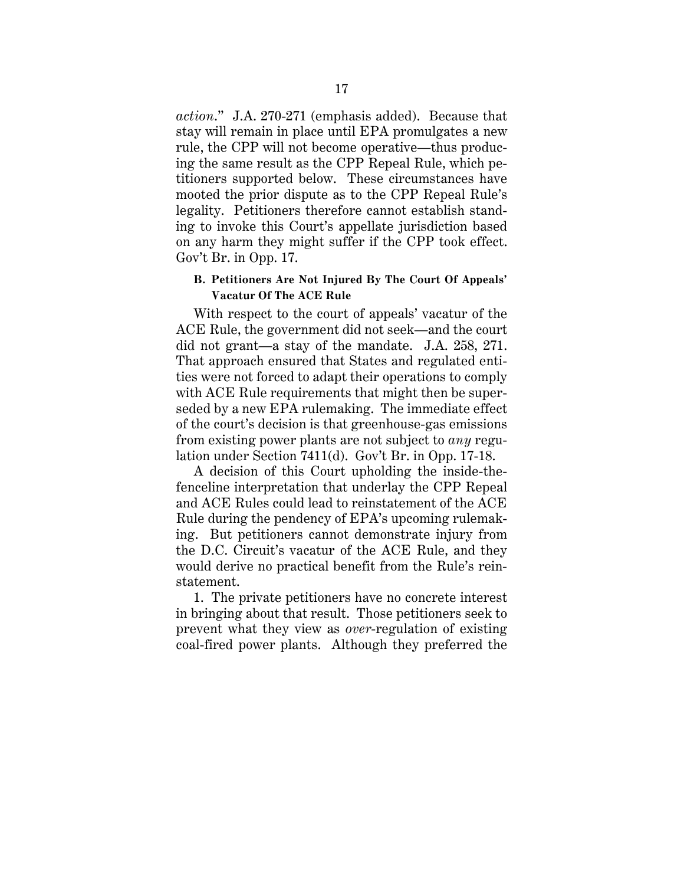*action*." J.A. 270-271 (emphasis added). Because that stay will remain in place until EPA promulgates a new rule, the CPP will not become operative—thus producing the same result as the CPP Repeal Rule, which petitioners supported below. These circumstances have mooted the prior dispute as to the CPP Repeal Rule's legality. Petitioners therefore cannot establish standing to invoke this Court's appellate jurisdiction based on any harm they might suffer if the CPP took effect. Gov't Br. in Opp. 17.

### **B. Petitioners Are Not Injured By The Court Of Appeals' Vacatur Of The ACE Rule**

With respect to the court of appeals' vacatur of the ACE Rule, the government did not seek—and the court did not grant—a stay of the mandate. J.A. 258, 271. That approach ensured that States and regulated entities were not forced to adapt their operations to comply with ACE Rule requirements that might then be superseded by a new EPA rulemaking. The immediate effect of the court's decision is that greenhouse-gas emissions from existing power plants are not subject to *any* regulation under Section 7411(d). Gov't Br. in Opp. 17-18.

A decision of this Court upholding the inside-thefenceline interpretation that underlay the CPP Repeal and ACE Rules could lead to reinstatement of the ACE Rule during the pendency of EPA's upcoming rulemaking. But petitioners cannot demonstrate injury from the D.C. Circuit's vacatur of the ACE Rule, and they would derive no practical benefit from the Rule's reinstatement.

1. The private petitioners have no concrete interest in bringing about that result. Those petitioners seek to prevent what they view as *over*-regulation of existing coal-fired power plants. Although they preferred the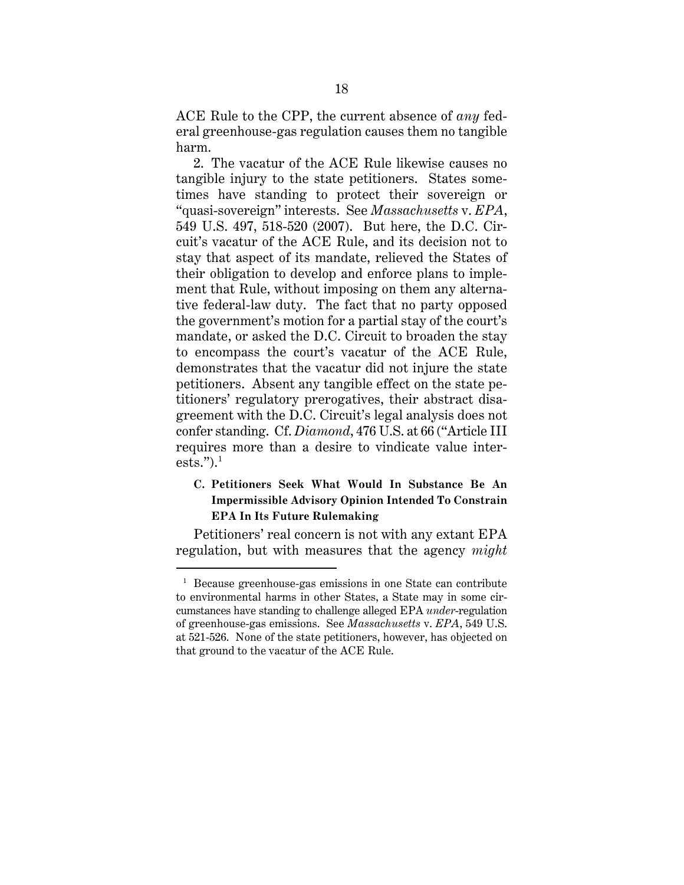ACE Rule to the CPP, the current absence of *any* federal greenhouse-gas regulation causes them no tangible harm.

2. The vacatur of the ACE Rule likewise causes no tangible injury to the state petitioners. States sometimes have standing to protect their sovereign or "quasi-sovereign" interests. See *Massachusetts* v. *EPA*, 549 U.S. 497, 518-520 (2007). But here, the D.C. Circuit's vacatur of the ACE Rule, and its decision not to stay that aspect of its mandate, relieved the States of their obligation to develop and enforce plans to implement that Rule, without imposing on them any alternative federal-law duty. The fact that no party opposed the government's motion for a partial stay of the court's mandate, or asked the D.C. Circuit to broaden the stay to encompass the court's vacatur of the ACE Rule, demonstrates that the vacatur did not injure the state petitioners. Absent any tangible effect on the state petitioners' regulatory prerogatives, their abstract disagreement with the D.C. Circuit's legal analysis does not confer standing. Cf. *Diamond*, 476 U.S. at 66 ("Article III requires more than a desire to vindicate value interests." $)^1$ 

# **C. Petitioners Seek What Would In Substance Be An Impermissible Advisory Opinion Intended To Constrain EPA In Its Future Rulemaking**

Petitioners' real concern is not with any extant EPA regulation, but with measures that the agency *might*

<sup>&</sup>lt;sup>1</sup> Because greenhouse-gas emissions in one State can contribute to environmental harms in other States, a State may in some circumstances have standing to challenge alleged EPA *under*-regulation of greenhouse-gas emissions. See *Massachusetts* v. *EPA*, 549 U.S. at 521-526. None of the state petitioners, however, has objected on that ground to the vacatur of the ACE Rule.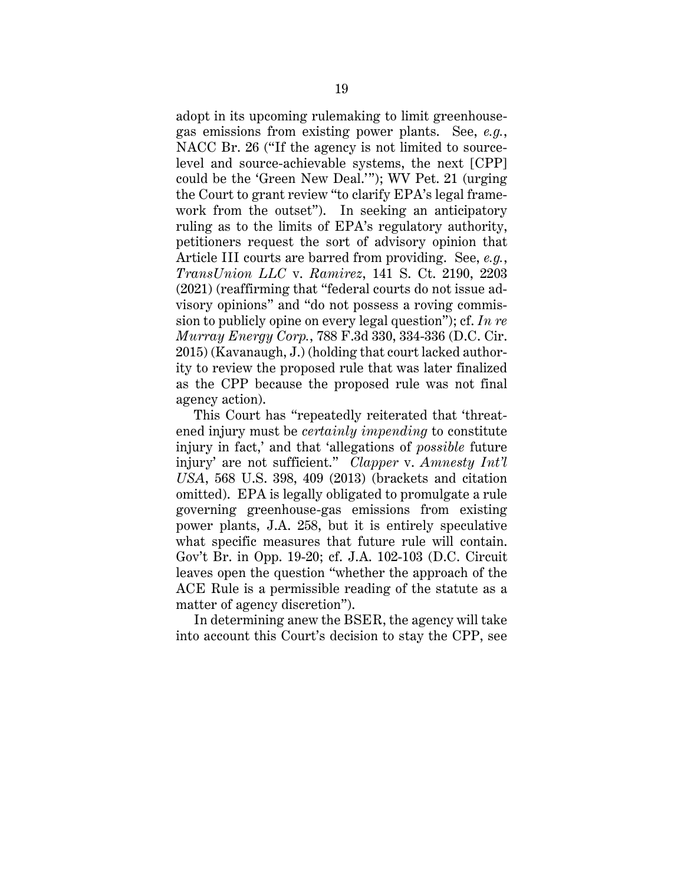adopt in its upcoming rulemaking to limit greenhousegas emissions from existing power plants. See, *e.g.*, NACC Br. 26 ("If the agency is not limited to sourcelevel and source-achievable systems, the next [CPP] could be the 'Green New Deal.'"); WV Pet. 21 (urging the Court to grant review "to clarify EPA's legal framework from the outset"). In seeking an anticipatory ruling as to the limits of EPA's regulatory authority, petitioners request the sort of advisory opinion that Article III courts are barred from providing. See, *e.g.*, *TransUnion LLC* v. *Ramirez*, 141 S. Ct. 2190, 2203 (2021) (reaffirming that "federal courts do not issue advisory opinions" and "do not possess a roving commission to publicly opine on every legal question"); cf. *In re Murray Energy Corp.*, 788 F.3d 330, 334-336 (D.C. Cir. 2015) (Kavanaugh, J.) (holding that court lacked authority to review the proposed rule that was later finalized as the CPP because the proposed rule was not final agency action).

This Court has "repeatedly reiterated that 'threatened injury must be *certainly impending* to constitute injury in fact,' and that 'allegations of *possible* future injury' are not sufficient." *Clapper* v. *Amnesty Int'l USA*, 568 U.S. 398, 409 (2013) (brackets and citation omitted). EPA is legally obligated to promulgate a rule governing greenhouse-gas emissions from existing power plants, J.A. 258, but it is entirely speculative what specific measures that future rule will contain. Gov't Br. in Opp. 19-20; cf. J.A. 102-103 (D.C. Circuit leaves open the question "whether the approach of the ACE Rule is a permissible reading of the statute as a matter of agency discretion").

In determining anew the BSER, the agency will take into account this Court's decision to stay the CPP, see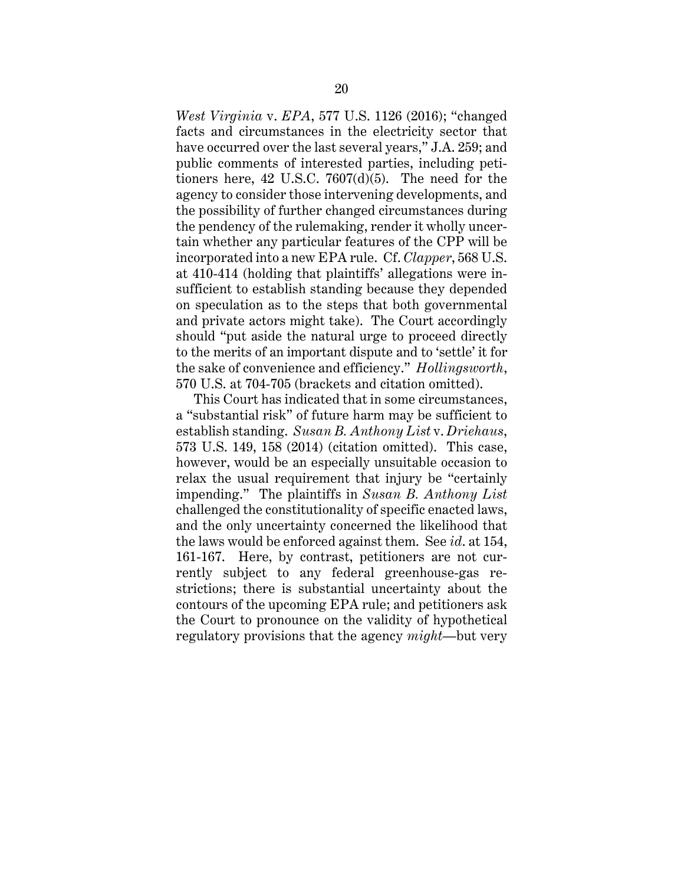*West Virginia* v. *EPA*, 577 U.S. 1126 (2016); "changed facts and circumstances in the electricity sector that have occurred over the last several years," J.A. 259; and public comments of interested parties, including petitioners here, 42 U.S.C. 7607(d)(5). The need for the agency to consider those intervening developments, and the possibility of further changed circumstances during the pendency of the rulemaking, render it wholly uncertain whether any particular features of the CPP will be incorporated into a new EPA rule. Cf. *Clapper*, 568 U.S. at 410-414 (holding that plaintiffs' allegations were insufficient to establish standing because they depended on speculation as to the steps that both governmental and private actors might take). The Court accordingly should "put aside the natural urge to proceed directly to the merits of an important dispute and to 'settle' it for the sake of convenience and efficiency." *Hollingsworth*, 570 U.S. at 704-705 (brackets and citation omitted).

This Court has indicated that in some circumstances, a "substantial risk" of future harm may be sufficient to establish standing. *Susan B. Anthony List* v. *Driehaus*, 573 U.S. 149, 158 (2014) (citation omitted). This case, however, would be an especially unsuitable occasion to relax the usual requirement that injury be "certainly impending." The plaintiffs in *Susan B. Anthony List* challenged the constitutionality of specific enacted laws, and the only uncertainty concerned the likelihood that the laws would be enforced against them. See *id*. at 154, 161-167. Here, by contrast, petitioners are not currently subject to any federal greenhouse-gas restrictions; there is substantial uncertainty about the contours of the upcoming EPA rule; and petitioners ask the Court to pronounce on the validity of hypothetical regulatory provisions that the agency *might*—but very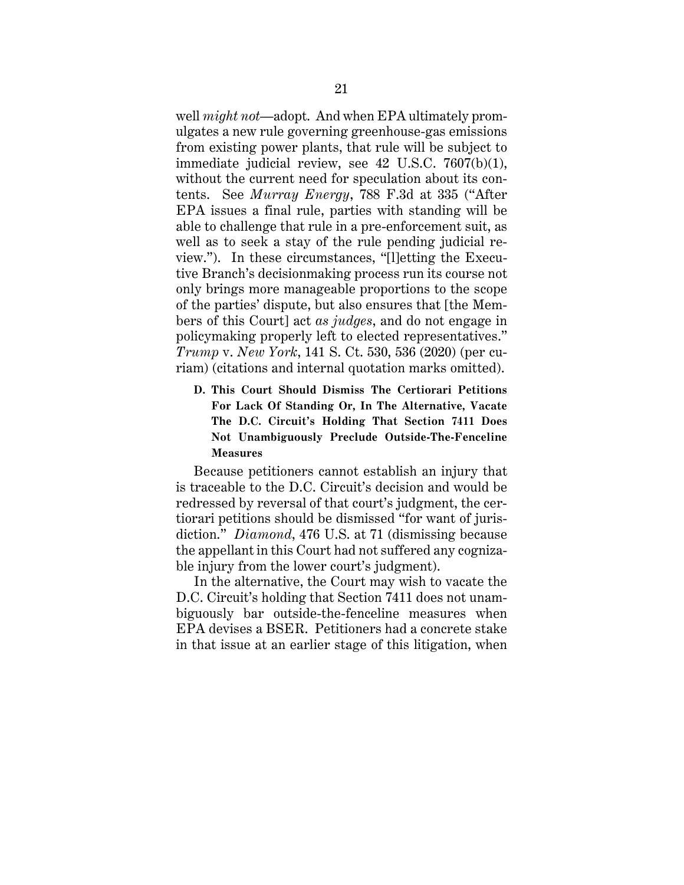well *might not*—adopt. And when EPA ultimately promulgates a new rule governing greenhouse-gas emissions from existing power plants, that rule will be subject to immediate judicial review, see 42 U.S.C. 7607(b)(1), without the current need for speculation about its contents. See *Murray Energy*, 788 F.3d at 335 ("After EPA issues a final rule, parties with standing will be able to challenge that rule in a pre-enforcement suit, as well as to seek a stay of the rule pending judicial review."). In these circumstances, "[l]etting the Executive Branch's decisionmaking process run its course not only brings more manageable proportions to the scope of the parties' dispute, but also ensures that [the Members of this Court] act *as judges*, and do not engage in policymaking properly left to elected representatives." *Trump* v. *New York*, 141 S. Ct. 530, 536 (2020) (per curiam) (citations and internal quotation marks omitted).

**D. This Court Should Dismiss The Certiorari Petitions For Lack Of Standing Or, In The Alternative, Vacate The D.C. Circuit's Holding That Section 7411 Does Not Unambiguously Preclude Outside-The-Fenceline Measures**

Because petitioners cannot establish an injury that is traceable to the D.C. Circuit's decision and would be redressed by reversal of that court's judgment, the certiorari petitions should be dismissed "for want of jurisdiction." *Diamond*, 476 U.S. at 71 (dismissing because the appellant in this Court had not suffered any cognizable injury from the lower court's judgment).

In the alternative, the Court may wish to vacate the D.C. Circuit's holding that Section 7411 does not unambiguously bar outside-the-fenceline measures when EPA devises a BSER. Petitioners had a concrete stake in that issue at an earlier stage of this litigation, when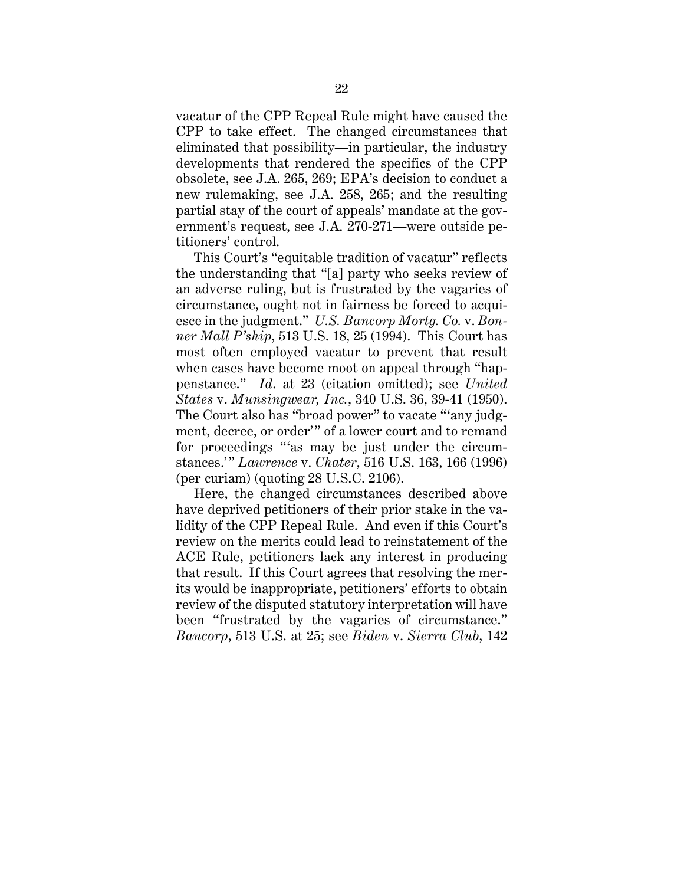vacatur of the CPP Repeal Rule might have caused the CPP to take effect. The changed circumstances that eliminated that possibility—in particular, the industry developments that rendered the specifics of the CPP obsolete, see J.A. 265, 269; EPA's decision to conduct a new rulemaking, see J.A. 258, 265; and the resulting partial stay of the court of appeals' mandate at the government's request, see J.A. 270-271—were outside petitioners' control.

This Court's "equitable tradition of vacatur" reflects the understanding that "[a] party who seeks review of an adverse ruling, but is frustrated by the vagaries of circumstance, ought not in fairness be forced to acquiesce in the judgment." *U.S. Bancorp Mortg. Co.* v. *Bonner Mall P'ship*, 513 U.S. 18, 25 (1994). This Court has most often employed vacatur to prevent that result when cases have become moot on appeal through "happenstance." *Id*. at 23 (citation omitted); see *United States* v. *Munsingwear, Inc.*, 340 U.S. 36, 39-41 (1950). The Court also has "broad power" to vacate "'any judgment, decree, or order'" of a lower court and to remand for proceedings "'as may be just under the circumstances.'" *Lawrence* v. *Chater*, 516 U.S. 163, 166 (1996) (per curiam) (quoting 28 U.S.C. 2106).

Here, the changed circumstances described above have deprived petitioners of their prior stake in the validity of the CPP Repeal Rule. And even if this Court's review on the merits could lead to reinstatement of the ACE Rule, petitioners lack any interest in producing that result. If this Court agrees that resolving the merits would be inappropriate, petitioners' efforts to obtain review of the disputed statutory interpretation will have been "frustrated by the vagaries of circumstance." *Bancorp*, 513 U.S. at 25; see *Biden* v. *Sierra Club*, 142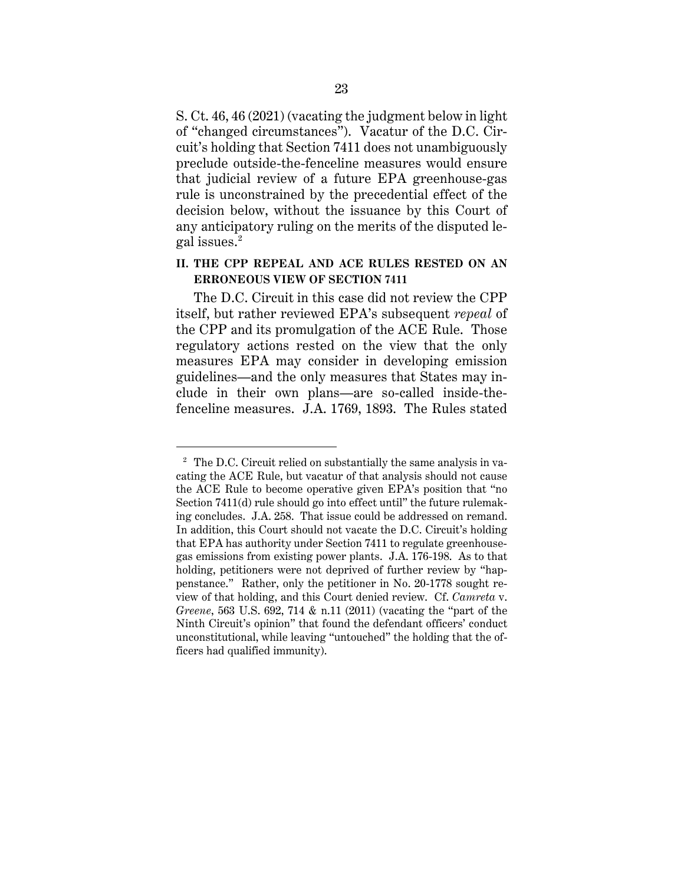S. Ct. 46, 46 (2021) (vacating the judgment below in light of "changed circumstances"). Vacatur of the D.C. Circuit's holding that Section 7411 does not unambiguously preclude outside-the-fenceline measures would ensure that judicial review of a future EPA greenhouse-gas rule is unconstrained by the precedential effect of the decision below, without the issuance by this Court of any anticipatory ruling on the merits of the disputed legal issues.2

## **II. THE CPP REPEAL AND ACE RULES RESTED ON AN ERRONEOUS VIEW OF SECTION 7411**

The D.C. Circuit in this case did not review the CPP itself, but rather reviewed EPA's subsequent *repeal* of the CPP and its promulgation of the ACE Rule. Those regulatory actions rested on the view that the only measures EPA may consider in developing emission guidelines—and the only measures that States may include in their own plans—are so-called inside-thefenceline measures. J.A. 1769, 1893. The Rules stated

<sup>&</sup>lt;sup>2</sup> The D.C. Circuit relied on substantially the same analysis in vacating the ACE Rule, but vacatur of that analysis should not cause the ACE Rule to become operative given EPA's position that "no Section 7411(d) rule should go into effect until" the future rulemaking concludes. J.A. 258. That issue could be addressed on remand. In addition, this Court should not vacate the D.C. Circuit's holding that EPA has authority under Section 7411 to regulate greenhousegas emissions from existing power plants. J.A. 176-198. As to that holding, petitioners were not deprived of further review by "happenstance." Rather, only the petitioner in No. 20-1778 sought review of that holding, and this Court denied review. Cf. *Camreta* v. *Greene*, 563 U.S. 692, 714 & n.11 (2011) (vacating the "part of the Ninth Circuit's opinion" that found the defendant officers' conduct unconstitutional, while leaving "untouched" the holding that the officers had qualified immunity).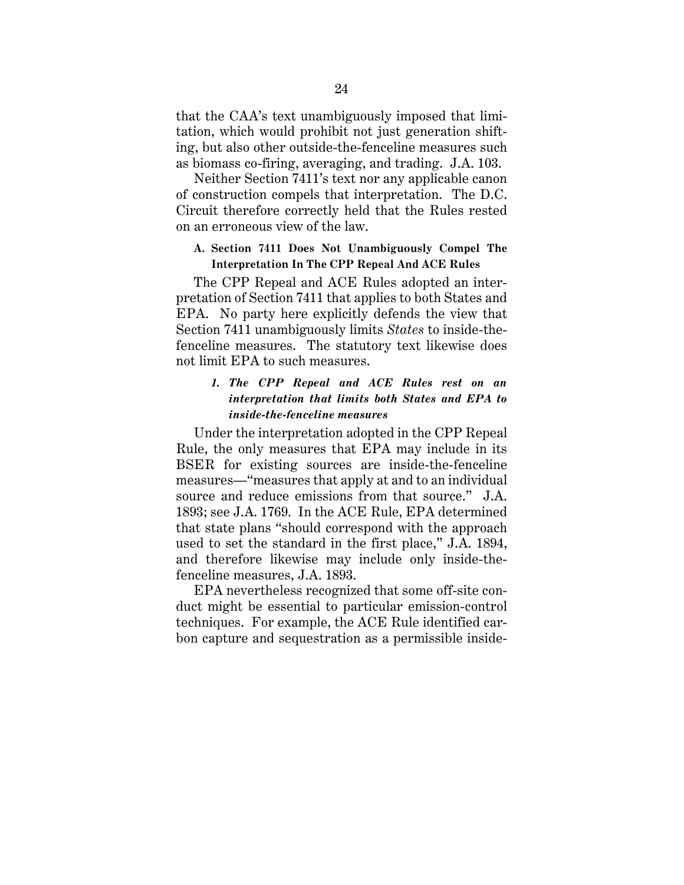that the CAA's text unambiguously imposed that limitation, which would prohibit not just generation shifting, but also other outside-the-fenceline measures such as biomass co-firing, averaging, and trading. J.A. 103.

Neither Section 7411's text nor any applicable canon of construction compels that interpretation. The D.C. Circuit therefore correctly held that the Rules rested on an erroneous view of the law.

# **A. Section 7411 Does Not Unambiguously Compel The Interpretation In The CPP Repeal And ACE Rules**

The CPP Repeal and ACE Rules adopted an interpretation of Section 7411 that applies to both States and EPA. No party here explicitly defends the view that Section 7411 unambiguously limits *States* to inside-thefenceline measures. The statutory text likewise does not limit EPA to such measures.

## *1. The CPP Repeal and ACE Rules rest on an interpretation that limits both States and EPA to inside-the-fenceline measures*

Under the interpretation adopted in the CPP Repeal Rule, the only measures that EPA may include in its BSER for existing sources are inside-the-fenceline measures—"measures that apply at and to an individual source and reduce emissions from that source." J.A. 1893; see J.A. 1769. In the ACE Rule, EPA determined that state plans "should correspond with the approach used to set the standard in the first place," J.A. 1894, and therefore likewise may include only inside-thefenceline measures, J.A. 1893.

EPA nevertheless recognized that some off-site conduct might be essential to particular emission-control techniques. For example, the ACE Rule identified carbon capture and sequestration as a permissible inside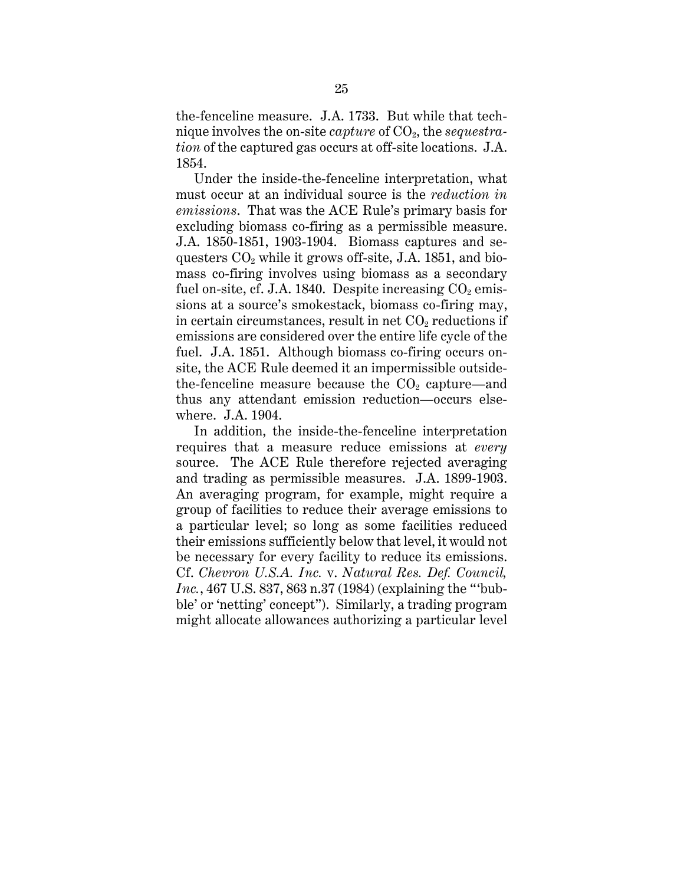the-fenceline measure. J.A. 1733. But while that technique involves the on-site *capture* of  $CO<sub>2</sub>$ , the *sequestration* of the captured gas occurs at off-site locations. J.A. 1854.

Under the inside-the-fenceline interpretation, what must occur at an individual source is the *reduction in emissions*. That was the ACE Rule's primary basis for excluding biomass co-firing as a permissible measure. J.A. 1850-1851, 1903-1904. Biomass captures and sequesters  $CO<sub>2</sub>$  while it grows off-site, J.A. 1851, and biomass co-firing involves using biomass as a secondary fuel on-site, cf. J.A. 1840. Despite increasing  $CO<sub>2</sub>$  emissions at a source's smokestack, biomass co-firing may, in certain circumstances, result in net  $CO<sub>2</sub>$  reductions if emissions are considered over the entire life cycle of the fuel. J.A. 1851. Although biomass co-firing occurs onsite, the ACE Rule deemed it an impermissible outsidethe-fenceline measure because the  $CO<sub>2</sub>$  capture—and thus any attendant emission reduction—occurs elsewhere. J.A. 1904.

In addition, the inside-the-fenceline interpretation requires that a measure reduce emissions at *every* source. The ACE Rule therefore rejected averaging and trading as permissible measures. J.A. 1899-1903. An averaging program, for example, might require a group of facilities to reduce their average emissions to a particular level; so long as some facilities reduced their emissions sufficiently below that level, it would not be necessary for every facility to reduce its emissions. Cf. *Chevron U.S.A. Inc.* v. *Natural Res. Def. Council, Inc.*, 467 U.S. 837, 863 n.37 (1984) (explaining the "'bubble' or 'netting' concept"). Similarly, a trading program might allocate allowances authorizing a particular level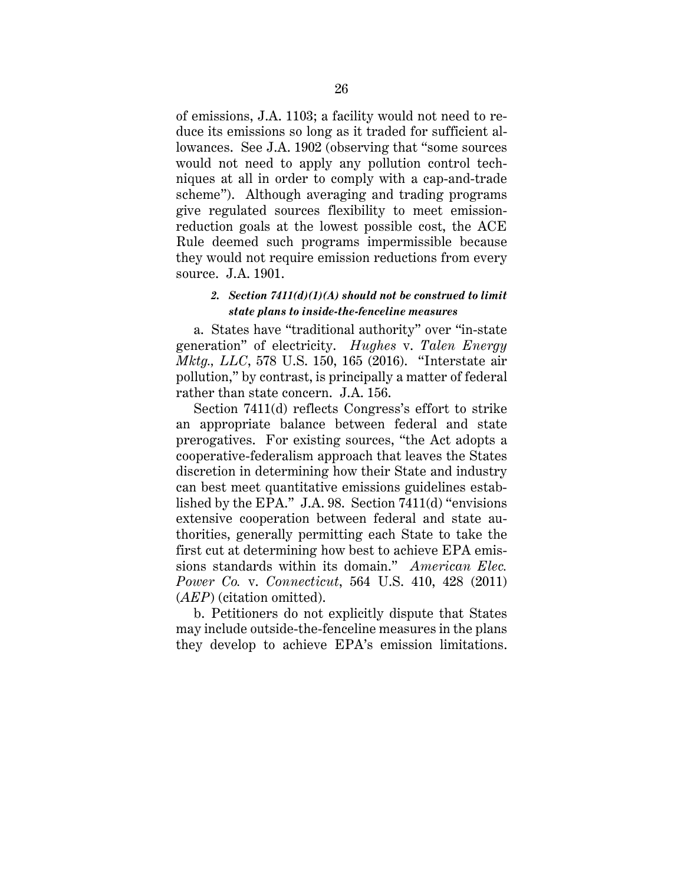of emissions, J.A. 1103; a facility would not need to reduce its emissions so long as it traded for sufficient allowances. See J.A. 1902 (observing that "some sources would not need to apply any pollution control techniques at all in order to comply with a cap-and-trade scheme"). Although averaging and trading programs give regulated sources flexibility to meet emissionreduction goals at the lowest possible cost, the ACE Rule deemed such programs impermissible because they would not require emission reductions from every source. J.A. 1901.

## *2. Section 7411(d)(1)(A) should not be construed to limit state plans to inside-the-fenceline measures*

a. States have "traditional authority" over "in-state generation" of electricity. *Hughes* v. *Talen Energy Mktg., LLC*, 578 U.S. 150, 165 (2016). "Interstate air pollution," by contrast, is principally a matter of federal rather than state concern. J.A. 156.

Section 7411(d) reflects Congress's effort to strike an appropriate balance between federal and state prerogatives. For existing sources, "the Act adopts a cooperative-federalism approach that leaves the States discretion in determining how their State and industry can best meet quantitative emissions guidelines established by the EPA." J.A. 98. Section 7411(d) "envisions extensive cooperation between federal and state authorities, generally permitting each State to take the first cut at determining how best to achieve EPA emissions standards within its domain." *American Elec. Power Co.* v. *Connecticut*, 564 U.S. 410, 428 (2011) (*AEP*) (citation omitted).

b. Petitioners do not explicitly dispute that States may include outside-the-fenceline measures in the plans they develop to achieve EPA's emission limitations.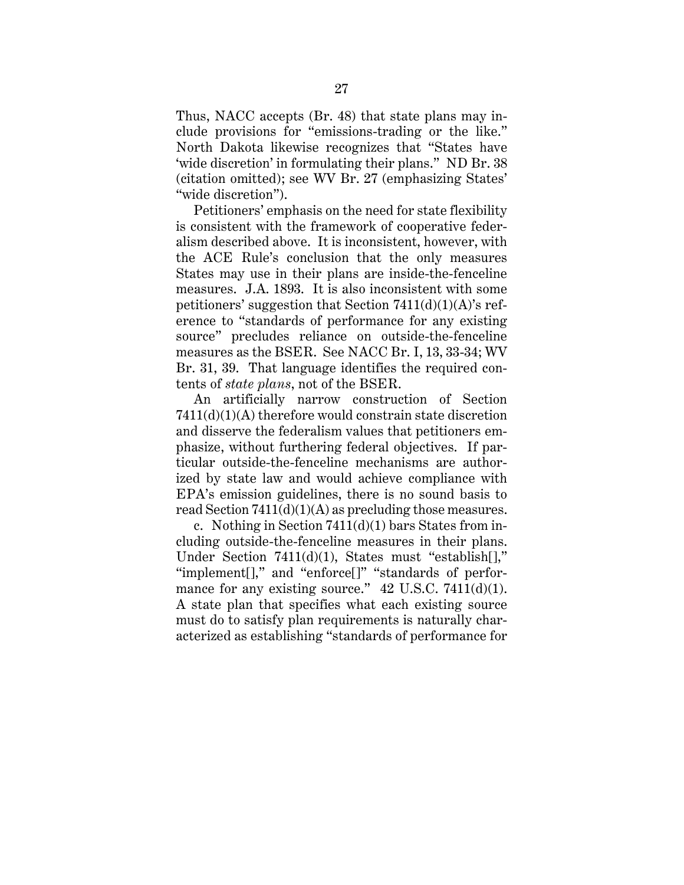Thus, NACC accepts (Br. 48) that state plans may include provisions for "emissions-trading or the like." North Dakota likewise recognizes that "States have 'wide discretion' in formulating their plans." ND Br. 38 (citation omitted); see WV Br. 27 (emphasizing States' "wide discretion").

Petitioners' emphasis on the need for state flexibility is consistent with the framework of cooperative federalism described above. It is inconsistent, however, with the ACE Rule's conclusion that the only measures States may use in their plans are inside-the-fenceline measures. J.A. 1893. It is also inconsistent with some petitioners' suggestion that Section  $7411(d)(1)(A)$ 's reference to "standards of performance for any existing source" precludes reliance on outside-the-fenceline measures as the BSER. See NACC Br. I, 13, 33-34; WV Br. 31, 39. That language identifies the required contents of *state plans*, not of the BSER.

An artificially narrow construction of Section 7411(d)(1)(A) therefore would constrain state discretion and disserve the federalism values that petitioners emphasize, without furthering federal objectives. If particular outside-the-fenceline mechanisms are authorized by state law and would achieve compliance with EPA's emission guidelines, there is no sound basis to read Section  $7411(d)(1)(A)$  as precluding those measures.

c. Nothing in Section  $7411(d)(1)$  bars States from including outside-the-fenceline measures in their plans. Under Section 7411(d)(1), States must "establish[]," "implement[]," and "enforce[]" "standards of performance for any existing source." 42 U.S.C. 7411(d)(1). A state plan that specifies what each existing source must do to satisfy plan requirements is naturally characterized as establishing "standards of performance for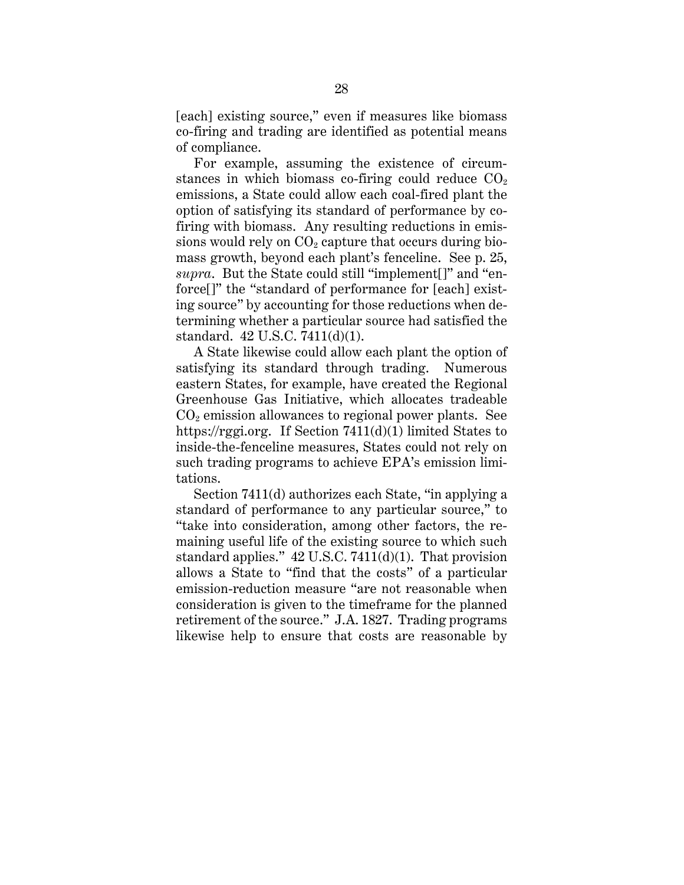[each] existing source," even if measures like biomass co-firing and trading are identified as potential means of compliance.

For example, assuming the existence of circumstances in which biomass co-firing could reduce  $CO<sub>2</sub>$ emissions, a State could allow each coal-fired plant the option of satisfying its standard of performance by cofiring with biomass. Any resulting reductions in emissions would rely on  $CO<sub>2</sub>$  capture that occurs during biomass growth, beyond each plant's fenceline. See p. 25, *supra*. But the State could still "implement[]" and "enforce[]" the "standard of performance for [each] existing source" by accounting for those reductions when determining whether a particular source had satisfied the standard. 42 U.S.C. 7411(d)(1).

A State likewise could allow each plant the option of satisfying its standard through trading. Numerous eastern States, for example, have created the Regional Greenhouse Gas Initiative, which allocates tradeable  $CO<sub>2</sub>$  emission allowances to regional power plants. See https://rggi.org. If Section 7411(d)(1) limited States to inside-the-fenceline measures, States could not rely on such trading programs to achieve EPA's emission limitations.

Section 7411(d) authorizes each State, "in applying a standard of performance to any particular source," to "take into consideration, among other factors, the remaining useful life of the existing source to which such standard applies." 42 U.S.C. 7411(d)(1). That provision allows a State to "find that the costs" of a particular emission-reduction measure "are not reasonable when consideration is given to the timeframe for the planned retirement of the source." J.A. 1827. Trading programs likewise help to ensure that costs are reasonable by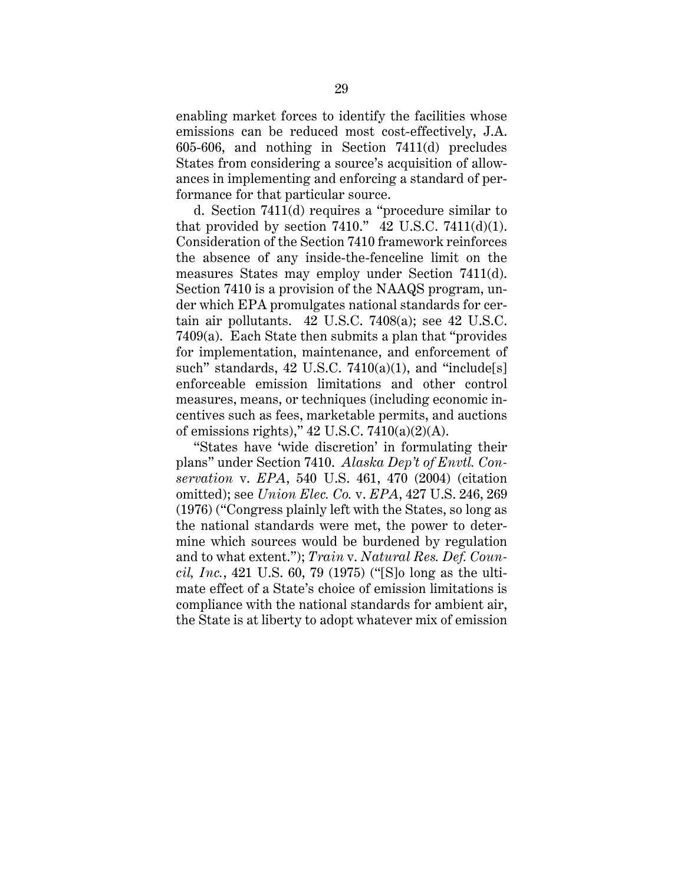enabling market forces to identify the facilities whose emissions can be reduced most cost-effectively, J.A. 605-606, and nothing in Section 7411(d) precludes States from considering a source's acquisition of allowances in implementing and enforcing a standard of performance for that particular source.

d. Section 7411(d) requires a "procedure similar to that provided by section  $7410$ ."  $42 \text{ U.S.C. } 7411 \text{ (d)}(1)$ . Consideration of the Section 7410 framework reinforces the absence of any inside-the-fenceline limit on the measures States may employ under Section 7411(d). Section 7410 is a provision of the NAAQS program, under which EPA promulgates national standards for certain air pollutants. 42 U.S.C. 7408(a); see 42 U.S.C. 7409(a). Each State then submits a plan that "provides for implementation, maintenance, and enforcement of such" standards,  $42 \text{ U.S.C. } 7410(a)(1)$ , and "include[s] enforceable emission limitations and other control measures, means, or techniques (including economic incentives such as fees, marketable permits, and auctions of emissions rights),"  $42$  U.S.C.  $7410(a)(2)(A)$ .

"States have 'wide discretion' in formulating their plans" under Section 7410. *Alaska Dep't of Envtl. Conservation* v. *EPA*, 540 U.S. 461, 470 (2004) (citation omitted); see *Union Elec. Co.* v. *EPA*, 427 U.S. 246, 269 (1976) ("Congress plainly left with the States, so long as the national standards were met, the power to determine which sources would be burdened by regulation and to what extent."); *Train* v. *Natural Res. Def. Council, Inc.*, 421 U.S. 60, 79 (1975) ("[S]o long as the ultimate effect of a State's choice of emission limitations is compliance with the national standards for ambient air, the State is at liberty to adopt whatever mix of emission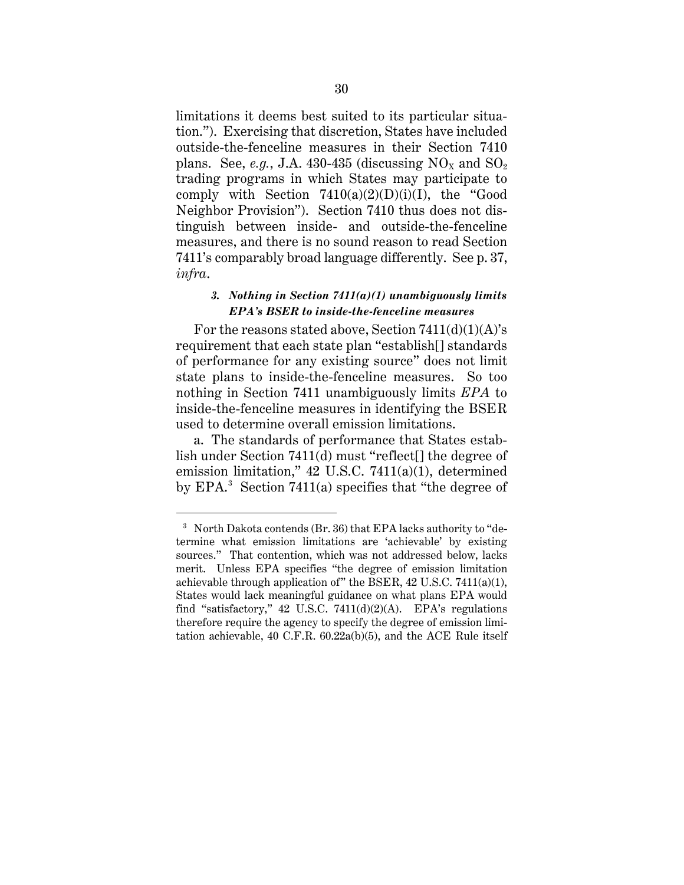limitations it deems best suited to its particular situation."). Exercising that discretion, States have included outside-the-fenceline measures in their Section 7410 plans. See, *e.g.*, J.A. 430-435 (discussing  $NO_x$  and  $SO_2$ ) trading programs in which States may participate to comply with Section  $7410(a)(2)(D)(i)(I)$ , the "Good Neighbor Provision"). Section 7410 thus does not distinguish between inside- and outside-the-fenceline measures, and there is no sound reason to read Section 7411's comparably broad language differently. See p. 37, *infra*.

### *3. Nothing in Section 7411(a)(1) unambiguously limits EPA's BSER to inside-the-fenceline measures*

For the reasons stated above, Section  $7411(d)(1)(A)$ 's requirement that each state plan "establish[] standards of performance for any existing source" does not limit state plans to inside-the-fenceline measures. So too nothing in Section 7411 unambiguously limits *EPA* to inside-the-fenceline measures in identifying the BSER used to determine overall emission limitations.

a. The standards of performance that States establish under Section 7411(d) must "reflect[] the degree of emission limitation," 42 U.S.C. 7411(a)(1), determined by EPA.<sup>3</sup> Section 7411(a) specifies that "the degree of

<sup>&</sup>lt;sup>3</sup> North Dakota contends (Br. 36) that EPA lacks authority to "determine what emission limitations are 'achievable' by existing sources." That contention, which was not addressed below, lacks merit. Unless EPA specifies "the degree of emission limitation achievable through application of" the BSER, 42 U.S.C. 7411(a)(1), States would lack meaningful guidance on what plans EPA would find "satisfactory," 42 U.S.C. 7411(d)(2)(A). EPA's regulations therefore require the agency to specify the degree of emission limitation achievable, 40 C.F.R. 60.22a(b)(5), and the ACE Rule itself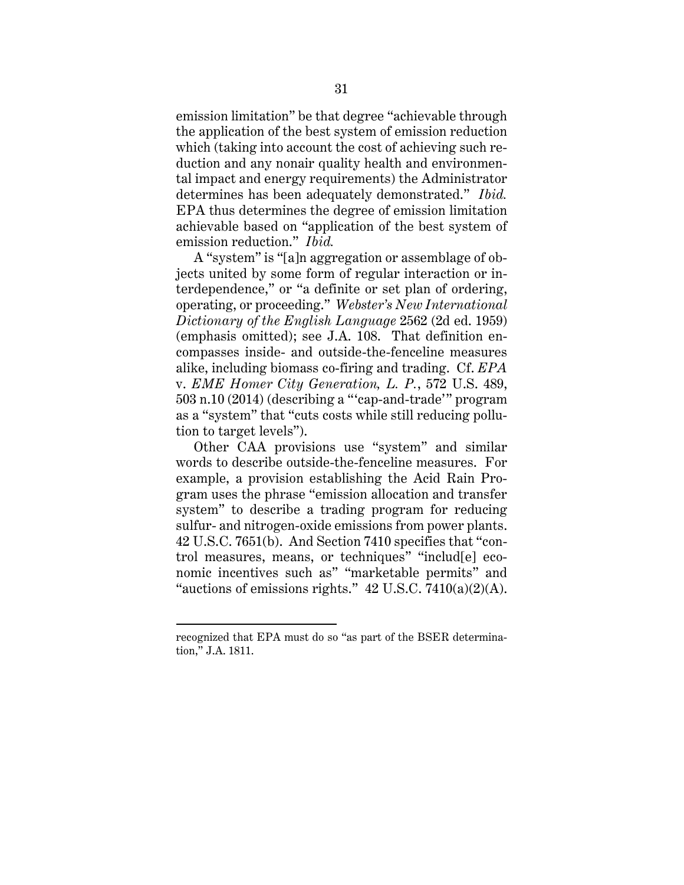emission limitation" be that degree "achievable through the application of the best system of emission reduction which (taking into account the cost of achieving such reduction and any nonair quality health and environmental impact and energy requirements) the Administrator determines has been adequately demonstrated." *Ibid.* EPA thus determines the degree of emission limitation achievable based on "application of the best system of emission reduction." *Ibid.*

A "system" is "[a]n aggregation or assemblage of objects united by some form of regular interaction or interdependence," or "a definite or set plan of ordering, operating, or proceeding." *Webster's New International Dictionary of the English Language* 2562 (2d ed. 1959) (emphasis omitted); see J.A. 108. That definition encompasses inside- and outside-the-fenceline measures alike, including biomass co-firing and trading. Cf. *EPA* v. *EME Homer City Generation, L. P.*, 572 U.S. 489, 503 n.10 (2014) (describing a "'cap-and-trade'" program as a "system" that "cuts costs while still reducing pollution to target levels").

Other CAA provisions use "system" and similar words to describe outside-the-fenceline measures. For example, a provision establishing the Acid Rain Program uses the phrase "emission allocation and transfer system" to describe a trading program for reducing sulfur- and nitrogen-oxide emissions from power plants. 42 U.S.C. 7651(b). And Section 7410 specifies that "control measures, means, or techniques" "includ[e] economic incentives such as" "marketable permits" and "auctions of emissions rights."  $42 \text{ U.S.C. } 7410(a)(2)(\text{A}).$ 

recognized that EPA must do so "as part of the BSER determination," J.A. 1811.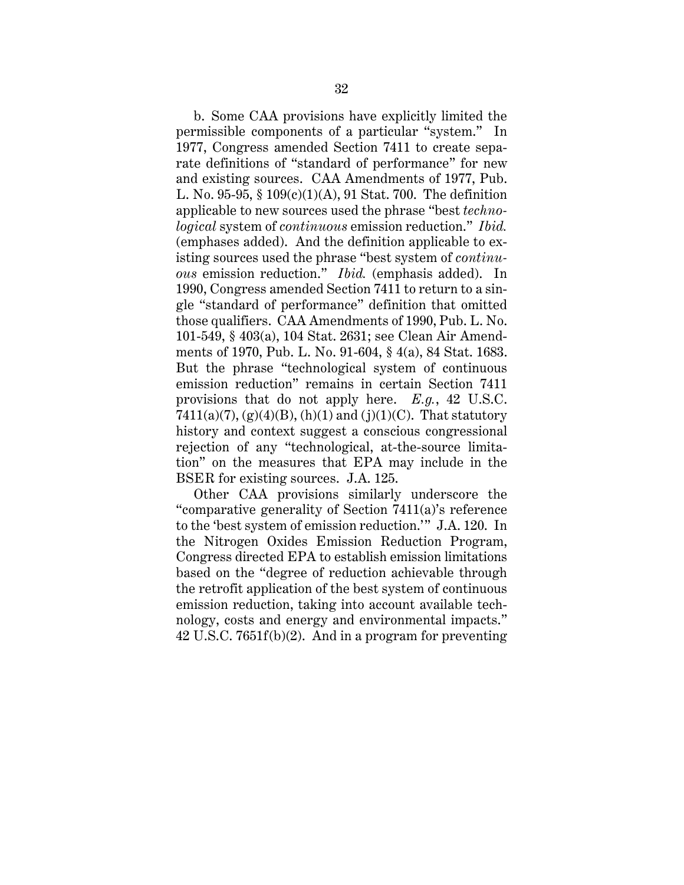b. Some CAA provisions have explicitly limited the permissible components of a particular "system." In 1977, Congress amended Section 7411 to create separate definitions of "standard of performance" for new and existing sources. CAA Amendments of 1977, Pub. L. No. 95-95, § 109(c)(1)(A), 91 Stat. 700. The definition applicable to new sources used the phrase "best *technological* system of *continuous* emission reduction." *Ibid.* (emphases added). And the definition applicable to existing sources used the phrase "best system of *continuous* emission reduction." *Ibid.* (emphasis added). In 1990, Congress amended Section 7411 to return to a single "standard of performance" definition that omitted those qualifiers. CAA Amendments of 1990, Pub. L. No. 101-549, § 403(a), 104 Stat. 2631; see Clean Air Amendments of 1970, Pub. L. No. 91-604, § 4(a), 84 Stat. 1683. But the phrase "technological system of continuous emission reduction" remains in certain Section 7411 provisions that do not apply here. *E.g.*, 42 U.S.C. 7411(a)(7), (g)(4)(B), (h)(1) and (j)(1)(C). That statutory history and context suggest a conscious congressional rejection of any "technological, at-the-source limitation" on the measures that EPA may include in the BSER for existing sources. J.A. 125.

Other CAA provisions similarly underscore the "comparative generality of Section 7411(a)'s reference to the 'best system of emission reduction.'" J.A. 120. In the Nitrogen Oxides Emission Reduction Program, Congress directed EPA to establish emission limitations based on the "degree of reduction achievable through the retrofit application of the best system of continuous emission reduction, taking into account available technology, costs and energy and environmental impacts." 42 U.S.C. 7651f(b)(2). And in a program for preventing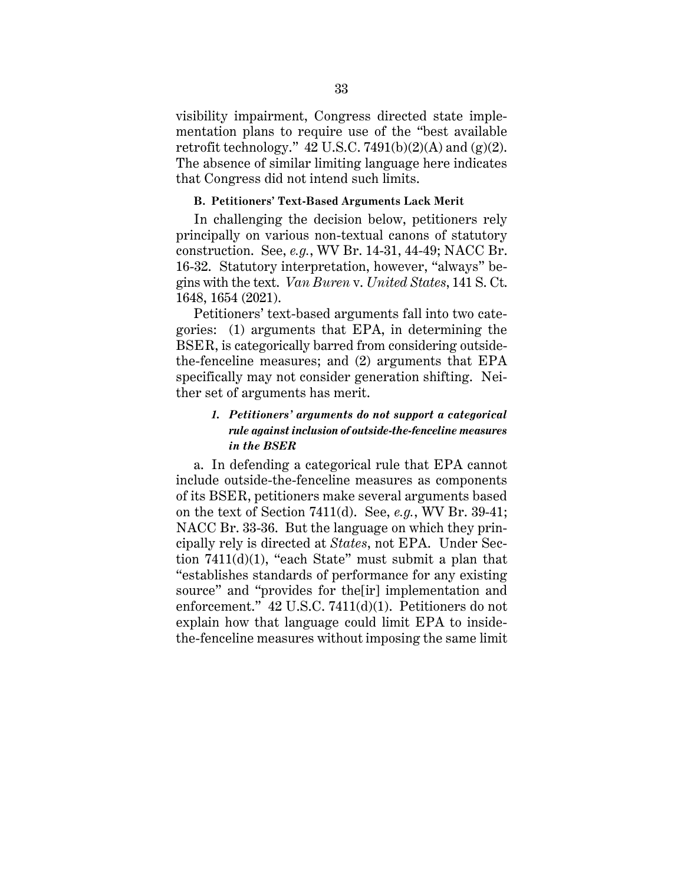visibility impairment, Congress directed state implementation plans to require use of the "best available retrofit technology."  $42 \text{ U.S.C. } 7491(b)(2)(\text{A})$  and  $(g)(2)$ . The absence of similar limiting language here indicates that Congress did not intend such limits.

#### **B. Petitioners' Text-Based Arguments Lack Merit**

In challenging the decision below, petitioners rely principally on various non-textual canons of statutory construction. See, *e.g.*, WV Br. 14-31, 44-49; NACC Br. 16-32. Statutory interpretation, however, "always" begins with the text. *Van Buren* v. *United States*, 141 S. Ct. 1648, 1654 (2021).

Petitioners' text-based arguments fall into two categories: (1) arguments that EPA, in determining the BSER, is categorically barred from considering outsidethe-fenceline measures; and (2) arguments that EPA specifically may not consider generation shifting. Neither set of arguments has merit.

# *1. Petitioners' arguments do not support a categorical rule against inclusion of outside-the-fenceline measures in the BSER*

a. In defending a categorical rule that EPA cannot include outside-the-fenceline measures as components of its BSER, petitioners make several arguments based on the text of Section 7411(d). See, *e.g.*, WV Br. 39-41; NACC Br. 33-36. But the language on which they principally rely is directed at *States*, not EPA. Under Section  $7411(d)(1)$ , "each State" must submit a plan that "establishes standards of performance for any existing source" and "provides for the[ir] implementation and enforcement." 42 U.S.C. 7411(d)(1). Petitioners do not explain how that language could limit EPA to insidethe-fenceline measures without imposing the same limit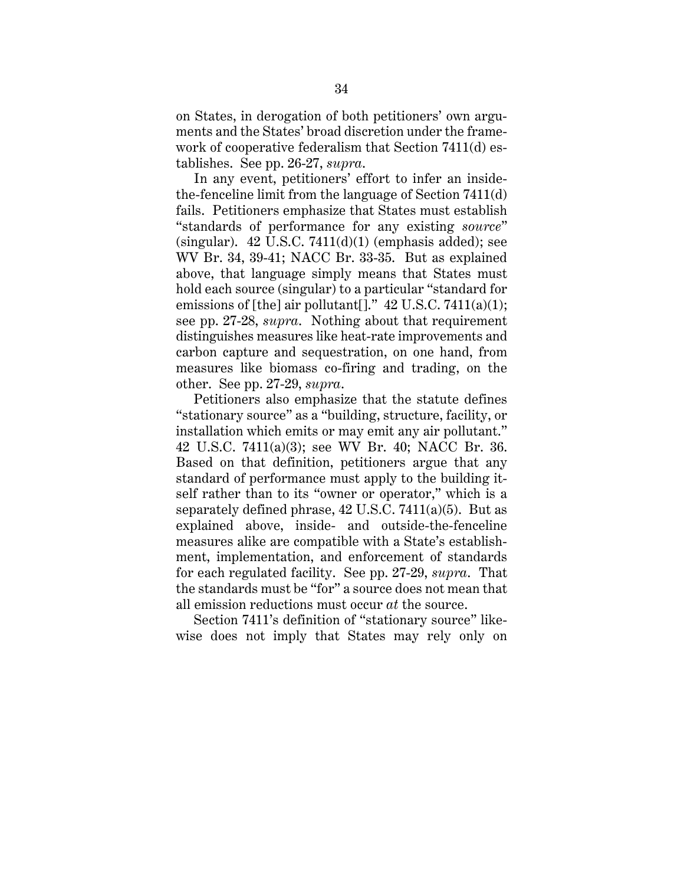on States, in derogation of both petitioners' own arguments and the States' broad discretion under the framework of cooperative federalism that Section 7411(d) establishes. See pp. 26-27, *supra*.

In any event, petitioners' effort to infer an insidethe-fenceline limit from the language of Section 7411(d) fails. Petitioners emphasize that States must establish "standards of performance for any existing *source*" (singular).  $42 \text{ U.S.C. } 7411\text{ (d)}(1)$  (emphasis added); see WV Br. 34, 39-41; NACC Br. 33-35. But as explained above, that language simply means that States must hold each source (singular) to a particular "standard for emissions of [the] air pollutant []."  $42 \text{ U.S.C. } 7411(a)(1);$ see pp. 27-28, *supra*. Nothing about that requirement distinguishes measures like heat-rate improvements and carbon capture and sequestration, on one hand, from measures like biomass co-firing and trading, on the other. See pp. 27-29, *supra*.

Petitioners also emphasize that the statute defines "stationary source" as a "building, structure, facility, or installation which emits or may emit any air pollutant." 42 U.S.C. 7411(a)(3); see WV Br. 40; NACC Br. 36. Based on that definition, petitioners argue that any standard of performance must apply to the building itself rather than to its "owner or operator," which is a separately defined phrase, 42 U.S.C. 7411(a)(5). But as explained above, inside- and outside-the-fenceline measures alike are compatible with a State's establishment, implementation, and enforcement of standards for each regulated facility. See pp. 27-29, *supra*. That the standards must be "for" a source does not mean that all emission reductions must occur *at* the source.

Section 7411's definition of "stationary source" likewise does not imply that States may rely only on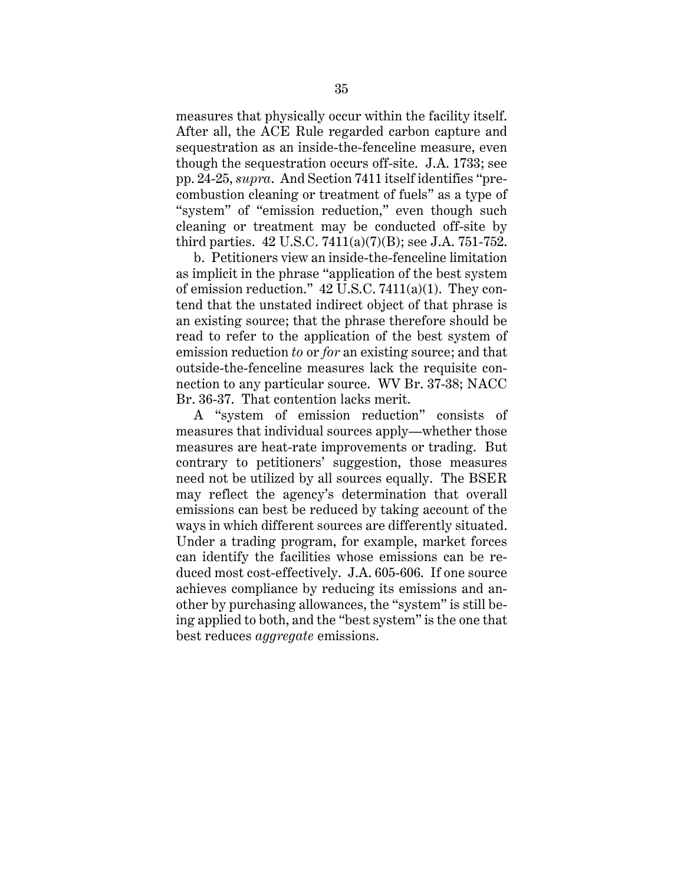measures that physically occur within the facility itself. After all, the ACE Rule regarded carbon capture and sequestration as an inside-the-fenceline measure, even though the sequestration occurs off-site. J.A. 1733; see pp. 24-25, *supra*. And Section 7411 itself identifies "precombustion cleaning or treatment of fuels" as a type of "system" of "emission reduction," even though such cleaning or treatment may be conducted off-site by third parties. 42 U.S.C. 7411(a)(7)(B); see J.A. 751-752.

b. Petitioners view an inside-the-fenceline limitation as implicit in the phrase "application of the best system of emission reduction." 42 U.S.C. 7411(a)(1). They contend that the unstated indirect object of that phrase is an existing source; that the phrase therefore should be read to refer to the application of the best system of emission reduction *to* or *for* an existing source; and that outside-the-fenceline measures lack the requisite connection to any particular source. WV Br. 37-38; NACC Br. 36-37. That contention lacks merit.

A "system of emission reduction" consists of measures that individual sources apply—whether those measures are heat-rate improvements or trading. But contrary to petitioners' suggestion, those measures need not be utilized by all sources equally. The BSER may reflect the agency's determination that overall emissions can best be reduced by taking account of the ways in which different sources are differently situated. Under a trading program, for example, market forces can identify the facilities whose emissions can be reduced most cost-effectively. J.A. 605-606. If one source achieves compliance by reducing its emissions and another by purchasing allowances, the "system" is still being applied to both, and the "best system" is the one that best reduces *aggregate* emissions.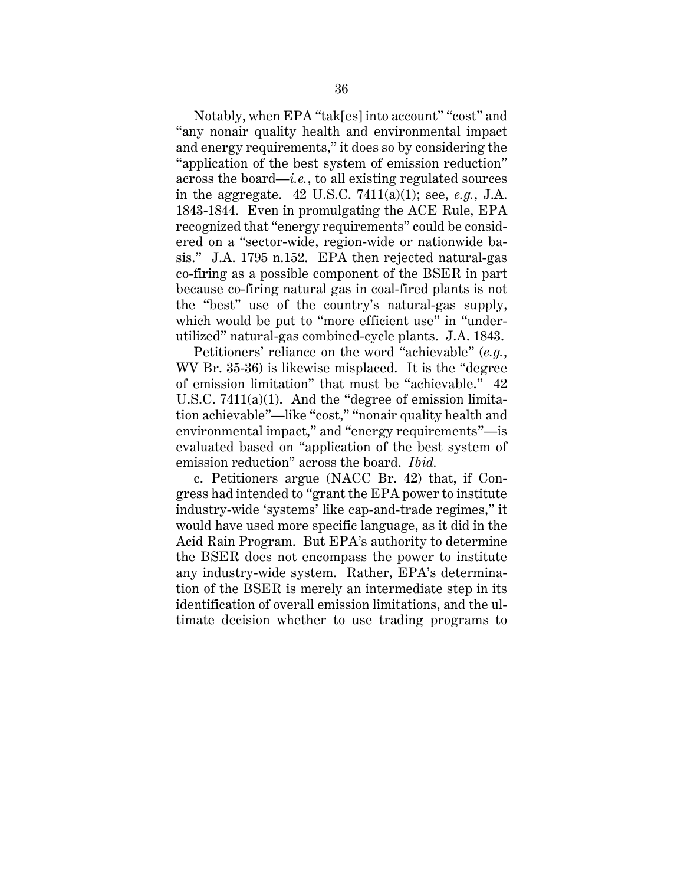Notably, when EPA "tak[es] into account" "cost" and "any nonair quality health and environmental impact and energy requirements," it does so by considering the "application of the best system of emission reduction" across the board—*i.e.*, to all existing regulated sources in the aggregate. 42 U.S.C. 7411(a)(1); see, *e.g.*, J.A. 1843-1844. Even in promulgating the ACE Rule, EPA recognized that "energy requirements" could be considered on a "sector-wide, region-wide or nationwide basis." J.A. 1795 n.152. EPA then rejected natural-gas co-firing as a possible component of the BSER in part because co-firing natural gas in coal-fired plants is not the "best" use of the country's natural-gas supply, which would be put to "more efficient use" in "underutilized" natural-gas combined-cycle plants. J.A. 1843.

Petitioners' reliance on the word "achievable" (*e.g.*, WV Br. 35-36) is likewise misplaced. It is the "degree of emission limitation" that must be "achievable." 42 U.S.C. 7411(a)(1). And the "degree of emission limitation achievable"—like "cost," "nonair quality health and environmental impact," and "energy requirements"—is evaluated based on "application of the best system of emission reduction" across the board. *Ibid.*

c. Petitioners argue (NACC Br. 42) that, if Congress had intended to "grant the EPA power to institute industry-wide 'systems' like cap-and-trade regimes," it would have used more specific language, as it did in the Acid Rain Program. But EPA's authority to determine the BSER does not encompass the power to institute any industry-wide system. Rather, EPA's determination of the BSER is merely an intermediate step in its identification of overall emission limitations, and the ultimate decision whether to use trading programs to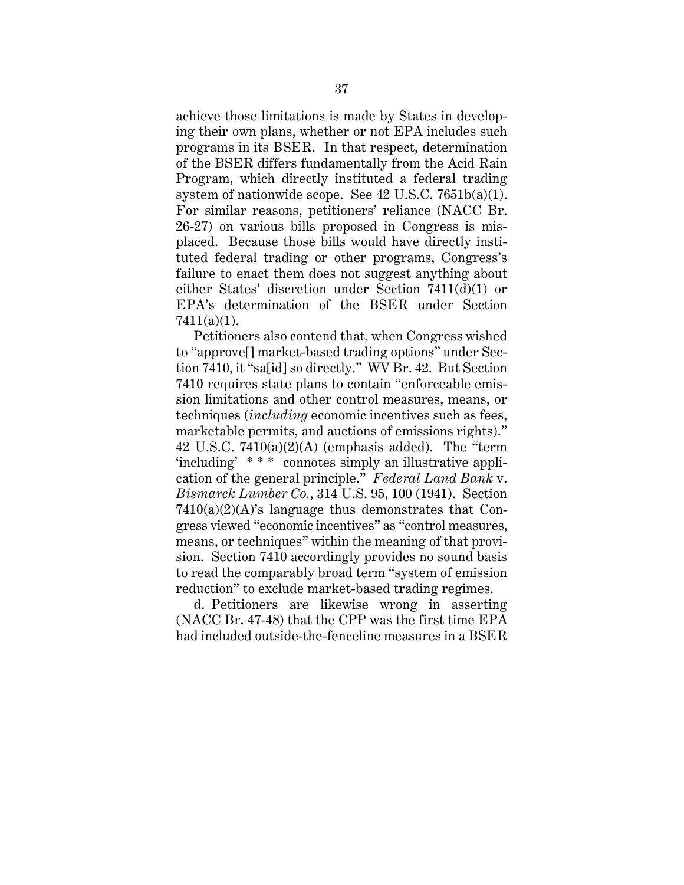achieve those limitations is made by States in developing their own plans, whether or not EPA includes such programs in its BSER. In that respect, determination of the BSER differs fundamentally from the Acid Rain Program, which directly instituted a federal trading system of nationwide scope. See 42 U.S.C. 7651b(a)(1). For similar reasons, petitioners' reliance (NACC Br. 26-27) on various bills proposed in Congress is misplaced. Because those bills would have directly instituted federal trading or other programs, Congress's failure to enact them does not suggest anything about either States' discretion under Section 7411(d)(1) or EPA's determination of the BSER under Section 7411(a)(1).

Petitioners also contend that, when Congress wished to "approve[] market-based trading options" under Section 7410, it "sa[id] so directly." WV Br. 42. But Section 7410 requires state plans to contain "enforceable emission limitations and other control measures, means, or techniques (*including* economic incentives such as fees, marketable permits, and auctions of emissions rights)." 42 U.S.C.  $7410(a)(2)(A)$  (emphasis added). The "term 'including' \* \* \* connotes simply an illustrative application of the general principle." *Federal Land Bank* v. *Bismarck Lumber Co.*, 314 U.S. 95, 100 (1941). Section  $7410(a)(2)(A)$ 's language thus demonstrates that Congress viewed "economic incentives" as "control measures, means, or techniques" within the meaning of that provision. Section 7410 accordingly provides no sound basis to read the comparably broad term "system of emission reduction" to exclude market-based trading regimes.

d. Petitioners are likewise wrong in asserting (NACC Br. 47-48) that the CPP was the first time EPA had included outside-the-fenceline measures in a BSER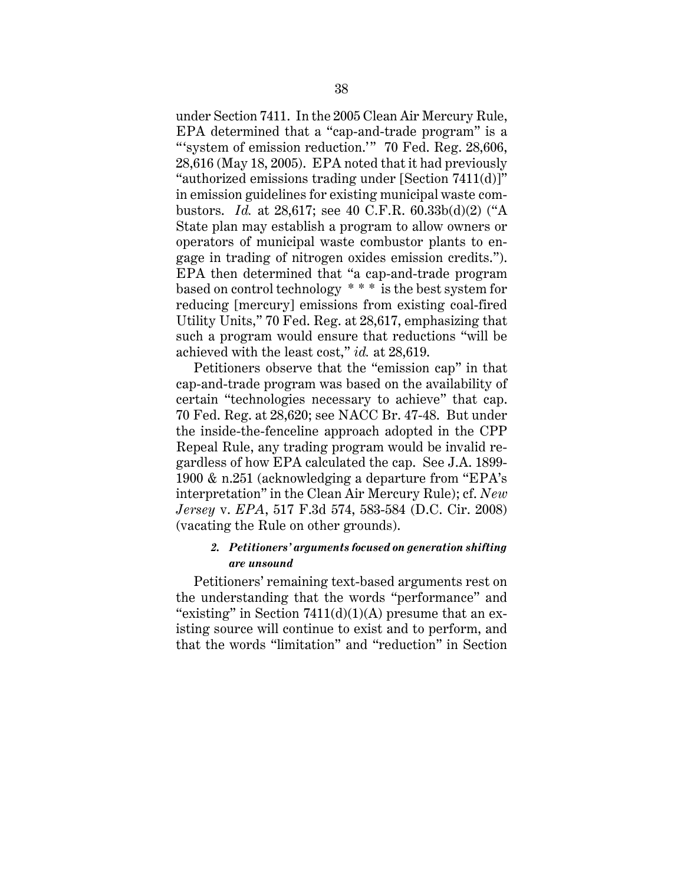under Section 7411. In the 2005 Clean Air Mercury Rule, EPA determined that a "cap-and-trade program" is a "system of emission reduction." 70 Fed. Reg. 28,606, 28,616 (May 18, 2005). EPA noted that it had previously "authorized emissions trading under [Section 7411(d)]" in emission guidelines for existing municipal waste combustors. *Id.* at 28,617; see 40 C.F.R. 60.33b(d)(2) ("A State plan may establish a program to allow owners or operators of municipal waste combustor plants to engage in trading of nitrogen oxides emission credits."). EPA then determined that "a cap-and-trade program based on control technology \* \* \* is the best system for reducing [mercury] emissions from existing coal-fired Utility Units," 70 Fed. Reg. at 28,617, emphasizing that such a program would ensure that reductions "will be achieved with the least cost," *id.* at 28,619.

Petitioners observe that the "emission cap" in that cap-and-trade program was based on the availability of certain "technologies necessary to achieve" that cap. 70 Fed. Reg. at 28,620; see NACC Br. 47-48. But under the inside-the-fenceline approach adopted in the CPP Repeal Rule, any trading program would be invalid regardless of how EPA calculated the cap. See J.A. 1899- 1900 & n.251 (acknowledging a departure from "EPA's interpretation" in the Clean Air Mercury Rule); cf. *New Jersey* v. *EPA*, 517 F.3d 574, 583-584 (D.C. Cir. 2008) (vacating the Rule on other grounds).

## *2. Petitioners' arguments focused on generation shifting are unsound*

Petitioners' remaining text-based arguments rest on the understanding that the words "performance" and "existing" in Section  $7411(d)(1)(A)$  presume that an existing source will continue to exist and to perform, and that the words "limitation" and "reduction" in Section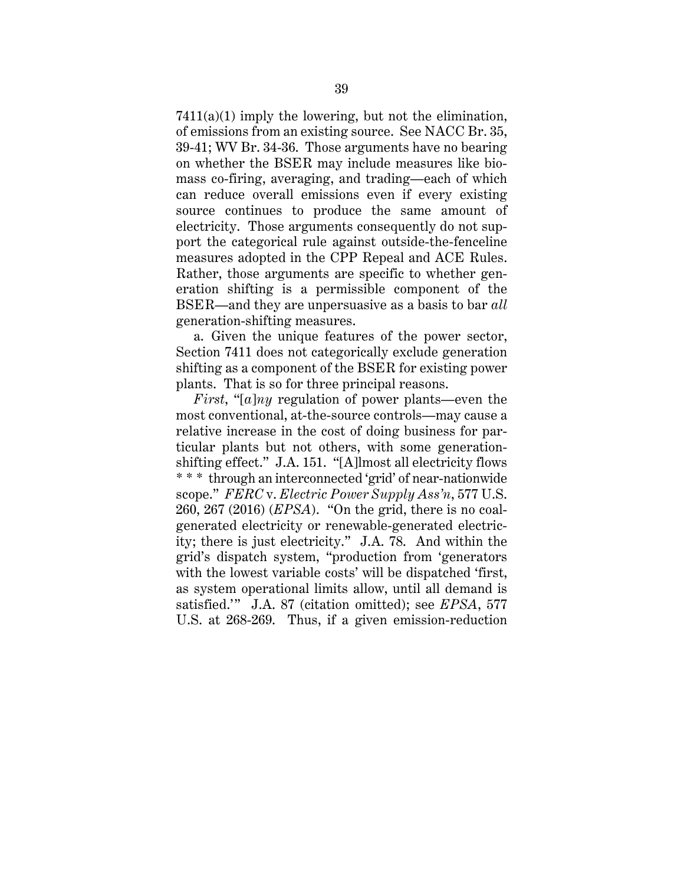7411(a)(1) imply the lowering, but not the elimination, of emissions from an existing source. See NACC Br. 35, 39-41; WV Br. 34-36. Those arguments have no bearing on whether the BSER may include measures like biomass co-firing, averaging, and trading—each of which can reduce overall emissions even if every existing source continues to produce the same amount of electricity. Those arguments consequently do not support the categorical rule against outside-the-fenceline measures adopted in the CPP Repeal and ACE Rules. Rather, those arguments are specific to whether generation shifting is a permissible component of the BSER—and they are unpersuasive as a basis to bar *all* generation-shifting measures.

a. Given the unique features of the power sector, Section 7411 does not categorically exclude generation shifting as a component of the BSER for existing power plants. That is so for three principal reasons.

*First*, "[*a*]*ny* regulation of power plants—even the most conventional, at-the-source controls—may cause a relative increase in the cost of doing business for particular plants but not others, with some generationshifting effect." J.A. 151. "[A]lmost all electricity flows \* \* \* through an interconnected 'grid' of near-nationwide scope." *FERC* v. *Electric Power Supply Ass'n*, 577 U.S. 260, 267 (2016) (*EPSA*). "On the grid, there is no coalgenerated electricity or renewable-generated electricity; there is just electricity." J.A. 78. And within the grid's dispatch system, "production from 'generators with the lowest variable costs' will be dispatched 'first, as system operational limits allow, until all demand is satisfied.'" J.A. 87 (citation omitted); see *EPSA*, 577 U.S. at 268-269. Thus, if a given emission-reduction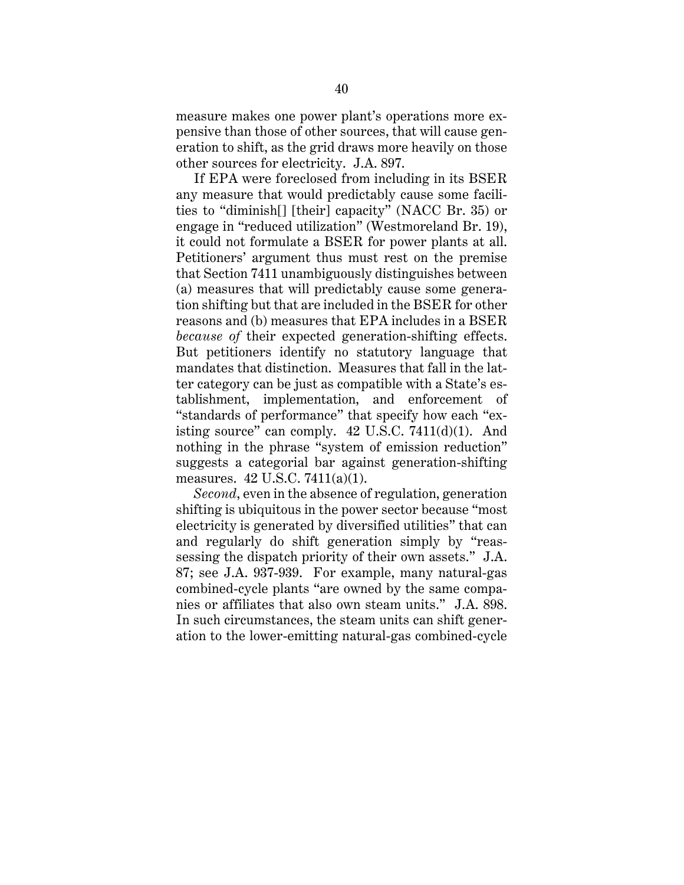measure makes one power plant's operations more expensive than those of other sources, that will cause generation to shift, as the grid draws more heavily on those other sources for electricity. J.A. 897.

If EPA were foreclosed from including in its BSER any measure that would predictably cause some facilities to "diminish[] [their] capacity" (NACC Br. 35) or engage in "reduced utilization" (Westmoreland Br. 19), it could not formulate a BSER for power plants at all. Petitioners' argument thus must rest on the premise that Section 7411 unambiguously distinguishes between (a) measures that will predictably cause some generation shifting but that are included in the BSER for other reasons and (b) measures that EPA includes in a BSER *because of* their expected generation-shifting effects. But petitioners identify no statutory language that mandates that distinction. Measures that fall in the latter category can be just as compatible with a State's establishment, implementation, and enforcement of "standards of performance" that specify how each "existing source" can comply.  $42 \text{ U.S.C. } 7411\text{ (d)}(1)$ . And nothing in the phrase "system of emission reduction" suggests a categorial bar against generation-shifting measures. 42 U.S.C. 7411(a)(1).

*Second*, even in the absence of regulation, generation shifting is ubiquitous in the power sector because "most electricity is generated by diversified utilities" that can and regularly do shift generation simply by "reassessing the dispatch priority of their own assets." J.A. 87; see J.A. 937-939. For example, many natural-gas combined-cycle plants "are owned by the same companies or affiliates that also own steam units." J.A. 898. In such circumstances, the steam units can shift generation to the lower-emitting natural-gas combined-cycle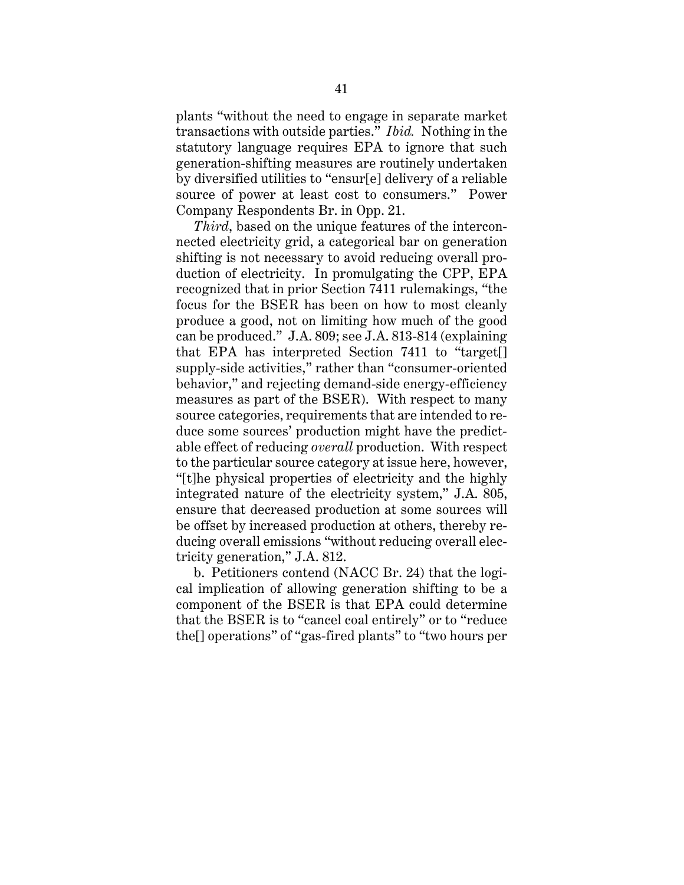plants "without the need to engage in separate market transactions with outside parties." *Ibid.* Nothing in the statutory language requires EPA to ignore that such generation-shifting measures are routinely undertaken by diversified utilities to "ensur[e] delivery of a reliable source of power at least cost to consumers." Power Company Respondents Br. in Opp. 21.

*Third*, based on the unique features of the interconnected electricity grid, a categorical bar on generation shifting is not necessary to avoid reducing overall production of electricity. In promulgating the CPP, EPA recognized that in prior Section 7411 rulemakings, "the focus for the BSER has been on how to most cleanly produce a good, not on limiting how much of the good can be produced." J.A. 809; see J.A. 813-814 (explaining that EPA has interpreted Section 7411 to "target[] supply-side activities," rather than "consumer-oriented behavior," and rejecting demand-side energy-efficiency measures as part of the BSER). With respect to many source categories, requirements that are intended to reduce some sources' production might have the predictable effect of reducing *overall* production. With respect to the particular source category at issue here, however, "[t]he physical properties of electricity and the highly integrated nature of the electricity system," J.A. 805, ensure that decreased production at some sources will be offset by increased production at others, thereby reducing overall emissions "without reducing overall electricity generation," J.A. 812.

b. Petitioners contend (NACC Br. 24) that the logical implication of allowing generation shifting to be a component of the BSER is that EPA could determine that the BSER is to "cancel coal entirely" or to "reduce the[] operations" of "gas-fired plants" to "two hours per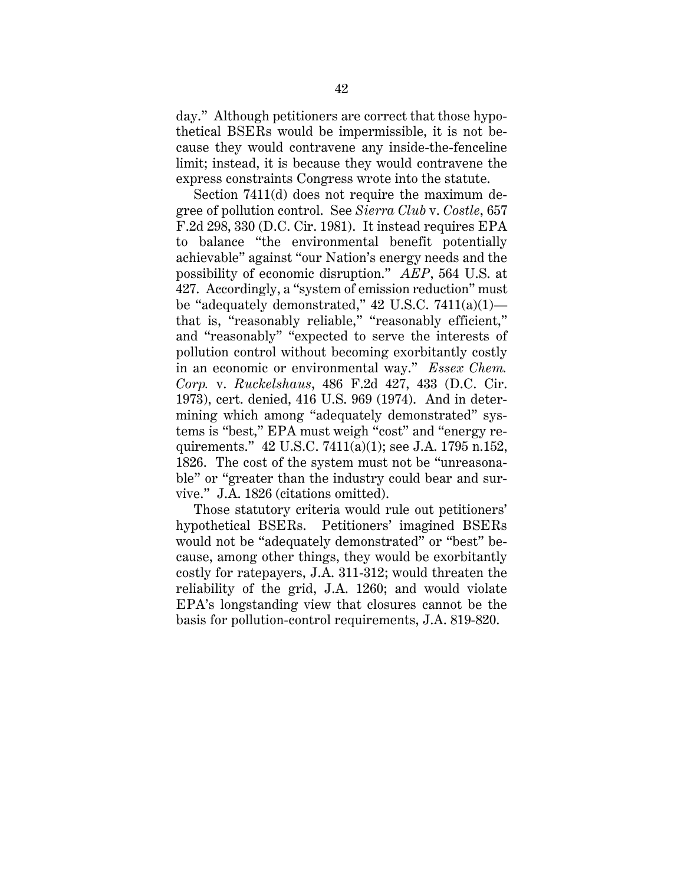day." Although petitioners are correct that those hypothetical BSERs would be impermissible, it is not because they would contravene any inside-the-fenceline limit; instead, it is because they would contravene the express constraints Congress wrote into the statute.

Section 7411(d) does not require the maximum degree of pollution control. See *Sierra Club* v. *Costle*, 657 F.2d 298, 330 (D.C. Cir. 1981). It instead requires EPA to balance "the environmental benefit potentially achievable" against "our Nation's energy needs and the possibility of economic disruption." *AEP*, 564 U.S. at 427. Accordingly, a "system of emission reduction" must be "adequately demonstrated,"  $42$  U.S.C.  $7411(a)(1)$  that is, "reasonably reliable," "reasonably efficient," and "reasonably" "expected to serve the interests of pollution control without becoming exorbitantly costly in an economic or environmental way." *Essex Chem. Corp.* v. *Ruckelshaus*, 486 F.2d 427, 433 (D.C. Cir. 1973), cert. denied, 416 U.S. 969 (1974). And in determining which among "adequately demonstrated" systems is "best," EPA must weigh "cost" and "energy requirements." 42 U.S.C. 7411(a)(1); see J.A. 1795 n.152, 1826. The cost of the system must not be "unreasonable" or "greater than the industry could bear and survive." J.A. 1826 (citations omitted).

Those statutory criteria would rule out petitioners' hypothetical BSERs. Petitioners' imagined BSERs would not be "adequately demonstrated" or "best" because, among other things, they would be exorbitantly costly for ratepayers, J.A. 311-312; would threaten the reliability of the grid, J.A. 1260; and would violate EPA's longstanding view that closures cannot be the basis for pollution-control requirements, J.A. 819-820.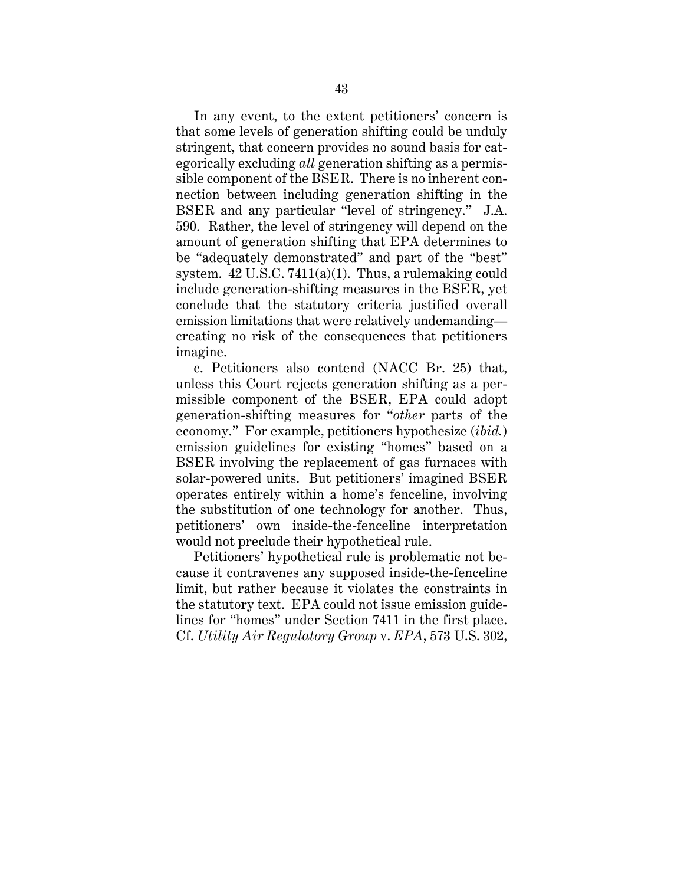In any event, to the extent petitioners' concern is that some levels of generation shifting could be unduly stringent, that concern provides no sound basis for categorically excluding *all* generation shifting as a permissible component of the BSER. There is no inherent connection between including generation shifting in the BSER and any particular "level of stringency." J.A. 590. Rather, the level of stringency will depend on the amount of generation shifting that EPA determines to be "adequately demonstrated" and part of the "best" system. 42 U.S.C. 7411(a)(1). Thus, a rulemaking could include generation-shifting measures in the BSER, yet conclude that the statutory criteria justified overall emission limitations that were relatively undemanding creating no risk of the consequences that petitioners imagine.

c. Petitioners also contend (NACC Br. 25) that, unless this Court rejects generation shifting as a permissible component of the BSER, EPA could adopt generation-shifting measures for "*other* parts of the economy." For example, petitioners hypothesize (*ibid.*) emission guidelines for existing "homes" based on a BSER involving the replacement of gas furnaces with solar-powered units. But petitioners' imagined BSER operates entirely within a home's fenceline, involving the substitution of one technology for another. Thus, petitioners' own inside-the-fenceline interpretation would not preclude their hypothetical rule.

Petitioners' hypothetical rule is problematic not because it contravenes any supposed inside-the-fenceline limit, but rather because it violates the constraints in the statutory text. EPA could not issue emission guidelines for "homes" under Section 7411 in the first place. Cf. *Utility Air Regulatory Group* v. *EPA*, 573 U.S. 302,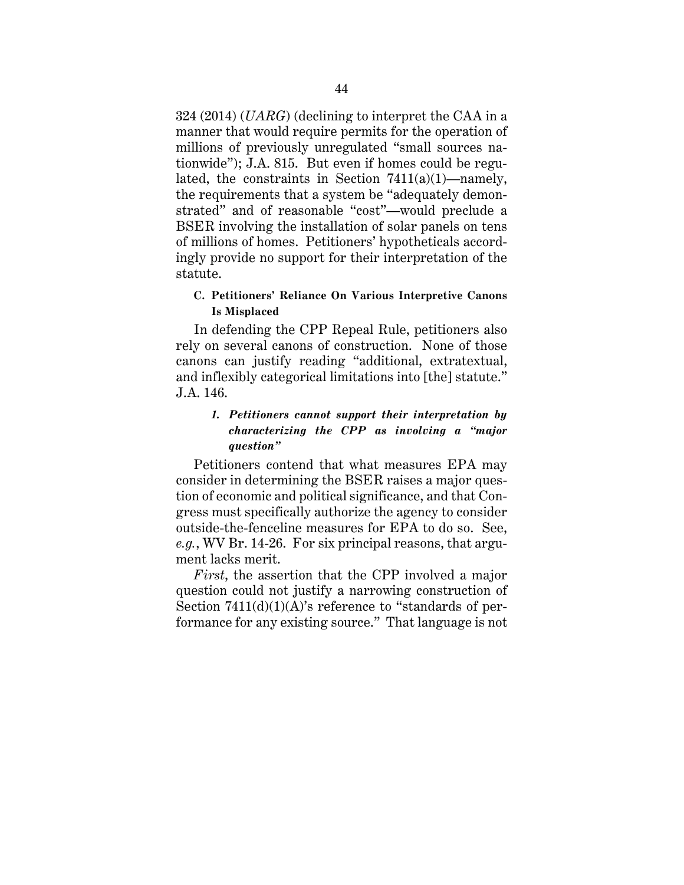324 (2014) (*UARG*) (declining to interpret the CAA in a manner that would require permits for the operation of millions of previously unregulated "small sources nationwide"); J.A. 815. But even if homes could be regulated, the constraints in Section  $7411(a)(1)$ —namely, the requirements that a system be "adequately demonstrated" and of reasonable "cost"—would preclude a BSER involving the installation of solar panels on tens of millions of homes. Petitioners' hypotheticals accordingly provide no support for their interpretation of the statute.

# **C. Petitioners' Reliance On Various Interpretive Canons Is Misplaced**

In defending the CPP Repeal Rule, petitioners also rely on several canons of construction. None of those canons can justify reading "additional, extratextual, and inflexibly categorical limitations into [the] statute." J.A. 146.

# *1. Petitioners cannot support their interpretation by characterizing the CPP as involving a "major question"*

Petitioners contend that what measures EPA may consider in determining the BSER raises a major question of economic and political significance, and that Congress must specifically authorize the agency to consider outside-the-fenceline measures for EPA to do so. See, *e.g.*, WV Br. 14-26. For six principal reasons, that argument lacks merit.

*First*, the assertion that the CPP involved a major question could not justify a narrowing construction of Section 7411(d)(1)(A)'s reference to "standards of performance for any existing source." That language is not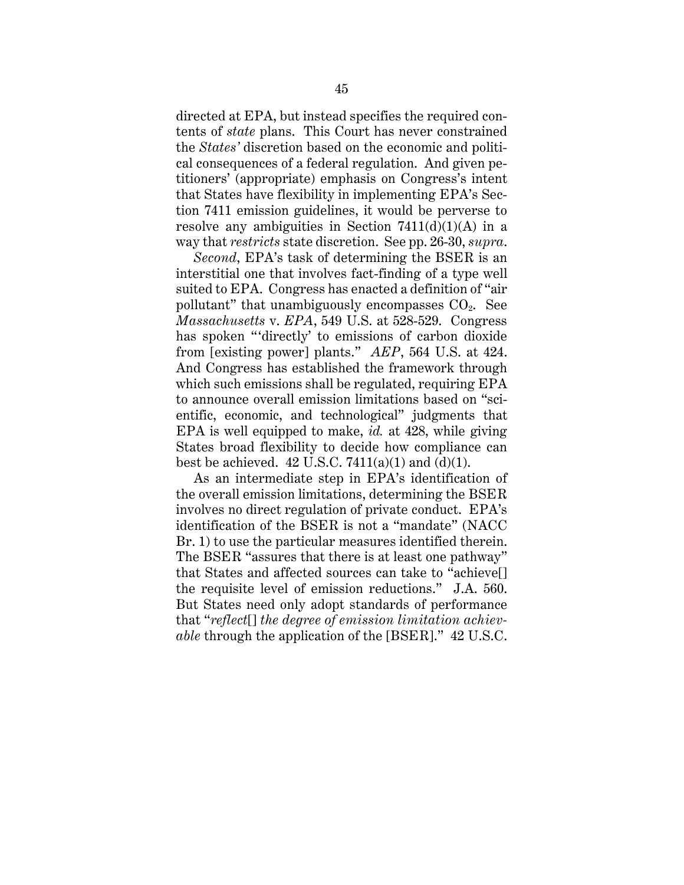directed at EPA, but instead specifies the required contents of *state* plans. This Court has never constrained the *States'* discretion based on the economic and political consequences of a federal regulation. And given petitioners' (appropriate) emphasis on Congress's intent that States have flexibility in implementing EPA's Section 7411 emission guidelines, it would be perverse to resolve any ambiguities in Section  $7411(d)(1)(A)$  in a way that *restricts* state discretion. See pp. 26-30, *supra*.

*Second*, EPA's task of determining the BSER is an interstitial one that involves fact-finding of a type well suited to EPA. Congress has enacted a definition of "air pollutant" that unambiguously encompasses  $CO<sub>2</sub>$ . See *Massachusetts* v. *EPA*, 549 U.S. at 528-529. Congress has spoken "'directly' to emissions of carbon dioxide from [existing power] plants." *AEP*, 564 U.S. at 424. And Congress has established the framework through which such emissions shall be regulated, requiring EPA to announce overall emission limitations based on "scientific, economic, and technological" judgments that EPA is well equipped to make, *id.* at 428, while giving States broad flexibility to decide how compliance can best be achieved.  $42 \text{ U.S.C. } 7411(a)(1)$  and  $(d)(1)$ .

As an intermediate step in EPA's identification of the overall emission limitations, determining the BSER involves no direct regulation of private conduct. EPA's identification of the BSER is not a "mandate" (NACC Br. 1) to use the particular measures identified therein. The BSER "assures that there is at least one pathway" that States and affected sources can take to "achieve[] the requisite level of emission reductions." J.A. 560. But States need only adopt standards of performance that "*reflect*[] *the degree of emission limitation achievable* through the application of the [BSER]." 42 U.S.C.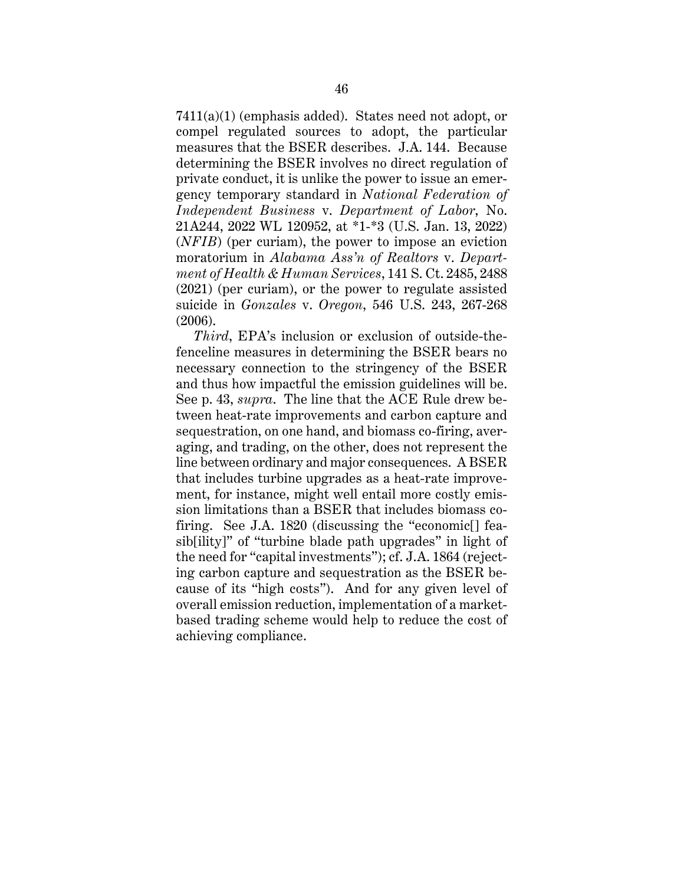7411(a)(1) (emphasis added). States need not adopt, or compel regulated sources to adopt, the particular measures that the BSER describes. J.A. 144. Because determining the BSER involves no direct regulation of private conduct, it is unlike the power to issue an emergency temporary standard in *National Federation of Independent Business* v. *Department of Labor*, No. 21A244, 2022 WL 120952, at \*1-\*3 (U.S. Jan. 13, 2022) (*NFIB*) (per curiam), the power to impose an eviction moratorium in *Alabama Ass'n of Realtors* v. *Department of Health & Human Services*, 141 S. Ct. 2485, 2488 (2021) (per curiam), or the power to regulate assisted suicide in *Gonzales* v. *Oregon*, 546 U.S. 243, 267-268 (2006).

*Third*, EPA's inclusion or exclusion of outside-thefenceline measures in determining the BSER bears no necessary connection to the stringency of the BSER and thus how impactful the emission guidelines will be. See p. 43, *supra*. The line that the ACE Rule drew between heat-rate improvements and carbon capture and sequestration, on one hand, and biomass co-firing, averaging, and trading, on the other, does not represent the line between ordinary and major consequences. A BSER that includes turbine upgrades as a heat-rate improvement, for instance, might well entail more costly emission limitations than a BSER that includes biomass cofiring. See J.A. 1820 (discussing the "economic[] feasib[ility]" of "turbine blade path upgrades" in light of the need for "capital investments"); cf. J.A. 1864 (rejecting carbon capture and sequestration as the BSER because of its "high costs"). And for any given level of overall emission reduction, implementation of a marketbased trading scheme would help to reduce the cost of achieving compliance.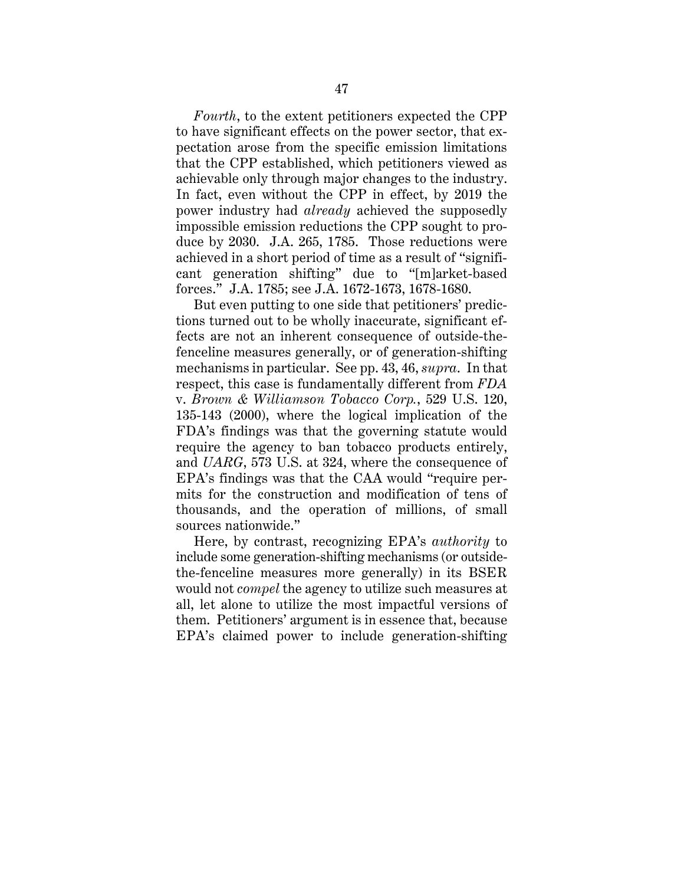*Fourth*, to the extent petitioners expected the CPP to have significant effects on the power sector, that expectation arose from the specific emission limitations that the CPP established, which petitioners viewed as achievable only through major changes to the industry. In fact, even without the CPP in effect, by 2019 the power industry had *already* achieved the supposedly impossible emission reductions the CPP sought to produce by 2030. J.A. 265, 1785. Those reductions were achieved in a short period of time as a result of "significant generation shifting" due to "[m]arket-based forces." J.A. 1785; see J.A. 1672-1673, 1678-1680.

But even putting to one side that petitioners' predictions turned out to be wholly inaccurate, significant effects are not an inherent consequence of outside-thefenceline measures generally, or of generation-shifting mechanisms in particular. See pp. 43, 46, *supra*. In that respect, this case is fundamentally different from *FDA* v. *Brown & Williamson Tobacco Corp.*, 529 U.S. 120, 135-143 (2000), where the logical implication of the FDA's findings was that the governing statute would require the agency to ban tobacco products entirely, and *UARG*, 573 U.S. at 324, where the consequence of EPA's findings was that the CAA would "require permits for the construction and modification of tens of thousands, and the operation of millions, of small sources nationwide."

Here, by contrast, recognizing EPA's *authority* to include some generation-shifting mechanisms (or outsidethe-fenceline measures more generally) in its BSER would not *compel* the agency to utilize such measures at all, let alone to utilize the most impactful versions of them. Petitioners' argument is in essence that, because EPA's claimed power to include generation-shifting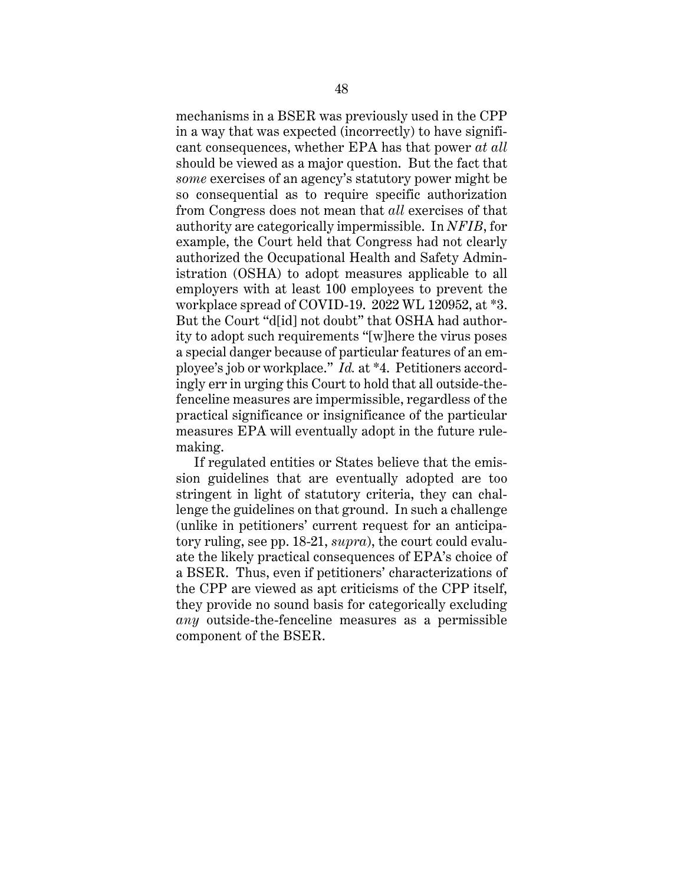mechanisms in a BSER was previously used in the CPP in a way that was expected (incorrectly) to have significant consequences, whether EPA has that power *at all* should be viewed as a major question. But the fact that *some* exercises of an agency's statutory power might be so consequential as to require specific authorization from Congress does not mean that *all* exercises of that authority are categorically impermissible. In *NFIB*, for example, the Court held that Congress had not clearly authorized the Occupational Health and Safety Administration (OSHA) to adopt measures applicable to all employers with at least 100 employees to prevent the workplace spread of COVID-19. 2022 WL 120952, at \*3. But the Court "d[id] not doubt" that OSHA had authority to adopt such requirements "[w]here the virus poses a special danger because of particular features of an employee's job or workplace." *Id.* at \*4. Petitioners accordingly err in urging this Court to hold that all outside-thefenceline measures are impermissible, regardless of the practical significance or insignificance of the particular measures EPA will eventually adopt in the future rulemaking.

If regulated entities or States believe that the emission guidelines that are eventually adopted are too stringent in light of statutory criteria, they can challenge the guidelines on that ground. In such a challenge (unlike in petitioners' current request for an anticipatory ruling, see pp. 18-21, *supra*), the court could evaluate the likely practical consequences of EPA's choice of a BSER. Thus, even if petitioners' characterizations of the CPP are viewed as apt criticisms of the CPP itself, they provide no sound basis for categorically excluding *any* outside-the-fenceline measures as a permissible component of the BSER.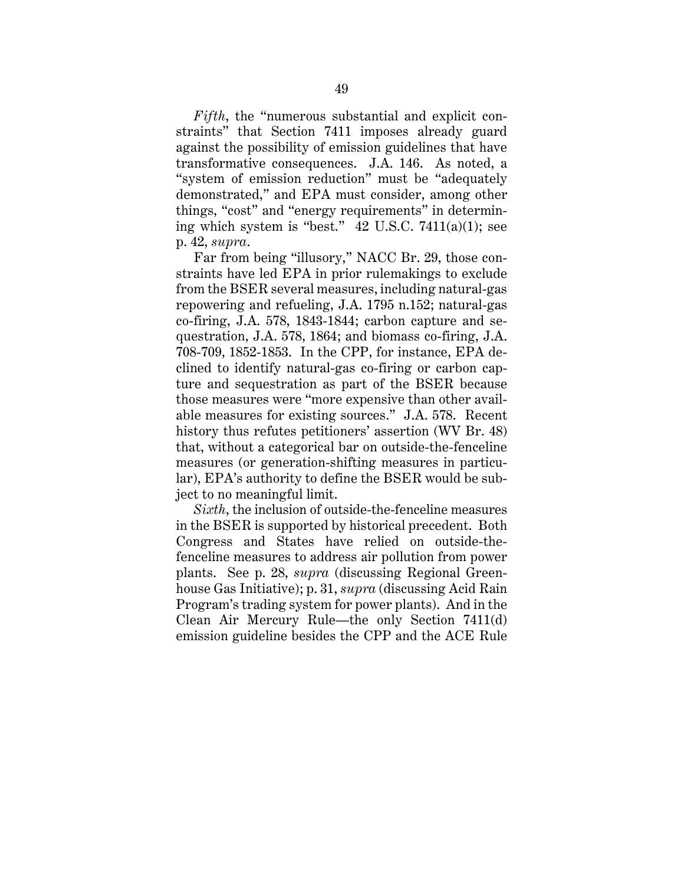*Fifth*, the "numerous substantial and explicit constraints" that Section 7411 imposes already guard against the possibility of emission guidelines that have transformative consequences. J.A. 146. As noted, a "system of emission reduction" must be "adequately demonstrated," and EPA must consider, among other things, "cost" and "energy requirements" in determining which system is "best."  $42 \text{ U.S.C. } 7411(a)(1)$ ; see p. 42, *supra*.

Far from being "illusory," NACC Br. 29, those constraints have led EPA in prior rulemakings to exclude from the BSER several measures, including natural-gas repowering and refueling, J.A. 1795 n.152; natural-gas co-firing, J.A. 578, 1843-1844; carbon capture and sequestration, J.A. 578, 1864; and biomass co-firing, J.A. 708-709, 1852-1853. In the CPP, for instance, EPA declined to identify natural-gas co-firing or carbon capture and sequestration as part of the BSER because those measures were "more expensive than other available measures for existing sources." J.A. 578. Recent history thus refutes petitioners' assertion (WV Br. 48) that, without a categorical bar on outside-the-fenceline measures (or generation-shifting measures in particular), EPA's authority to define the BSER would be subject to no meaningful limit.

*Sixth*, the inclusion of outside-the-fenceline measures in the BSER is supported by historical precedent. Both Congress and States have relied on outside-thefenceline measures to address air pollution from power plants. See p. 28, *supra* (discussing Regional Greenhouse Gas Initiative); p. 31, *supra* (discussing Acid Rain Program's trading system for power plants). And in the Clean Air Mercury Rule—the only Section 7411(d) emission guideline besides the CPP and the ACE Rule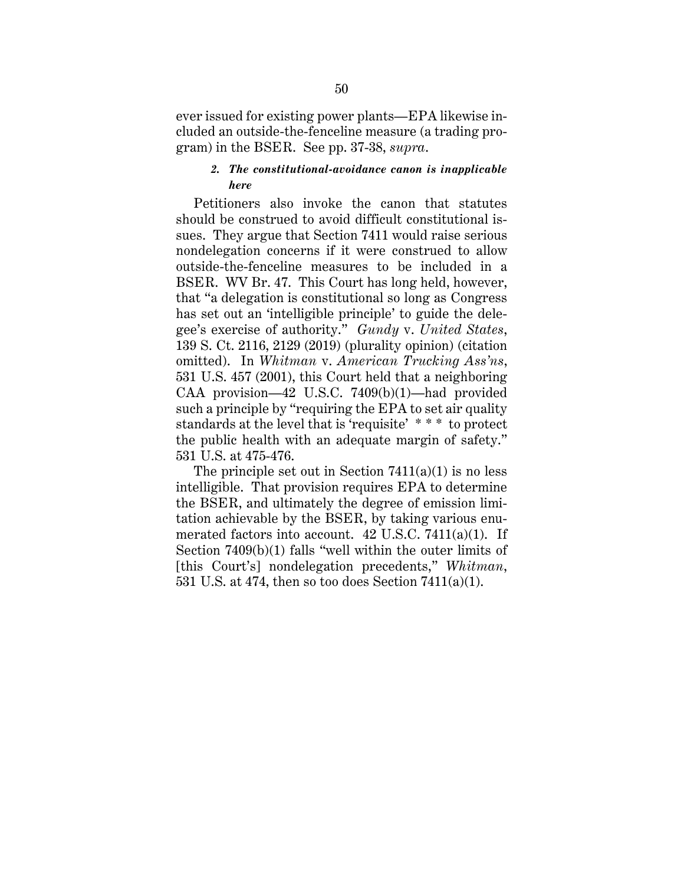ever issued for existing power plants—EPA likewise included an outside-the-fenceline measure (a trading program) in the BSER. See pp. 37-38, *supra*.

## *2. The constitutional-avoidance canon is inapplicable here*

Petitioners also invoke the canon that statutes should be construed to avoid difficult constitutional issues. They argue that Section 7411 would raise serious nondelegation concerns if it were construed to allow outside-the-fenceline measures to be included in a BSER. WV Br. 47. This Court has long held, however, that "a delegation is constitutional so long as Congress has set out an 'intelligible principle' to guide the delegee's exercise of authority." *Gundy* v. *United States*, 139 S. Ct. 2116, 2129 (2019) (plurality opinion) (citation omitted). In *Whitman* v. *American Trucking Ass'ns*, 531 U.S. 457 (2001), this Court held that a neighboring CAA provision—42 U.S.C. 7409(b)(1)—had provided such a principle by "requiring the EPA to set air quality standards at the level that is 'requisite' \* \* \* to protect the public health with an adequate margin of safety." 531 U.S. at 475-476.

The principle set out in Section  $7411(a)(1)$  is no less intelligible. That provision requires EPA to determine the BSER, and ultimately the degree of emission limitation achievable by the BSER, by taking various enumerated factors into account. 42 U.S.C. 7411(a)(1). If Section 7409(b)(1) falls "well within the outer limits of [this Court's] nondelegation precedents," *Whitman*, 531 U.S. at 474, then so too does Section 7411(a)(1).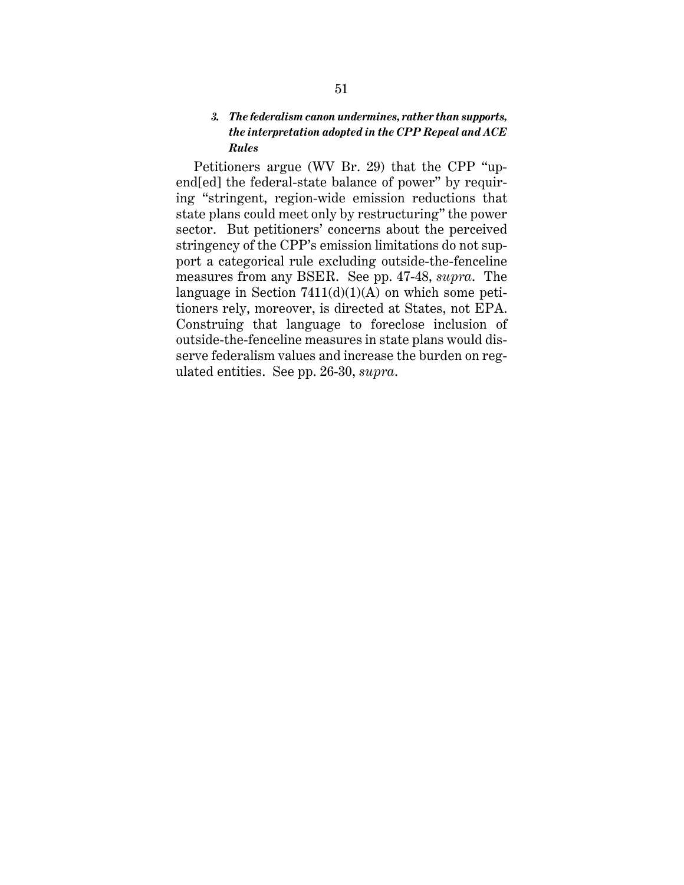## *3. The federalism canon undermines, rather than supports, the interpretation adopted in the CPP Repeal and ACE Rules*

Petitioners argue (WV Br. 29) that the CPP "upend[ed] the federal-state balance of power" by requiring "stringent, region-wide emission reductions that state plans could meet only by restructuring" the power sector. But petitioners' concerns about the perceived stringency of the CPP's emission limitations do not support a categorical rule excluding outside-the-fenceline measures from any BSER. See pp. 47-48, *supra*. The language in Section  $7411(d)(1)(A)$  on which some petitioners rely, moreover, is directed at States, not EPA. Construing that language to foreclose inclusion of outside-the-fenceline measures in state plans would disserve federalism values and increase the burden on regulated entities. See pp. 26-30, *supra*.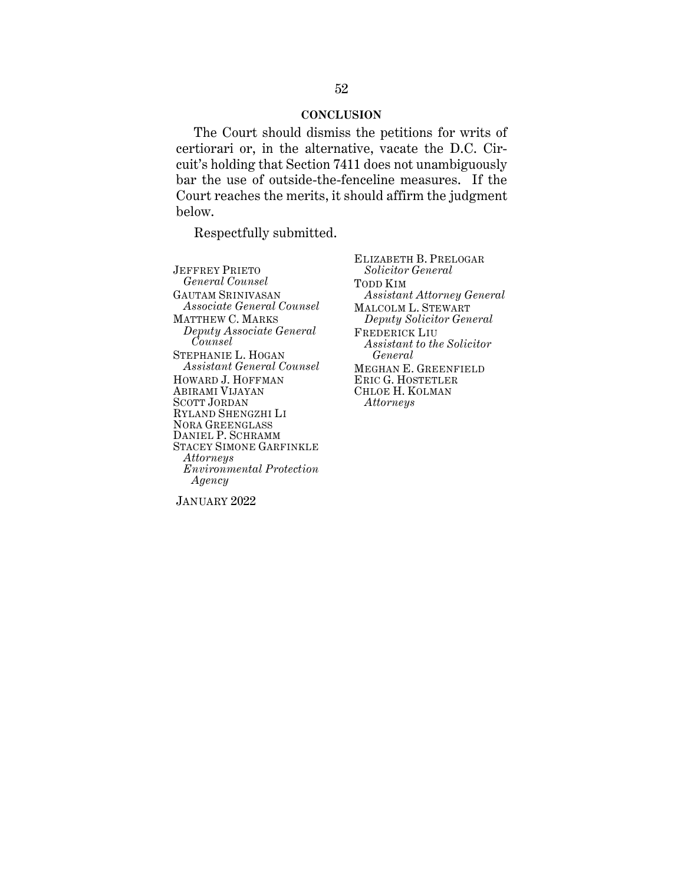#### **CONCLUSION**

The Court should dismiss the petitions for writs of certiorari or, in the alternative, vacate the D.C. Circuit's holding that Section 7411 does not unambiguously bar the use of outside-the-fenceline measures. If the Court reaches the merits, it should affirm the judgment below.

Respectfully submitted.

JEFFREY PRIETO *General Counsel* GAUTAM SRINIVASAN *Associate General Counsel* MATTHEW C. MARKS *Deputy Associate General Counsel* STEPHANIE L. HOGAN *Assistant General Counsel* HOWARD J. HOFFMAN ABIRAMI VIJAYAN SCOTT JORDAN RYLAND SHENGZHI LI NORA GREENGLASS DANIEL P. SCHRAMM STACEY SIMONE GARFINKLE *Attorneys Environmental Protection Agency*

ELIZABETH B. PRELOGAR *Solicitor General* TODD KIM *Assistant Attorney General* MALCOLM L. STEWART *Deputy Solicitor General* FREDERICK LIU *Assistant to the Solicitor General* MEGHAN E. GREENFIELD ERIC G. HOSTETLER CHLOE H. KOLMAN *Attorneys* 

JANUARY 2022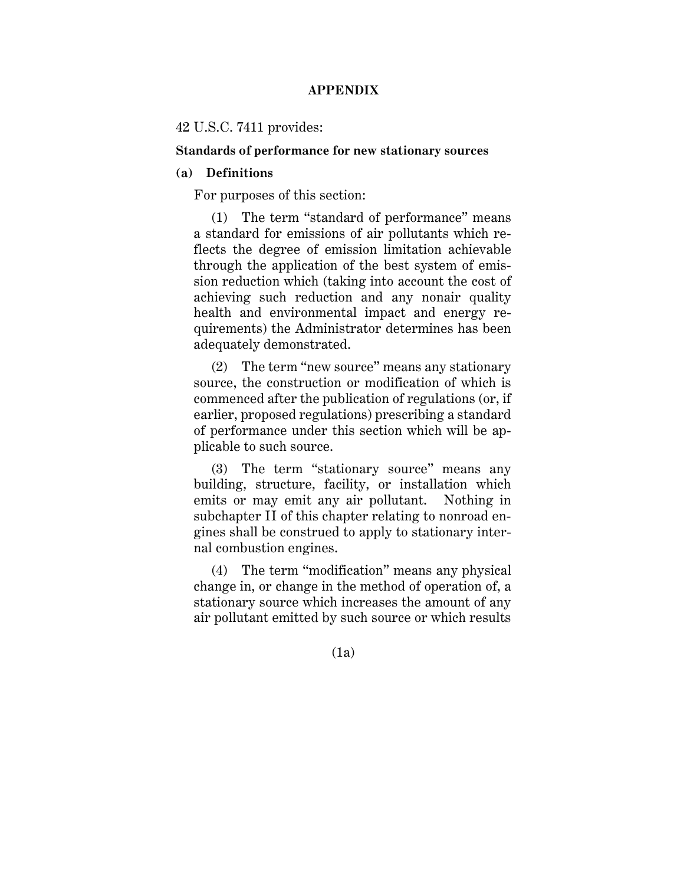## **APPENDIX**

### 42 U.S.C. 7411 provides:

#### **Standards of performance for new stationary sources**

### **(a) Definitions**

For purposes of this section:

(1) The term "standard of performance" means a standard for emissions of air pollutants which reflects the degree of emission limitation achievable through the application of the best system of emission reduction which (taking into account the cost of achieving such reduction and any nonair quality health and environmental impact and energy requirements) the Administrator determines has been adequately demonstrated.

(2) The term "new source" means any stationary source, the construction or modification of which is commenced after the publication of regulations (or, if earlier, proposed regulations) prescribing a standard of performance under this section which will be applicable to such source.

(3) The term "stationary source" means any building, structure, facility, or installation which emits or may emit any air pollutant. Nothing in subchapter II of this chapter relating to nonroad engines shall be construed to apply to stationary internal combustion engines.

(4) The term "modification" means any physical change in, or change in the method of operation of, a stationary source which increases the amount of any air pollutant emitted by such source or which results

(1a)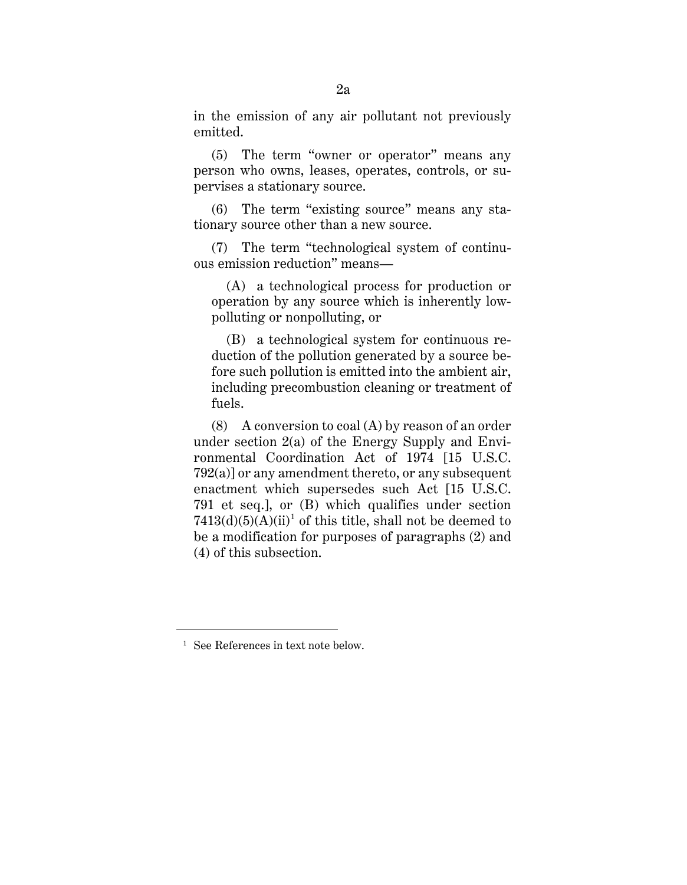in the emission of any air pollutant not previously emitted.

(5) The term "owner or operator" means any person who owns, leases, operates, controls, or supervises a stationary source.

(6) The term "existing source" means any stationary source other than a new source.

(7) The term "technological system of continuous emission reduction" means—

(A) a technological process for production or operation by any source which is inherently lowpolluting or nonpolluting, or

(B) a technological system for continuous reduction of the pollution generated by a source before such pollution is emitted into the ambient air, including precombustion cleaning or treatment of fuels.

(8) A conversion to coal (A) by reason of an order under section 2(a) of the Energy Supply and Environmental Coordination Act of 1974 [15 U.S.C. 792(a)] or any amendment thereto, or any subsequent enactment which supersedes such Act [15 U.S.C. 791 et seq.], or (B) which qualifies under section  $7413(d)(5)(A)(ii)^1$  of this title, shall not be deemed to be a modification for purposes of paragraphs (2) and (4) of this subsection.

<sup>1</sup> See References in text note below.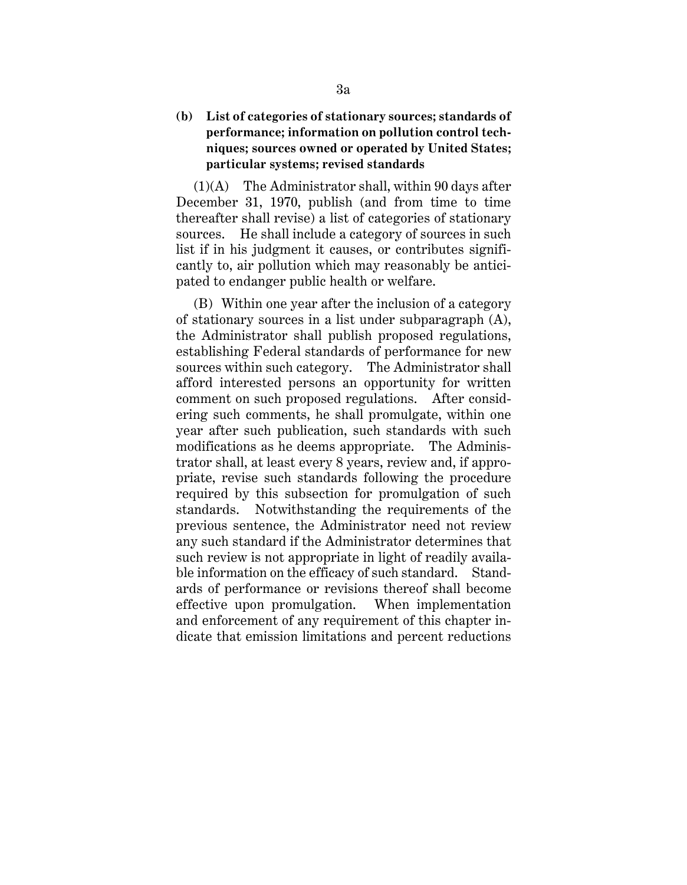# **(b) List of categories of stationary sources; standards of performance; information on pollution control techniques; sources owned or operated by United States; particular systems; revised standards**

 $(1)(A)$  The Administrator shall, within 90 days after December 31, 1970, publish (and from time to time thereafter shall revise) a list of categories of stationary sources. He shall include a category of sources in such list if in his judgment it causes, or contributes significantly to, air pollution which may reasonably be anticipated to endanger public health or welfare.

(B) Within one year after the inclusion of a category of stationary sources in a list under subparagraph (A), the Administrator shall publish proposed regulations, establishing Federal standards of performance for new sources within such category. The Administrator shall afford interested persons an opportunity for written comment on such proposed regulations. After considering such comments, he shall promulgate, within one year after such publication, such standards with such modifications as he deems appropriate. The Administrator shall, at least every 8 years, review and, if appropriate, revise such standards following the procedure required by this subsection for promulgation of such standards. Notwithstanding the requirements of the previous sentence, the Administrator need not review any such standard if the Administrator determines that such review is not appropriate in light of readily available information on the efficacy of such standard. Standards of performance or revisions thereof shall become effective upon promulgation. When implementation and enforcement of any requirement of this chapter indicate that emission limitations and percent reductions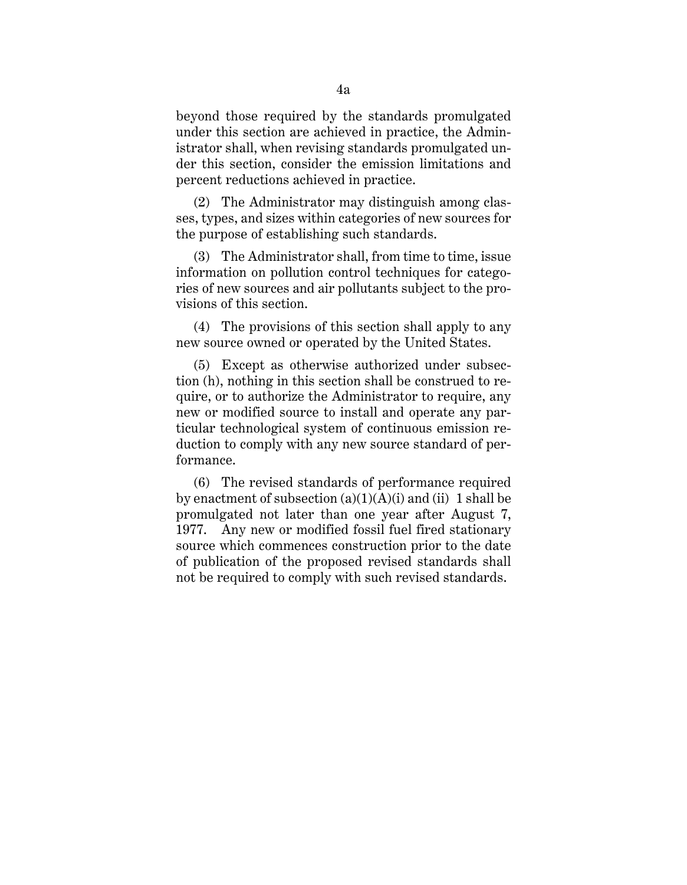beyond those required by the standards promulgated under this section are achieved in practice, the Administrator shall, when revising standards promulgated under this section, consider the emission limitations and percent reductions achieved in practice.

(2) The Administrator may distinguish among classes, types, and sizes within categories of new sources for the purpose of establishing such standards.

(3) The Administrator shall, from time to time, issue information on pollution control techniques for categories of new sources and air pollutants subject to the provisions of this section.

(4) The provisions of this section shall apply to any new source owned or operated by the United States.

(5) Except as otherwise authorized under subsection (h), nothing in this section shall be construed to require, or to authorize the Administrator to require, any new or modified source to install and operate any particular technological system of continuous emission reduction to comply with any new source standard of performance.

(6) The revised standards of performance required by enactment of subsection  $(a)(1)(A)(i)$  and  $(ii)$  1 shall be promulgated not later than one year after August 7, 1977. Any new or modified fossil fuel fired stationary source which commences construction prior to the date of publication of the proposed revised standards shall not be required to comply with such revised standards.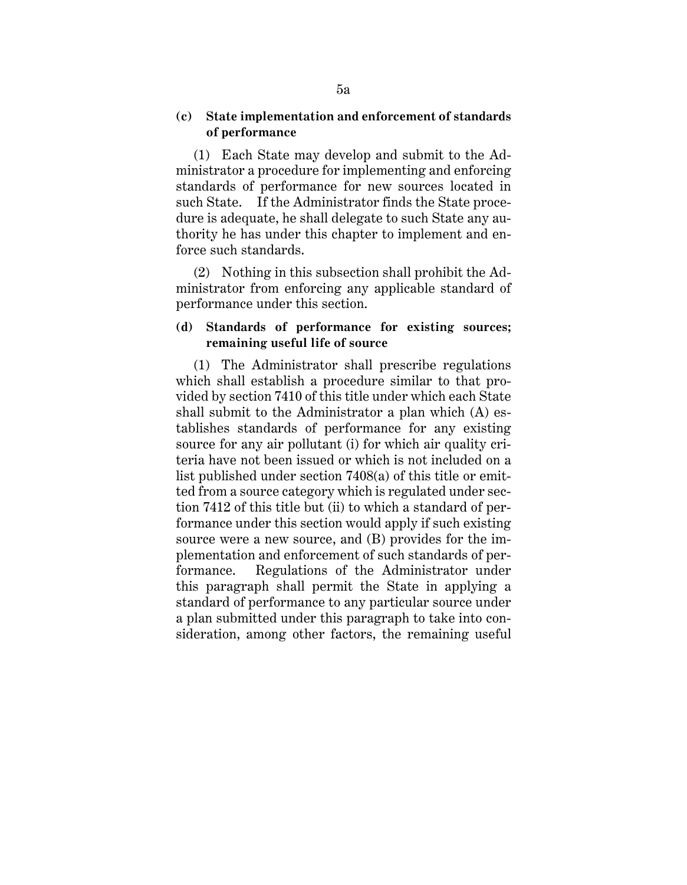## **(c) State implementation and enforcement of standards of performance**

(1) Each State may develop and submit to the Administrator a procedure for implementing and enforcing standards of performance for new sources located in such State. If the Administrator finds the State procedure is adequate, he shall delegate to such State any authority he has under this chapter to implement and enforce such standards.

(2) Nothing in this subsection shall prohibit the Administrator from enforcing any applicable standard of performance under this section.

# **(d) Standards of performance for existing sources; remaining useful life of source**

(1) The Administrator shall prescribe regulations which shall establish a procedure similar to that provided by section 7410 of this title under which each State shall submit to the Administrator a plan which (A) establishes standards of performance for any existing source for any air pollutant (i) for which air quality criteria have not been issued or which is not included on a list published under section 7408(a) of this title or emitted from a source category which is regulated under section 7412 of this title but (ii) to which a standard of performance under this section would apply if such existing source were a new source, and (B) provides for the implementation and enforcement of such standards of performance. Regulations of the Administrator under this paragraph shall permit the State in applying a standard of performance to any particular source under a plan submitted under this paragraph to take into consideration, among other factors, the remaining useful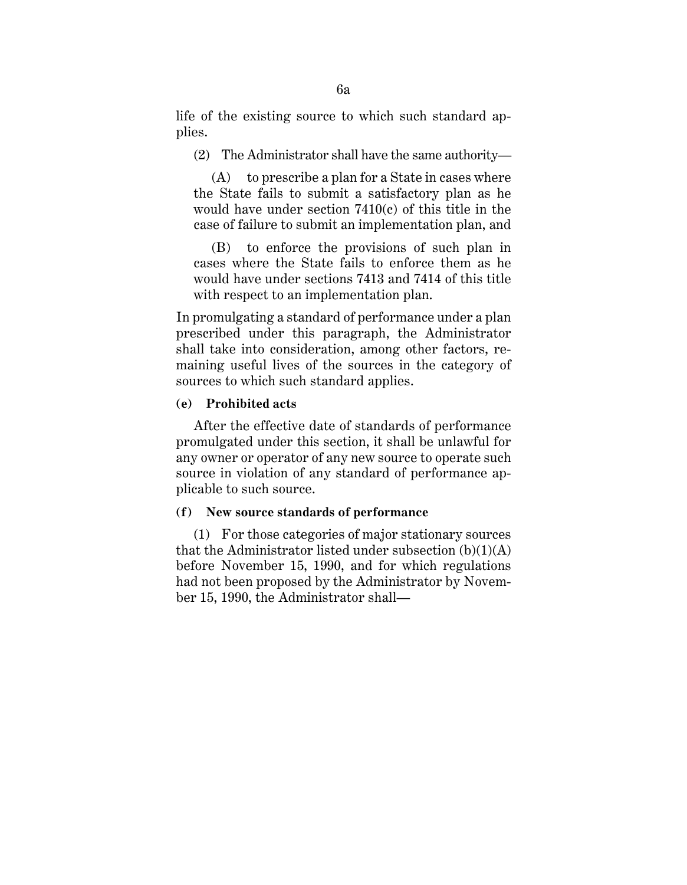life of the existing source to which such standard applies.

(2) The Administrator shall have the same authority—

(A) to prescribe a plan for a State in cases where the State fails to submit a satisfactory plan as he would have under section 7410(c) of this title in the case of failure to submit an implementation plan, and

(B) to enforce the provisions of such plan in cases where the State fails to enforce them as he would have under sections 7413 and 7414 of this title with respect to an implementation plan.

In promulgating a standard of performance under a plan prescribed under this paragraph, the Administrator shall take into consideration, among other factors, remaining useful lives of the sources in the category of sources to which such standard applies.

### **(e) Prohibited acts**

After the effective date of standards of performance promulgated under this section, it shall be unlawful for any owner or operator of any new source to operate such source in violation of any standard of performance applicable to such source.

### **(f) New source standards of performance**

(1) For those categories of major stationary sources that the Administrator listed under subsection  $(b)(1)(A)$ before November 15, 1990, and for which regulations had not been proposed by the Administrator by November 15, 1990, the Administrator shall—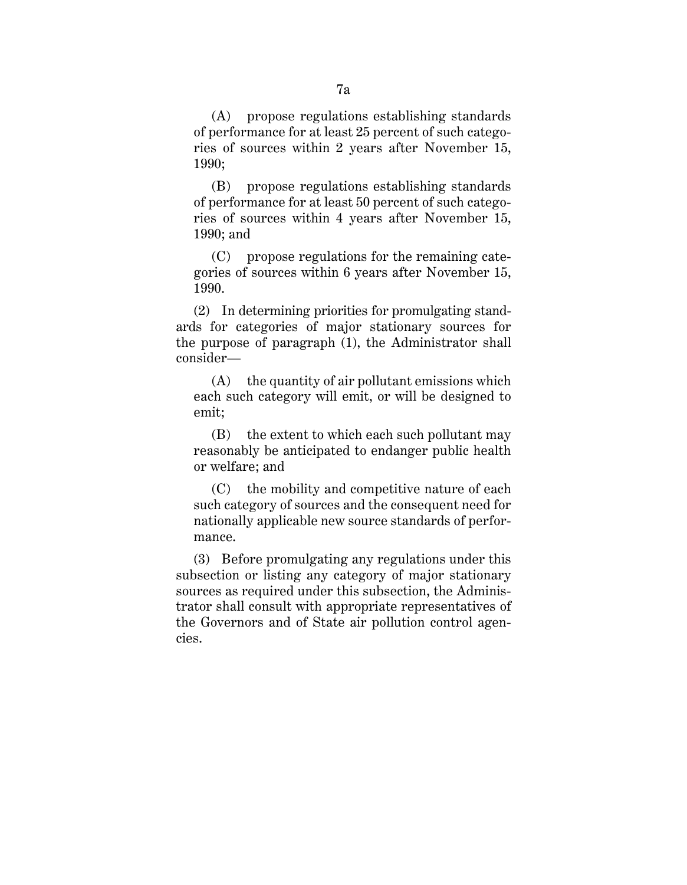(A) propose regulations establishing standards of performance for at least 25 percent of such categories of sources within 2 years after November 15, 1990;

(B) propose regulations establishing standards of performance for at least 50 percent of such categories of sources within 4 years after November 15, 1990; and

(C) propose regulations for the remaining categories of sources within 6 years after November 15, 1990.

(2) In determining priorities for promulgating standards for categories of major stationary sources for the purpose of paragraph (1), the Administrator shall consider—

(A) the quantity of air pollutant emissions which each such category will emit, or will be designed to emit;

(B) the extent to which each such pollutant may reasonably be anticipated to endanger public health or welfare; and

(C) the mobility and competitive nature of each such category of sources and the consequent need for nationally applicable new source standards of performance.

(3) Before promulgating any regulations under this subsection or listing any category of major stationary sources as required under this subsection, the Administrator shall consult with appropriate representatives of the Governors and of State air pollution control agencies.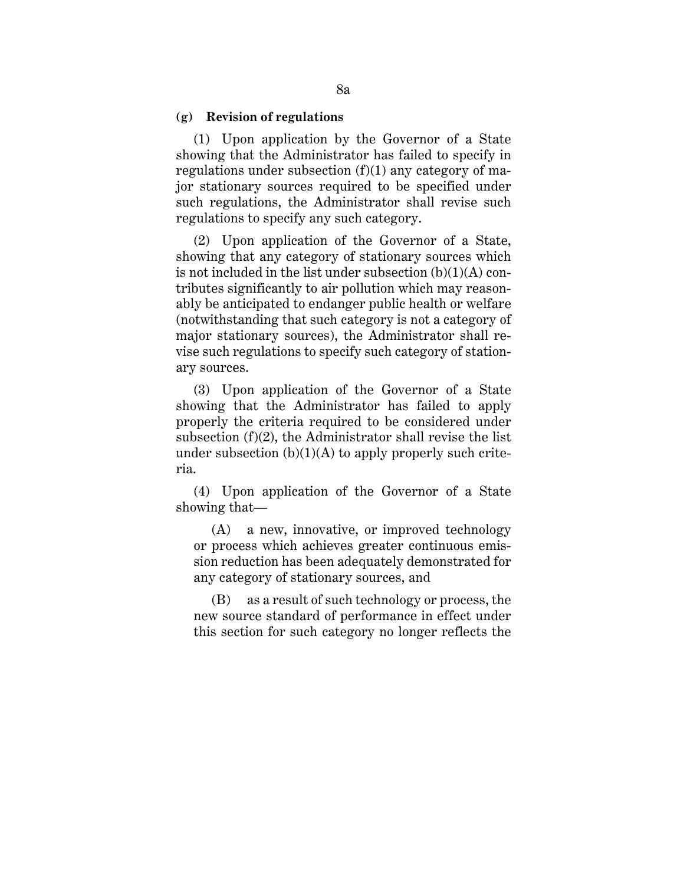#### **(g) Revision of regulations**

(1) Upon application by the Governor of a State showing that the Administrator has failed to specify in regulations under subsection  $(f)(1)$  any category of major stationary sources required to be specified under such regulations, the Administrator shall revise such regulations to specify any such category.

(2) Upon application of the Governor of a State, showing that any category of stationary sources which is not included in the list under subsection (b)(1)(A) contributes significantly to air pollution which may reasonably be anticipated to endanger public health or welfare (notwithstanding that such category is not a category of major stationary sources), the Administrator shall revise such regulations to specify such category of stationary sources.

(3) Upon application of the Governor of a State showing that the Administrator has failed to apply properly the criteria required to be considered under subsection (f)(2), the Administrator shall revise the list under subsection  $(b)(1)(A)$  to apply properly such criteria.

(4) Upon application of the Governor of a State showing that—

(A) a new, innovative, or improved technology or process which achieves greater continuous emission reduction has been adequately demonstrated for any category of stationary sources, and

(B) as a result of such technology or process, the new source standard of performance in effect under this section for such category no longer reflects the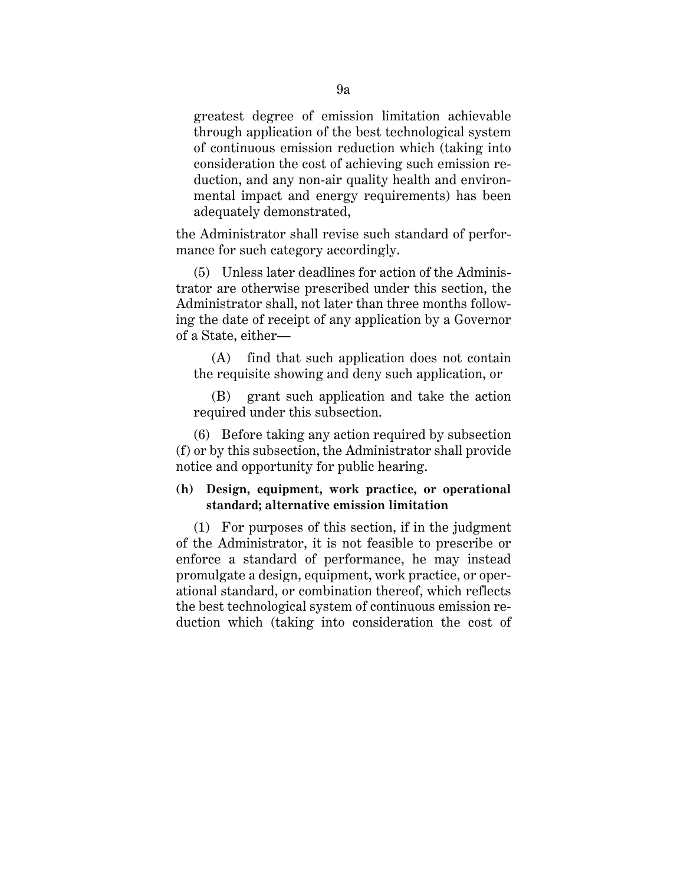greatest degree of emission limitation achievable through application of the best technological system of continuous emission reduction which (taking into consideration the cost of achieving such emission reduction, and any non-air quality health and environmental impact and energy requirements) has been adequately demonstrated,

the Administrator shall revise such standard of performance for such category accordingly.

(5) Unless later deadlines for action of the Administrator are otherwise prescribed under this section, the Administrator shall, not later than three months following the date of receipt of any application by a Governor of a State, either—

(A) find that such application does not contain the requisite showing and deny such application, or

(B) grant such application and take the action required under this subsection.

(6) Before taking any action required by subsection (f) or by this subsection, the Administrator shall provide notice and opportunity for public hearing.

# **(h) Design, equipment, work practice, or operational standard; alternative emission limitation**

(1) For purposes of this section, if in the judgment of the Administrator, it is not feasible to prescribe or enforce a standard of performance, he may instead promulgate a design, equipment, work practice, or operational standard, or combination thereof, which reflects the best technological system of continuous emission reduction which (taking into consideration the cost of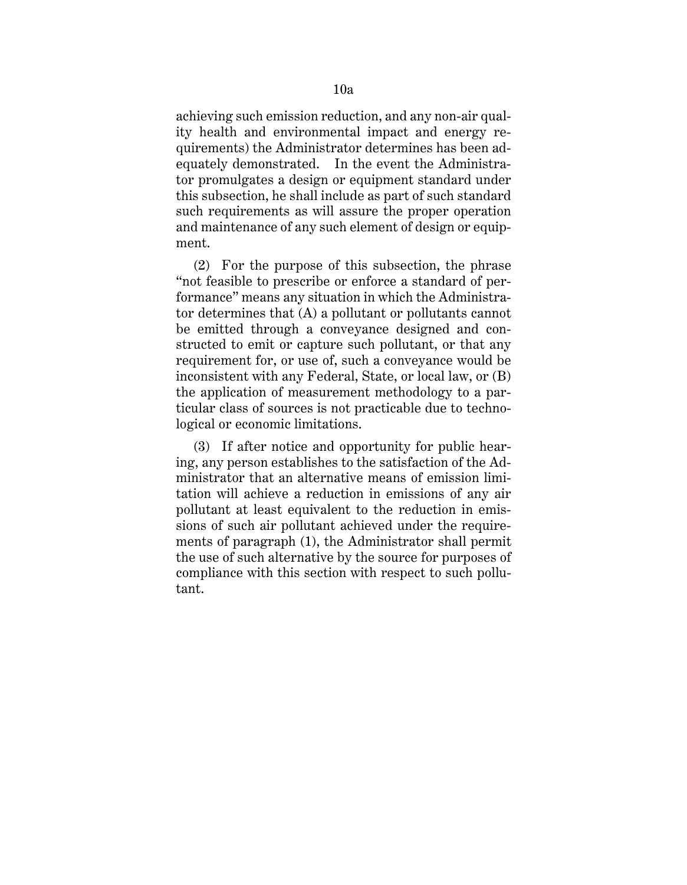achieving such emission reduction, and any non-air quality health and environmental impact and energy requirements) the Administrator determines has been adequately demonstrated. In the event the Administrator promulgates a design or equipment standard under this subsection, he shall include as part of such standard such requirements as will assure the proper operation and maintenance of any such element of design or equipment.

(2) For the purpose of this subsection, the phrase "not feasible to prescribe or enforce a standard of performance" means any situation in which the Administrator determines that (A) a pollutant or pollutants cannot be emitted through a conveyance designed and constructed to emit or capture such pollutant, or that any requirement for, or use of, such a conveyance would be inconsistent with any Federal, State, or local law, or (B) the application of measurement methodology to a particular class of sources is not practicable due to technological or economic limitations.

(3) If after notice and opportunity for public hearing, any person establishes to the satisfaction of the Administrator that an alternative means of emission limitation will achieve a reduction in emissions of any air pollutant at least equivalent to the reduction in emissions of such air pollutant achieved under the requirements of paragraph (1), the Administrator shall permit the use of such alternative by the source for purposes of compliance with this section with respect to such pollutant.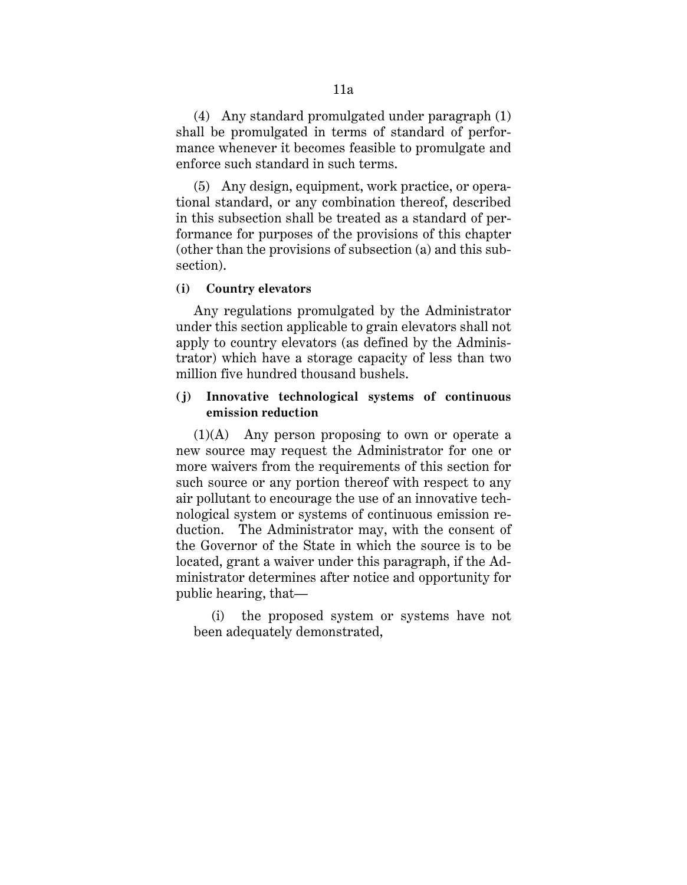(4) Any standard promulgated under paragraph (1) shall be promulgated in terms of standard of performance whenever it becomes feasible to promulgate and enforce such standard in such terms.

(5) Any design, equipment, work practice, or operational standard, or any combination thereof, described in this subsection shall be treated as a standard of performance for purposes of the provisions of this chapter (other than the provisions of subsection (a) and this subsection).

#### **(i) Country elevators**

Any regulations promulgated by the Administrator under this section applicable to grain elevators shall not apply to country elevators (as defined by the Administrator) which have a storage capacity of less than two million five hundred thousand bushels.

# **(j) Innovative technological systems of continuous emission reduction**

(1)(A) Any person proposing to own or operate a new source may request the Administrator for one or more waivers from the requirements of this section for such source or any portion thereof with respect to any air pollutant to encourage the use of an innovative technological system or systems of continuous emission reduction. The Administrator may, with the consent of the Governor of the State in which the source is to be located, grant a waiver under this paragraph, if the Administrator determines after notice and opportunity for public hearing, that—

(i) the proposed system or systems have not been adequately demonstrated,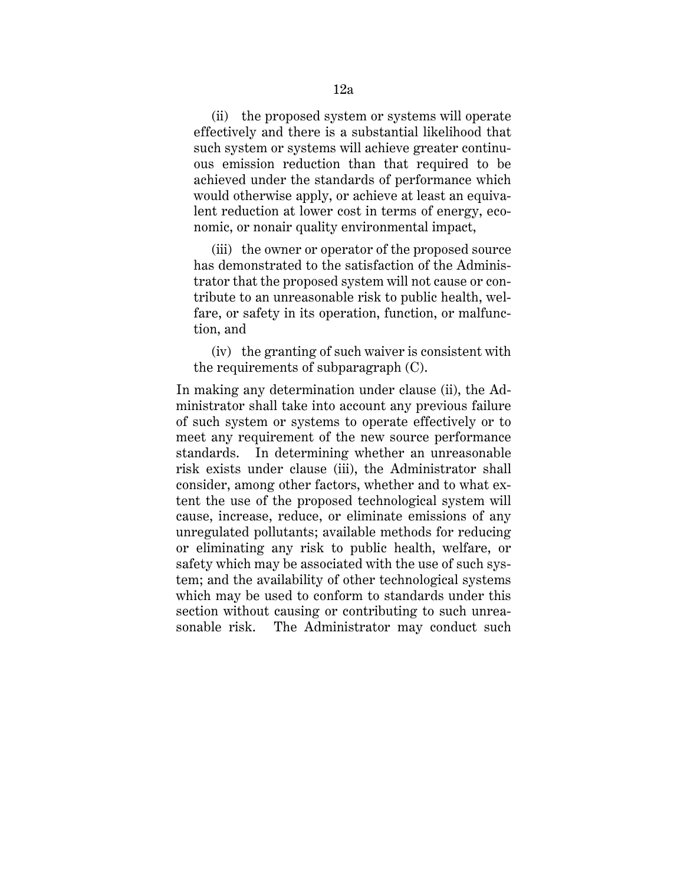(ii) the proposed system or systems will operate effectively and there is a substantial likelihood that such system or systems will achieve greater continuous emission reduction than that required to be achieved under the standards of performance which would otherwise apply, or achieve at least an equivalent reduction at lower cost in terms of energy, economic, or nonair quality environmental impact,

(iii) the owner or operator of the proposed source has demonstrated to the satisfaction of the Administrator that the proposed system will not cause or contribute to an unreasonable risk to public health, welfare, or safety in its operation, function, or malfunction, and

(iv) the granting of such waiver is consistent with the requirements of subparagraph (C).

In making any determination under clause (ii), the Administrator shall take into account any previous failure of such system or systems to operate effectively or to meet any requirement of the new source performance standards. In determining whether an unreasonable risk exists under clause (iii), the Administrator shall consider, among other factors, whether and to what extent the use of the proposed technological system will cause, increase, reduce, or eliminate emissions of any unregulated pollutants; available methods for reducing or eliminating any risk to public health, welfare, or safety which may be associated with the use of such system; and the availability of other technological systems which may be used to conform to standards under this section without causing or contributing to such unreasonable risk. The Administrator may conduct such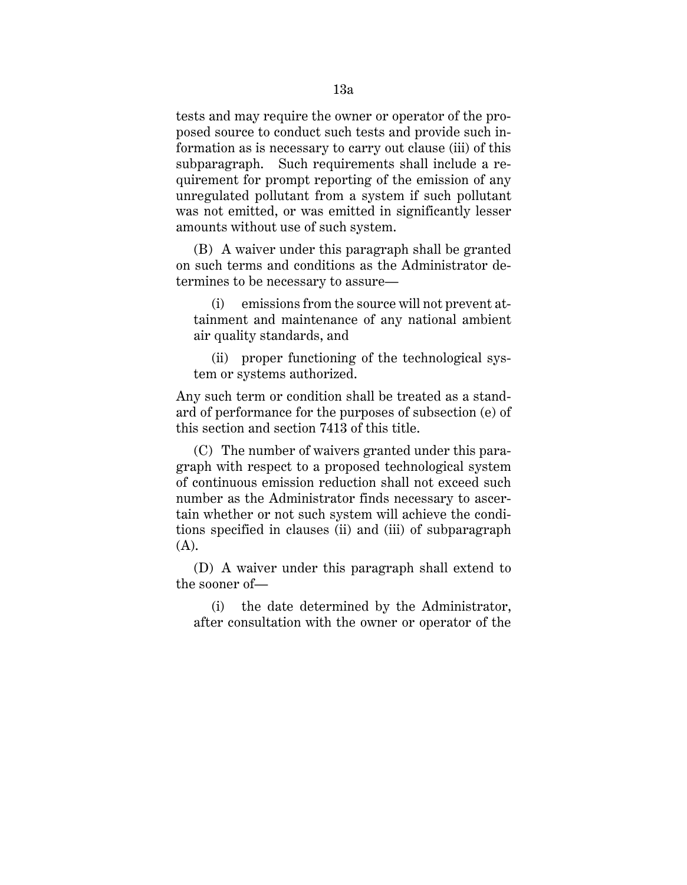tests and may require the owner or operator of the proposed source to conduct such tests and provide such information as is necessary to carry out clause (iii) of this subparagraph. Such requirements shall include a requirement for prompt reporting of the emission of any unregulated pollutant from a system if such pollutant was not emitted, or was emitted in significantly lesser amounts without use of such system.

(B) A waiver under this paragraph shall be granted on such terms and conditions as the Administrator determines to be necessary to assure—

(i) emissions from the source will not prevent attainment and maintenance of any national ambient air quality standards, and

(ii) proper functioning of the technological system or systems authorized.

Any such term or condition shall be treated as a standard of performance for the purposes of subsection (e) of this section and section 7413 of this title.

(C) The number of waivers granted under this paragraph with respect to a proposed technological system of continuous emission reduction shall not exceed such number as the Administrator finds necessary to ascertain whether or not such system will achieve the conditions specified in clauses (ii) and (iii) of subparagraph  $(A)$ .

(D) A waiver under this paragraph shall extend to the sooner of—

(i) the date determined by the Administrator, after consultation with the owner or operator of the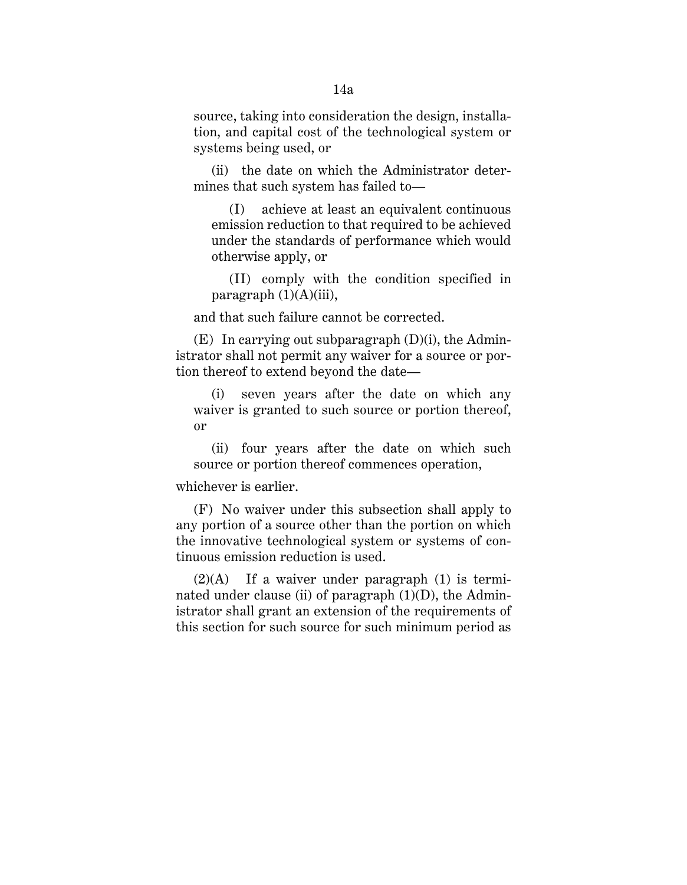source, taking into consideration the design, installation, and capital cost of the technological system or systems being used, or

(ii) the date on which the Administrator determines that such system has failed to—

(I) achieve at least an equivalent continuous emission reduction to that required to be achieved under the standards of performance which would otherwise apply, or

(II) comply with the condition specified in paragraph  $(1)(A)(iii)$ ,

and that such failure cannot be corrected.

(E) In carrying out subparagraph (D)(i), the Administrator shall not permit any waiver for a source or portion thereof to extend beyond the date—

(i) seven years after the date on which any waiver is granted to such source or portion thereof, or

(ii) four years after the date on which such source or portion thereof commences operation,

whichever is earlier.

(F) No waiver under this subsection shall apply to any portion of a source other than the portion on which the innovative technological system or systems of continuous emission reduction is used.

 $(2)(A)$  If a waiver under paragraph  $(1)$  is terminated under clause (ii) of paragraph  $(1)(D)$ , the Administrator shall grant an extension of the requirements of this section for such source for such minimum period as